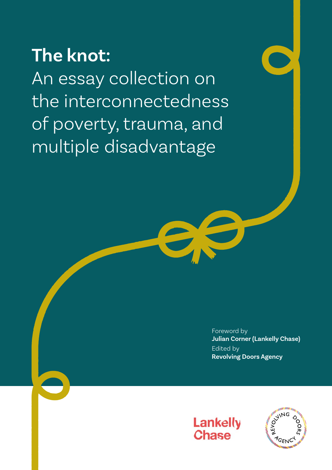# **The knot:**

An essay collection on the interconnectedness of poverty, trauma, and multiple disadvantage

> Foreword by **Julian Corner (Lankelly Chase)** Edited by **Revolving Doors Agency**



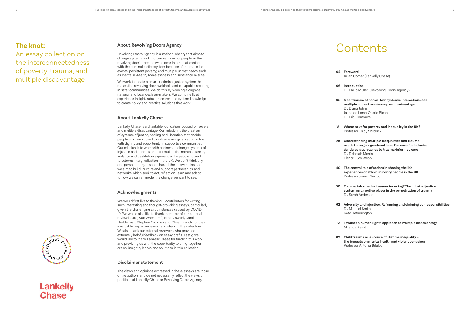### **About Revolving Doors Agency**

Revolving Doors Agency is a national charity that aims to change systems and improve services for people 'in the revolving door' – people who come into repeat contact with the criminal justice system because of traumatic life events, persistent poverty, and multiple unmet needs such as mental ill-health, homelessness and substance misuse.

We work to create a smarter criminal justice system that makes the revolving door avoidable and escapable, resulting in safer communities. We do this by working alongside national and local decision-makers. We combine lived experience insight, robust research and system knowledge to create policy and practice solutions that work.

### **About Lankelly Chase**

We would first like to thank our contributors for writing such interesting and thought-provoking essays, particularly given the challenging circumstances caused by COVID-19. We would also like to thank members of our editorial review board, Sue Wheatcroft, Nina Viswani, Carol Hedderman, Stephen Crossley and Oliver French, for their invaluable help in reviewing and shaping the collection. We also thank our external reviewers who provided extremely helpful feedback on essay drafts. Lastly, we would like to thank Lankelly Chase for funding this work and providing us with the opportunity to bring together critical insights, lenses and solutions in this collection.

Lankelly Chase is a charitable foundation focused on severe and multiple disadvantage. Our mission is the creation of systems of justice, healing and liberation that enable people who are subject to extreme marginalisation to live with dignity and opportunity in supportive communities. Our mission is to work with partners to change systems of injustice and oppression that result in the mental distress, violence and destitution experienced by people subject to extreme marginalisation in the UK. We don't think any one person or organisation has all the answers; instead we aim to build, nurture and support partnerships and networks which seek to act, reflect on, learn and adapt to how we can all model the change we want to see.

### **Acknowledgments**

### **Disclaimer statement**

The views and opinions expressed in these essays are those of the authors and do not necessarily reflect the views or positions of Lankelly Chase or Revolving Doors Agency.

# Contents

Julian Corner (Lankelly Chase)

Dr. Philip Mullen (Revolving Doors Agency)

**08 A continuum of harm: How systemic interactions can multiply and entrench complex disadvantage** Dr. Diana Johns, Jaime de Loma-Osorio Ricon Dr. Eric Dommers

**18 Where next for poverty and inequality in the UK?** Professor Tracy Shildrick

**28 Understanding multiple inequalities and trauma needs through a gendered lens: The case for inclusive gendered approaches to trauma-informed care** Dr. Deborah Morris

- **04 Foreword**
- **06 Introduction**
- 
- 
- Elanor Lucy Webb
- 
- 
- 
- Miranda Keast
- 

**40 The central role of racism in shaping the life experiences of ethnic minority people in the UK** Professor James Nazroo

**50 Trauma-informed or trauma-inducing? The criminal justice system as an active player in the perpetration of trauma** Dr. Sarah Anderson

**62 Adversity and injustice: Reframing and claiming our responsibilities** Dr. Michael Smith Katy Hetherington

**72 Towards a human rights approach to multiple disadvantage**

**82 Child trauma as a source of lifetime inequality – the impacts on mental health and violent behaviour** Professor Antonia Bifulco

## **The knot:**

An essay collection on the interconnectedness of poverty, trauma, and multiple disadvantage



## Lankelly **Chase**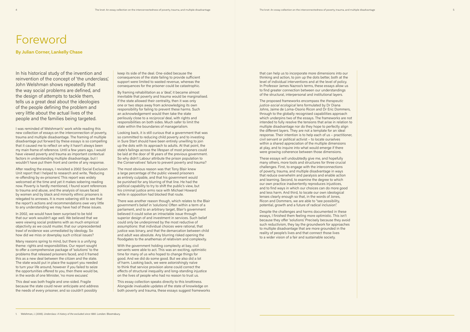# Foreword

**By Julian Corner, Lankelly Chase**

In his historical study of the invention and reinvention of the concept of 'the underclass', John Welshman shows repeatedly that the way social problems are defined, and the design of attempts to tackle them, tells us a great deal about the ideologies of the people defining the problem and very little about the actual lives of the people and the families being targeted.

I was reminded of Welshman's<sup>1</sup> work while reading this new collection of essays on the interconnection of poverty, trauma and multiple disadvantage. The framing of multiple disadvantage put forward by these essays is so compelling that it caused me to reflect on why it hasn't always been my main frame of reference. Until a few years ago, I would have viewed poverty and trauma as important contextual factors in understanding multiple disadvantage, but I wouldn't have put them front and centre of any response.

After reading the essays, I revisited a 2002 Social Exclusion Unit report that I helped to research and write, 'Reducing re-offending by ex-prisoners'. This report was widely welcomed at the time and yet it makes sobering reading now. Poverty is hardly mentioned, I found scant references to trauma and abuse, and the analysis of issues faced by women and by black and minority ethnic prisoners is relegated to annexes. It is more sobering still to see that the report's actions and recommendations owe very little to any understanding we may have had of these issues.

In 2002, we would have been surprised to be told that our work wouldn't age well. We believed that we were viewing social problems with as much empirical objectivity as we could muster, that our unprecedented trawl of evidence was unmediated by ideology. So how did we miss or downplay such critical issues?

The most obvious reason was that Tony Blair knew a large percentage of the public viewed prisoners as entirely culpable, and that his government would be punished for any blurring of that line. He had the political capability to try to shift the public's view, but his criminal justice arms race with Michael Howard while in opposition had blocked that route.

Many reasons spring to mind, but there is a unifying theme: rights and responsibilities. Our report sought to offer a comprehensive package of 'solutions' to the problems that released prisoners faced, and it framed this as a new deal between the citizen and the state. The state would put in place the support you needed to turn your life around, however if you failed to seize the opportunities offered to you, then there would be, in the words of one Minister, 'no more excuses'.

This deal was both fragile and one-sided. Fragile because the state could never anticipate and address the needs of every prisoner, and so couldn't possibly

keep its side of the deal. One-sided because the consequences of the state failing to provide sufficient support were limited to wasted revenue, whereas the consequences for the prisoner could be catastrophic.

By framing rehabilitation as a 'deal', it became almost inevitable that poverty and trauma would be marginalised. If the state allowed their centrality, then it was only one or two steps away from acknowledging its own responsibility for failing to prevent these harms. Such an acknowledgement would then take the state perilously close to a *reciprocal* deal, with rights and responsibilities on both sides. Much safer to limit the state within the boundaries of managerialism.

Looking back, it is still curious that a government that was so committed to reducing child poverty and to investing in Sure Start should have been entirely unwilling to join up the dots with its approach to adults. At that point, the state's failings across the lifespan of most prisoners could be laid at the door of 18 years of the previous government. So why didn't Labour attribute the prison population to the Conservatives' failure to prevent poverty and trauma?

> Despite the challenges and harms documented in these essays, I finished them feeling more optimistic. This isn't because they offer 'solutions'. Precisely because they avoid such reductivism, they lay the groundwork for approaches to multiple disadvantage that are more grounded in the reality of people's lives and that connect those lives to a wider vision of a fair and sustainable society.

There was another reason though, which relates to the Blair government's belief in 'solutions'. Often within a term of a parliament, and to an arbitrary target, Blair's government believed it could solve an intractable issue through superior design of and investment in services. Such belief could only be underpinned by the most reductive of assumptions: that individual choices were rational, that justice was binary, and that the demarcation between child and adult was absolute. Any blurring risked opening the floodgates to the anathemas of relativism and complexity.

With the government holding complexity at bay, civil servants were able to act. This was an exciting, optimistic time for many of us who hoped to change things for good. And we did do some good. But we also did a lot of harm. Looking back, we were astonishingly naïve to think that service provision alone could correct the effects of structural inequality and long-standing injustice on the lives of people who had no reason to trust us.

This essay collection speaks directly to this knottiness. Alongside invaluable updates of the state of knowledge on both poverty and trauma, these essays suggest frameworks

that can help us to incorporate more dimensions into our thinking and action, to join up the dots better, both at the level of individual interventions and at the level of policy. In Professor James Nazroo's terms, these essays allow us to find greater connection between our understandings of the structural, interpersonal and institutional layers.

The proposed frameworks encompass the *therapeutic justice-social ecological* lens formulated by Dr Diana Johns, Jaime de Loma-Osorio Ricon and Dr Eric Dommers, through to the globally recognised capabilities approach which underpins two of the essays. The frameworks are not intended to fully resolve the tensions that arise in relation to multiple disadvantage nor do they hope to perfectly align the different layers. They are not a template for an ideal response. Their intention is to help each of us – practitioner, civil servant or political activist – to locate ourselves within a shared appreciation of the multiple dimensions at play, and to inquire into what would emerge if there were growing coherence between those dimensions.

These essays will undoubtedly give me, and hopefully many others, more tools and structures for three crucial challenges. First, to engage with the interconnections of poverty, trauma, and multiple disadvantage in ways that reduce overwhelm and paralysis and enable action and learning. Second, to examine the degree to which our own practice inadvertently reproduces injustices, and to find ways in which our choices can do more good and less harm. And third, to locate our own ideological lenses clearly enough so that, in the words of Jones, Ricon and Dommers, we are able to "see possibility, potential, growth and a future of radical inclusion".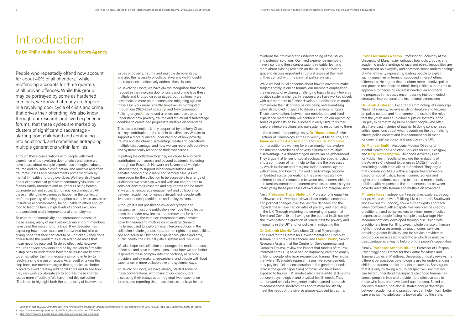issues of poverty, trauma and multiple disadvantage, and also the necessity of collaborative and well-thoughtout responses to effectively address these issues.

At Revolving Doors, we have always recognised that those trapped in the revolving door of crisis and crime face these multiple and knotted disadvantages, but traditionally we have focused more on outcomes and mitigating against these. Our work more recently, however, as highlighted through our 2020-2024 strategy**<sup>2</sup>** and New Generation Policing project<sup>3</sup>, has moved us more upstream, to better understand how poverty, trauma and structural disadvantage combine to create and perpetuate multiple disadvantage.

This essay collection, kindly supported by Lankelly Chase, is a key contribution to the shift in this direction. We aim to support a more nuanced understanding of how poverty, trauma and structural disadvantage create and perpetuate multiple disadvantage, and how we can more collaboratively and systematically respond to their root causes.

In putting the collection together, we chose to approach contributors both across and beyond academia, including through our Research Network on Severe and Multiple Disadvantage, to support wider conversations and debates beyond disciplinary and sectoral silos. As we were eager for the collection to be accessible to a range of audiences, we have also worked with our contributors to consider how their research and arguments can be made in ways that encourage engagement and collaboration between academics (of various disciplines), people with lived experience, practitioners and policy-makers.

Although it is not possible to cover every topic and perspective in just one publication, we hope the collection offers the reader new lenses and frameworks for better understanding the complex interconnections between poverty, trauma and multiple disadvantage. Some of the lenses used to explore these interconnections in the collection include gender, race, human rights and capabilities, age and Adverse Childhood Experiences, place and time, public health, the criminal justice system and Covid-19.

We also hope the collection encourages the reader to pause, reflect on, and have conversations about how we can better respond to these complex interconnections, as service providers, policy-makers, researchers, and people with lived experience, in more collaborative and systemic ways.

At Revolving Doors, we have already started some of these conversations, with many of our contributors discussing their essays at our regional lived experience forums, and reporting that these discussions have helped to inform their thinking and understanding of the issues and potential solutions. Our lived experience members have also found these conversations valuable, learning more about existing research on the issues and having space to discuss important structural issues at the heart of their contact with the criminal justice system.

While we had initial concerns about how to cover traumatic subjects safely in online forums, our members emphasised the necessity of exploring challenging topics to work towards positive systems change. In response, we have worked closely with our members to further develop our online forum model to minimise the risk of discussions being re-traumatising while also providing space to discuss challenging topics. These conversations between our contributors and lived experience membership will continue through our upcoming series of podcasts, to be launched in early 2021, to further explore interconnections and our systemic responses to them.

In the collection's opening essay, **Dr Diana Johns**, Senior Lecturer of Criminology at the University of Melbourne, and **Jaime de Loma-Osorio Ricon** and **Dr Eric Dommers**, both practitioners working for a community hub, explore the interconnectedness of poverty, trauma and multiple disadvantage in a disadvantaged Australian neighbourhood. They argue that lenses of social ecology, therapeutic justice and a continuum of harm help to illustrate the processes by which exclusion and marginalisation become layered with shame, and how trauma and disadvantage become embedded across generations. They also illustrate how different kinds of interactions between practitioners, children and families, compared to current practice, are necessary for interrupting these processes of exclusion and marginalisation.

Next, **Professor Tracy Shildrick,** Professor of Inequalities at Newcastle University, reviews labour market, economic and political changes over the last few decades and the impacts these have had on rates of poverty and inequality in the UK. Through exploring the emerging impacts that Brexit and Covid-19 are having on the poorest in UK society, she investigates the question of 'where next for poverty and inequality in the UK' and for policies in mitigating this.

**Dr Deborah Morris**, Consultant Clinical Psychologist and Lead for the Centre for Developmental and Complex Trauma, St Andrew's Healthcare, and **Elanor Webb**, Senior Research Assistant at the Centre for Developmental and Complex Trauma, review the impact that models of traumainformed care (TIC) have had on improving care and quality of life for people who have experienced trauma. They argue that while TIC models represent a positive advancement, they pay insufficient consideration to the gendered needs (across the gender spectrum) of those who have been exposed to trauma. TIC models also create artificial divisions between psychological and physical health needs. They put forward an inclusive gender-mainstreamed approach to address these shortcomings and to more holistically meet the needs of the diverse groups exposed to trauma.

# Introduction

**By Dr. Philip Mullen, Revolving Doors Agency**

People who repeatedly offend now account for about 40% of all offenders,**<sup>1</sup>** while reoffending accounts for three quarters of all proven offences. While this group may be portrayed by some as hardened criminals, we know that many are trapped in a revolving door cycle of crisis and crime that drives their offending. We also know, through our research and lived experience forums, that these cycles are marked by clusters of significant disadvantage – starting from childhood and continuing into adulthood, and sometimes entrapping multiple generations within families.

Through these conversations with people with lived experience of the revolving door of crisis and crime we have heard about multiple experiences of neglect, abuse, trauma and household dysfunction, and multiple and often traumatic losses and bereavements primarily driven by mental ill-health and drug overdose. We have also heard about experiences of persistent community violence – of friends, family members and neighbours being beaten up, murdered, and subjected to racial discrimination. All these challenging experiences happen in the context of profound poverty, of having no option but to live in unsafe or unsuitable accommodation, being unable to afford enough food to feed the family, high levels of school exclusion, and persistent and intergenerational unemployment.

To capture the complexity and interconnectedness of these issues, many of our lived experience forum members have used the metaphor of a knot. They describe it as capturing how these issues are intertwined but also as giving hope that they can start to be unpicked – they don't characterise the problem as such a tangled mess that it can never be resolved. To do so effectively, however, requires service providers and policy-makers to first take a step back to understand how these issues are knotted together, rather than immediately jumping in to try to resolve a single issue or issues. As a result of taking this step back, our members argue that agencies are better placed to avoid creating additional knots and to see how they can work collaboratively to address these knotted issues more effectively. We have titled this collection 'The Knot' to highlight both the complexity of intertwined

**Professor James Nazroo**, Professor of Sociology at the University of Manchester, critiques how policy, public and academic understandings of race and ethnic inequalities are often based on everyday and common-sense understandings of what ethnicity represents, leading people to explain such inequalities in terms of supposed inherent ethnic differences. He argues that to inform more effective policy and practice responses to ethnic inequalities, a more robust approach to theorising racism is needed, an approach he proposes in his essay encompassing interconnected structural, interpersonal and institutional dimensions.

**Dr Sarah Anderson**, Lecturer of Criminology at Edinburgh Napier University, reviews existing literature and focuses on police contact and imprisonment to explore the roles that the youth and adult criminal justice systems in the UK play in perpetrating harm against people who often also have past histories of trauma. In doing so, she raises critical questions about what recognising the traumatising effects police contact and imprisonment could mean for criminal justice policy and practice in the UK.

**Dr Michael Smith**, Associate Medical Director of Mental Health and Addiction Services for NHS Glasgow, and **Katy Hetherington**, Childhood Adversity Lead for Public Health Scotland, explore the limitations of the Adverse Childhood Experiences (ACEs) model in explaining health inequalities in Scotland. They argue that considering ACEs within a capabilities framework, based on social justice, human connectedness and rights and freedoms, can help to inform a more effective public health response to the interconnections between poverty, adversity, trauma and multiple disadvantage.

**Miranda Keast**, independent researcher, explores, through her previous work with Fulfilling Lives Lambeth, Southwark and Lewisham (London), how a human rights approach, when combined with a capabilities lens, can be used by practitioners and policy-makers to inform more effective responses to people facing multiple disadvantage. Her recommendations, developed through discussion with practitioners from Fulfilling Lives, include the use of human rights impact assessments by practitioners, services providing greater flexibility, and for service providers to co-produce services alongside those who face multiple disadvantage as a way to help promote people's capabilities.

Finally, **Professor Antonia Bifulco**, Professor of Lifespan Psychology and Director for the Centre for Abuse and Trauma Studies at Middlesex University, critically reviews the different perspectives psychologists use for understanding childhood trauma and its impacts on later life. She argues that it is only by taking a multi-perspective view that we can better understand the impacts childhood trauma has across people's lives and provide more effective care to those who face, and have faced, such trauma. Based on her own research, she also illustrates how partnerships between academics and practitioners can help inform better care provision to adolescents looked after by the state.

2. http://www.revolving-doors.org.uk/file/2434/download?token=75C9zzC1

3. http://www.revolving-doors.org.uk/blog/new-generation-revolving-door

<sup>1.</sup> Ministry of Justice. 2019. *Offenders convicted for indictable offences by previous criminal history, year ending March 2009 to 2019*. Table Q6.1. London: Ministry of Justice.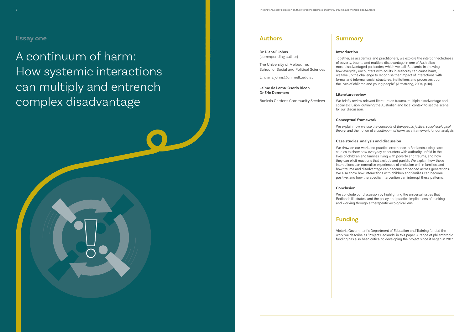## **Summary**

#### **Introduction**

Together, as academics and practitioners, we explore the interconnectedness of poverty, trauma and multiple disadvantage in one of Australia's most disadvantaged postcodes, which we call 'Redlands'. In showing how everyday encounters with adults in authority can cause harm, we take up the challenge to recognise the "impact of interactions with formal and informal social structures, institutions and processes upon the lives of children and young people" (Armstrong, 2004, p.110).

#### **Literature review**

We briefly review relevant literature on trauma, multiple disadvantage and social exclusion, outlining the Australian and local context to set the scene

for our discussion.

#### **Conceptual framework**

We explain how we use the concepts of *therapeutic justice*, *social ecological theory*, and the notion of a *continuum of harm*, as a framework for our analysis.

#### **Case studies, analysis and discussion**

We draw on our work and practice experience in Redlands, using case studies to show how everyday encounters with authority unfold in the lives of children and families living with poverty and trauma, and how they can elicit reactions that exclude and punish. We explain how these interactions can normalise experiences of exclusion within families, and how trauma and disadvantage can become embedded across generations. We also show how interactions with children and families can become positive, and how therapeutic intervention can interrupt these patterns.

#### **Conclusion**

We conclude our discussion by highlighting the universal issues that Redlands illustrates, and the policy and practice implications of thinking and working through a therapeutic-ecological lens.

## **Funding**



Victoria Government's Department of Education and Training funded the work we describe as 'Project Redlands' in this paper. A range of philanthropic funding has also been critical to developing the project since it began in 2017.

A continuum of harm: How systemic interactions can multiply and entrench complex disadvantage

## **Authors**

#### **Dr. Diana F Johns** (corresponding author)

The University of Melbourne, School of Social and Political Sciences

E: diana.johns@unimelb.edu.au

**Jaime de Loma-Osorio Ricon Dr Eric Dommers**

Banksia Gardens Community Services

## **Essay one**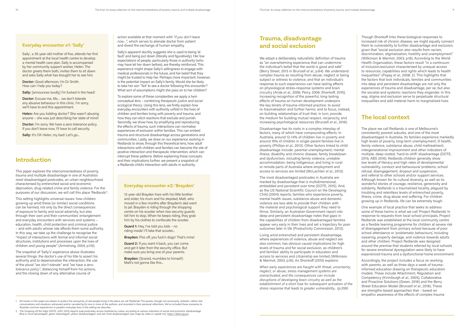#### **Everyday encounter #1: 'Sally'**

Sally<sup>1</sup>, a 35-year-old mother of five, attends her first appointment at the local health centre to develop a mental health care plan. Sally is accompanied by her community support worker, Helen. The doctor greets them both, invites them to sit down and asks Sally what has brought her to see him.

**Doctor:** Excuse me, Ms... we don't tolerate any abusive behaviour in this clinic. I'm sorry, we'll have to end this appointment.

**Helen:** Are you kidding doctor? She wasn't abusing anyone – she was just describing her state of mind!

**Doctor:** I'm sorry. We have a zero-tolerance policy. If you don't leave now, I'll have to call security.

Sally: It's OK Helen, my bad! Let's go...

**Doctor:** Good afternoon, I'm Dr Smith. How can I help you today?

**Sally:** [announces loudly] I'm fucked in the head!

## **Introduction**

This paper explores the interconnectedness of poverty, trauma and multiple disadvantage in one of Australia's most disadvantaged postcodes, an urban neighbourhood characterised by entrenched social and economic deprivation, drug-related crime and family violence. For the purposes of our discussion, we will call this place 'Redlands'**<sup>2</sup>** .

This setting highlights universal issues: how children growing up amid these (or similar) social conditions can be harmed, not only by the direct consequences of exposure to family and social adversity, but also through their own and their communities' entanglement and everyday encounters with services and systems – education, health, child protection and criminal justice – and with adults whose role affords them some authority. In this way, we take up the challenge to recognise the "impact of interactions with formal and informal social structures, institutions and processes upon the lives of children and young people" (Armstrong, 2004, p.110).

The snapshot of 'Sally's' experience above illustrates several things: the doctor's use of his title to assert his authority and to depersonalise the interaction, the use of the plural *"we don't tolerate"* and *"we have a zerotolerance policy"*, distancing himself from his actions, and the closing down of any alternative course of

**Brayden:** (Scared, mumbles to himself) Matt's not gonna like this...

action available at that moment with *"if you don't leave now…"*, which serves to alienate doctor from patient and divest the exchange of human empathy.

Sally's apparent docility suggests she is used to being 'at fault' and being put down (literally and figuratively). Her low expectations of people, particularly those in authority (who may have let her down before), are thereby reinforced. This experience might shape Sally's willingness to engage with medical professionals in the future, and her belief that they might be trusted to help her. Perhaps more important, however, is the potential impact on Sally's family. Would she be likely to take her son 'Ted' to see a doctor following this encounter? What sort of assumptions might she pass on to her children?

To explore some of these complexities we apply a twin conceptual lens – combining *therapeutic justice* and *social ecological theory*. Using this lens, we firstly explain how everyday encounters with authority unfold in the lives of children and families living with poverty and trauma, and how they can elicit reactions that exclude and punish. Secondly, we show how, by amplifying and reproducing the effects of trauma, such interactions can normalise experiences of exclusion within families. This can embed trauma and structural disadvantage across generations and communities. Lastly, we draw on our experience working in Redlands to show, through this theoretical lens, how adult interactions with children and families can become the site of positive interaction and therapeutic intervention, which can interrupt these patterns. Before explaining these concepts and their implications further, we present a snapshot of a Redlands child's interaction with adults in authority.

#### **Everyday encounter #2: 'Brayden'**

12-year-old Brayden lives with his little brother and sister, his mum and his stepdad, Matt, who moved in a few months after Brayden's dad went to jail. Brayden is riding through the shopping centre on his scooter when two security guards tell him to stop. When he keeps riding, they grab him by his clothes to confiscate the scooter.

**Guard 1:** Hey, I've told you kids – no riding inside! I'll take that scooter...

**Brayden:** Piss off, you fuck'n dogs! That's mine!

**Guard 2:** If you want it back, you can come and get it later from the security office. But make sure you bring one of your parents.

## **Trauma, disadvantage and social exclusion**

We adopt a deliberately naturalistic definition of trauma as "an overwhelming experience that can undermine the individual's belief that the world is good and safe" (Berry Street, 2013 in Brunzell *et al*., p.64). We understand complex trauma as resulting from abuse, neglect or being subject or witness to violence, and that an individual's response to such experiences can have lasting effects on physiological stress-response systems and brain circuitry (Anda *et al*., 2006; Perry, 2009; Shonkoff, 2010). Increasing recognition of the powerful, long-lasting effects of trauma on human development underpins the key tenets of trauma-informed practice: to avoid re-traumatisation and further harms; and to focus, instead, on building relationships of trust that, in turn, provide the medium for building mutual respect, reciprocity, and increasing psychological resources (Brunzell *et al*., 2016).

Disadvantage has its roots in a complex interplay of factors, many of which have compounding effects. In Australia, around 12-14% of children live in poverty and around 19% of children in single-parent families live in poverty (Phillips *et al*., 2013). Other factors linked to child disadvantage include: parental unemployment; mental illness, disability and chronic disease; family breakdown and dysfunction, including family violence; unstable accommodation; being Indigenous; and living in rural or remote parts of Australia where employment and access to services are limited (McLachlan *et al*., 2013).

The most disadvantaged postcodes in Australia are marked by disadvantage that is multidimensional, embedded and persistent over time (DOTE, 2015). And, as the US National Scientific Council on the Developing Child (2004) reports, families who experience poverty, mental health issues, substance abuse and domestic violence are less able to provide their children with the material and psychological support they need to thrive. Similarly, an Australian Government report into deep and persistent disadvantage notes that gaps in the capabilities of children from disadvantaged families appear very early in their lives and set a trajectory for poor outcomes later in life (Productivity Commission, 2013).

Living amid entrenched and persistent disadvantage, where experiences of violence, abuse and neglect are also common, has obvious causal implications for high levels of trauma and for social exclusion, as children's and families' ability to participate in education and access to services and citizenship are limited (Wilkinson & Marmot, 2003, p.16). As Shonkoff (2010) explains:

*When early experiences are fraught with threat, uncertainty, neglect, or abuse, stress management systems are overactivated, and the consequences can include disruptions of developing brain circuitry as well as the establishment of a short fuse for subsequent activation of the stress response that leads to greater vulnerability...* (p.359)

Though Shonkoff links these biological responses to increased risk of chronic disease, we might equally connect them to vulnerability to further disadvantage and exclusion, given that "social exclusion also results from racism, discrimination, stigmatization, hostility and unemployment" (Wilkinson & Marmot, 2003, p.16). According to the World Health Organization, these factors result "in a continuum of inclusion/exclusion characterised by unequal access to resources, capabilities and rights which leads to health inequalities" (Popay *et al*., 2008: 2). This highlights that the factors that lock individuals, families and communities into deep and persistent disadvantage are not only the experiences of trauma and disadvantage, per se, but also the societal and systemic reactions they engender. In this way, stigma and exclusion serve to perpetuate structural inequalities and add material harm to marginalised lives.

## **The local context**

The place we call Redlands is one of Melbourne's consistently poorest suburbs, and one of the most disadvantaged in Australia. Its families experience markedly high levels of poverty, long-term unemployment, ill health, family violence, substance abuse, child maltreatment, intergenerational imprisonment and other indicators of multiple, deep-rooted, 'hard-to-shift' disadvantage (DOTE, 2015; ABS 2016). Redlands children generally show low levels of literacy and high rates of developmental vulnerability, conduct and behavioural problems, school refusal, disengagement, dropout and suspension, and referral to other schools and/or support services. Although known for its cultural diversity, as well as its wonderful stories of courage, resilience, generosity and solidarity, Redlands is a traumatised locality, plagued by troubling and relentless levels of entrenched poverty, illness, crime, drug abuse and suffering. For children growing up in Redlands, life can be extremely tough.

One example of local practice that seeks to address some of these harms is what we call 'Project Redlands'. In response to requests from local school principals, Project Redlands was established at the local community centre as a flexible learning programme for children at severe risk of disengagement from primary school because of poor school attendance or 'problematic behaviours', including swearing, property damage, and violence towards adults and other children. Project Redlands was designed around the premise that students referred by local schools for severe emotional dysregulation were likely to have experienced trauma and a dysfunctional home environment.

Accordingly, the project includes a focus on working with parents, as well as three days a week of traumainformed education drawing on therapeutic education models. These include Attachment, Regulation and Competency (Kinniburgh *et al*., 2005), Collaborative and Proactive Solutions (Green, 2016) and the Berry Street Education Model (Brunzell *et al*., 2016). These are strengths-based approaches that – based on empathic awareness of the effects of complex trauma

1. All names in this paper are aliases to protect the anonymity of real people living in the place we call 'Redlands'. The quotes, though not necessarily verbatim, reflect real conversations and situations witnessed and/or narrated by/to one or more of the authors, and recorded in their personal reflections. We've included these scenarios to illustrate common experiences in people's everyday lives in the setting we describe.

2. The *Dropping off the Edge* (DOTE, 2007, 2015) reports map postcodes across Australia by colour, according to various indicators of social and economic disadvantage. Blue is 'most advantaged'; green 'advantaged'; yellow 'disadvantaged'; and red 'most disadvantaged' (see maps by state or capital city: https://dote.org.au).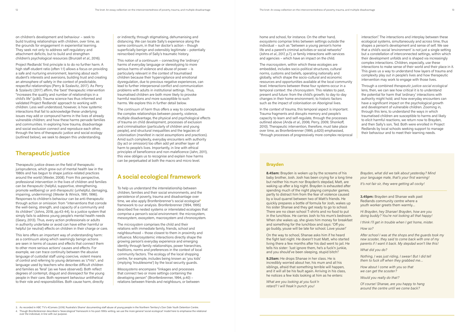on children's development and behaviour – seek to build trusting relationships with children, over time, as the grounds for engagement in experiential learning. They seek not only to address self-regulatory and attachment deficits, but to build and strengthen children's psychological resources (Brunzell *et al*., 2016).

Project Redlands' first principle is to do no further harm. A high staff-student ratio (often 1:1) allows a focus on providing a safe and nurturing environment, learning about each student's interests and aversions, building trust and creating an atmosphere of safety in the context of predictable, respectful relationships (Perry & Szalavitz, 2017). As Perry & Szalavitz (2017) affirm, the 'best' therapeutic intervention "increases the quality and number of relationships in a child's life" (p.80). Trauma science has thus informed and validated Project Redlands' approach to working with children. Less well understood, however, is how systemic interactions that fail to acknowledge these underlying issues may add or compound harms in the lives of already vulnerable children; and how these harms pervade families and communities. In exploring how trauma, disadvantage and social exclusion connect and reproduce each other, through the lens of therapeutic justice and social ecology (outlined below), we seek to deepen this understanding.

## **Therapeutic justice**

Therapeutic justice draws on the field of therapeutic jurisprudence, which grew out of mental health law in the 1980s and has begun to shape justice-related practices around the world (Wexler, 2008). From this perspective, professional intervention in the lives of children and families can be *therapeutic* (helpful, supportive, strengthening, promote wellbeing) or *anti-therapeutic* (unhelpful, damaging, impairing, undermining) (Wexler & Winick, 1991, 1996). Responses to children's behaviour can be anti-therapeutic through action or omission: from "interventions that corrode the well-being, strength, and capacity of a community and its children" (Johns, 2018, pp.43-44), to a justice system that simply fails to address young people's mental health needs (Geary, 2013). Thus, every action professionals or adults in authority undertake or avoid can have either harmful or helpful (or neutral) effects on children in their charge or care.

This lens offers an important way of understanding harm: as a continuum along which seemingly benign actions are seen in terms of causes and effects that connect them to other more serious actions' causes and effects. For example, we can trace continuity between the abusive language of custodial staff using coercive, violent means of control and referring to young detainees as 'c\*nts'**3**, and language used by teachers who describe difficult children and families as 'feral' (as we have observed). Both reflect degrees of contempt, disgust and disrespect for the young people in their care. Both represent behaviour antithetical to their role and responsibilities. Both cause harm, directly

The *macrosystem*, within which these ecologies are embedded, includes socio-political structures, cultural norms, customs and beliefs, operating nationally and globally, which shape the socio-cultural and economic resources and opportunities available at the local community level. Interactions between these four systems occur in a temporal context: the *chronosystem*. This relates to past, present and future: from the child's growth; to day-to-day changes in their home environment; to historic factors such as the impact of colonisation on Aboriginal lives.

or indirectly, through stigmatising, dehumanising and distancing. We can locate Sally's experience along the same continuum, in that her doctor's action – though superficially benign and ostensibly legitimate – potentially reinscribed imprints of Sally's traumatic history.

This notion of a continuum – connecting the 'ordinary' harms of everyday language or stereotyping to more serious harms of violence and abuse of power – is particularly relevant in the context of traumatised children because their hypervigilance and emotional dysregulation, due to previous negative experiences, can lead to further interpersonal conflict and communication problems with adults in institutional settings. Thus, traumatised children are both more likely to provoke harmful reactions *and* more susceptible to such harms. We explore this in further detail below.

The *continuum of harm* thus offers a way to conceptualise the complex relationships between poverty, violence, multiple disadvantage, the physical and psychological effects of trauma on child development, processes of exclusion and criminalisation (particularly of children and young people), and structural inequalities and the legacies of colonisation (manifest in racist assumptions and practices). Amid such complexity, everyday encounters with authority (by act or omission) too often add yet another layer of harm to people's lives. Importantly, in line with ethical principles of beneficence and non-maleficence (Jahn, 2011), this view obliges us to recognise and explain how harms can be perpetuated at both the macro and micro level.

## **A social ecological framework**

To help us understand the interrelationship between children, families and their social environments, and the persistence of poverty, trauma and disadvantage over time, we also apply Bronfenbrenner's social ecological**<sup>4</sup>** framework to our analysis. Bronfenbrenner (1994, 1995) described five nested systems or interrelated ecologies that comprise a person's social environment: the microsystem, mesosystem, exosystem, macrosystem and chronosystem.

The *microsystem* comprises the child and their relations with immediate family, friends, school and neighbourhood – those closest to them in proximity and influence. Microsystemic interactions directly shape the growing person's everyday experience and emerging identity through family relationships, power hierarchies, traditions, norms and preferences in the context of local community factors. The ecology of the local shopping centre, for example, includes being known as 'you kids' (implying 'troublesome') by the local security guards.

*Mesosystems* encompass "linkages and processes that connect two or more settings containing the developing person" (Bronfenbrenner, 1994, p.40) – relations between friends and neighbours, or between

home and school, for instance. On the other hand, *exosystems* comprise links between settings outside the individual – such as "between a young person's home life and a parent's criminal activities or social networks" (Johns *et al*., 2017, p.7), or family interactions with services and agencies – which have an impact on the child.

In the context of trauma, this temporal aspect is important. Trauma fragments and disrupts memory and people's capacity to learn and self-regulate, through the processes outlined above (Anda *et al*., 2006; Perry, 2009; Shonkoff, 2010). Therapeutic intervention, therefore, must take place over time, as Bronfenbrenner (1995, p.620) emphasised, "through processes of progressively more complex reciprocal

interaction". The interactions and interplay between these ecological systems, simultaneously and across time, thus shapes a person's development and sense of self. We see that a child's social 'environment' is not just a single setting but a constellation of interconnected settings, within which their development unfolds and is shaped via increasingly complex interactions. Children, especially, use these interactions to make sense of their world and their place in it. This gives us a way to understand how layers of trauma and complexity play out in people's lives and how therapeutic intervention may work to engage with those lives.

Through a combined *therapeutic justice-social ecological* lens, then, we can see how critical it is to understand the potential for harm that 'ordinary' interactions with authority might hold; and how everyday encounters can have a significant impact on the psychological growth and development of vulnerable children. Zooming in, through this lens, to understand the ways in which traumatised children are susceptible to harms and likely to elicit harmful reactions, we return now to Brayden, and then Sally's son, Ted. Both were enrolled in Project Redlands by local schools seeking support to manage their behaviour and to meet their learning needs.

#### **Brayden**

**8.45am:** Brayden is woken up by the screams of his baby brother, Josh. Josh has been crying for a long time but neither his mum nor Brayden's stepdad, Matt, are waking up after a big night. Brayden is exhausted after spending much of the night playing computer games, partly to distract him from the fear of violence caused by a loud quarrel between two of Matt's friends. He quickly prepares a bottle of formula for Josh, wakes up his sister Shanae and they get ready to go to school. There are no clean school T-shirts and no food to put in the lunchbox. He carries Josh to his mum's bedroom. When she wakes up, she gives him money for breakfast and something for the lunchbox and says: 'Off you go buddy, youse will be late for school. Love youse!'

On the way to school, Shanae asks him if he heard the fight last night. He doesn't trust Matt, who started living there a few months after his dad went to jail. He tells his sister: 'Just ignore them, he's a fuck'n junkie, and you should've been sleeping, stupid bitch!'

**9.25am:** He drops Shanae in her class. He is incredibly worried about her, his mum and all his siblings, afraid that something terrible will happen, and it will all be his fault again. Arriving in his class, he notices a few kids looking at him as he enters:

*What are you looking at you fuck'n retard? I will freak'n punch you!*

*Brayden, what did we talk about yesterday? Mind your language mate, that's your first warning!*

*It's not fair sir, they were getting all cocky!*

**3.45pm:** Brayden and Shanae walk past Redlands community centre where a youth worker greets them warmly…

*Hi Brayden, hey Shanae! Brayden, how are you doing buddy? You're not looking all that happy!*

*I think I'll get in trouble when I get home, mister.*

*How so?*

*After school I was at the shops and the guards took my new scooter, they said to come back with one of my parents if I want it back. My stepdad won't like this!*

*What did you do?*

*Nothing, I was just riding, I swear! But I did tell them to fuck off when they grabbed me…*

*How about I come with you so that we can get the scooter?*

*Would you really do that?*

*Of course! Shanae, are you happy to hang around the centre until we come back?*

4. Though Bronfenbrenner described a 'bioecological' framework in his post-1990s writing, we use the more general 'social ecological' model here to emphasise the relational over the individual, in line with our purpose.

<sup>3.</sup> As recorded in ABC TV's 4Corners (2016) 'Australia's Shame' documenting staff abuse of young people in the Northern Territory's Don Dale Youth Detention Centre.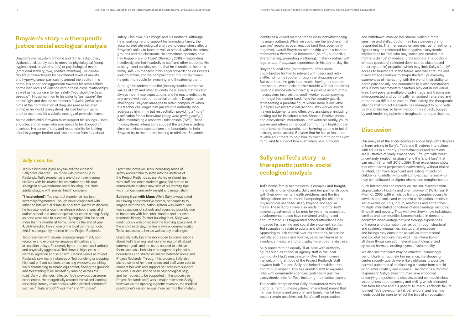## **Brayden's story – a therapeutic justice-social ecological analysis**

Brayden's microsystem of home and family is disrupted, dysfunctional, barely able to meet his physiological (sleep, hygiene, food, physical safety) or psychological needs (emotional stability, love, positive attention). His day-today life is characterised by heightened levels of anxiety and hypervigilance, particularly around the adults in his home. His anger and aggression towards his sister reflect normalised levels of violence within these close relationships, as well as his concern for her safety (*"you should've been sleeping"*). His admonition to his sister to *"just ignore"* the adults' fight and that his stepfather's *"a fuck'n junkie"* also hints at the normalisation of drug use (and associated crime) in his world (exosystem). His dad being in jail is another example. It's a volatile ecology of pervasive harm.

As the eldest child, Brayden must support his siblings – Josh, a toddler, and Shanae, who also needs to be dropped off at school. His sense of duty and responsibility for looking after his younger brother and sister comes from fear about

safety – his own, his siblings' and his mother's. Although he is working hard to support his immediate family, the accumulated physiological and psychological stress affects Brayden's ability to function well at school, within the school grounds and the classroom. He sometimes operates on a hair trigger – a 'short fuse' (Shonkoff, 2010) – responding heedlessly and hot-headedly to staff and other students. His anxiety – and possibly shame that he is unable to keep his family safe – is manifest in his anger towards the classmates looking at him, and his complaint that *"it's not fair"* when he gets into trouble for swearing and threatening them.

Although he understands the (mesosystemic) normative values of staff and other students, he is aware that he can't always meet these expectations, and he reacts defiantly to any perceived threat or potential criticism. Despite these challenges, Brayden manages to retain composure when his teacher challenges him (an adult in authority, who addresses him firmly but respectfully), providing a 'moral' justification for his behaviour (*"they were getting cocky"*) while maintaining a respectful relationship (*"Sir"*). These microsystemic interactions suggest the teacher is setting clear behavioural expectations and boundaries to help Brayden try to meet them, helping to reinforce Brayden's

identity as a valued member of the class, notwithstanding his angry outburst. While we could see the teacher's 'first warning' rebuke as over-reactive (and thus potentially negative), overall Brayden's relationship with his teacher represents a *therapeutic* interaction (helpful, supportive, strengthening, promoting wellbeing), in stark contrast with regular *anti-therapeutic* experiences in his day-to-day life.

Brayden's local area (microsystem) offers some opportunities for him to interact with peers and relax a little, riding his scooter through the shopping centre. But even there he gets into trouble, having his scooter confiscated, which risks further trouble with his stepfather (potential mesosystemic harms). A positive aspect of his mesosystem involves the youth worker accompanying him to get his scooter back from the security guards, representing a parental figure where none is available (a helpful exosystemic interaction). This worker avoids making judgements and offers only assistance, including looking out for Brayden's sister, Shanae. Positive mesoand exosystemic interactions – between his family, youth worker and others in the local community – highlight the importance of therapeutic, non-harming actions to build a strong sense around Brayden that he has at least one reliable adult there to help him, to trust him to do the right thing, and to support him even when he's in trouble.

## **Sally and Ted's story – a therapeutic justice-social ecological analysis**

Ted's home/family microsystem is complex and fraught, materially and emotionally. Sally and her partner struggle with their own mental health problems, and the five siblings share one bedroom, hampering the children's physiological needs for sleep, hygiene and regular meals. These factors have also made it hard for Ted's psychological needs to be met; for years his associated developmental needs have remained undiagnosed and untreated. His fragmented school attendance has impeded his learning and social development, so that Ted struggles to relate to adults and other children. Appearing to lack control over his emotions, he can be verbally aggressive and volatile, using self-harm as an avoidance measure and to display his emotional distress.

Over time, however, Ted's increasing sense of safety allowed him to settle into the rhythms of the Project Redlands space. As his relationships with staff and other students grew, Ted started to demonstrate a whole new side of his identity, ripe with humour, generosity, insight and imagination.

> Sally appears to be equally ill-at-ease with authority figures such as school or agency staff in the local community (Ted's mesosystem). Over time, however, the welcoming attitude of the Project Redlands staff towards both Ted and Sally has helped establish trust and mutual respect. This has enabled staff to organise links with community agencies (potentially positive exosystemic links for Ted), including the medical centre.

> The hostile reception that Sally encountered with the doctor (a harmful mesosystemic interaction) meant that her own trauma and personal and family mental health issues remain unaddressed. Sally's self-deprecation

and withdrawal masked her shame, which a more sensitive and skilled doctor may have perceived and responded to. That her suspicion and mistrust of authority figures may be reinforced has negative exosystemic implications for Ted, who may sense and emulate his mother's distrust of medical professionals. The doctor's attitude (possibly) reflected deep-seated class-based (macrosystemic) prejudice which may limit Sally's family's access to healthcare in the future. And while trauma and disadvantage continue to shape the family's everyday experiences of interacting with the world, their ability to participate socially and economically is also constrained. This is how macrosystemic factors play out in individual lives; how poverty, multiple disadvantage and trauma are interconnected and continually reinscribed, reiterated and rendered so difficult to escape. Fortunately, the therapeutic alliance that Project Redlands has managed to build with Sally and Ted has so far withstood this setback, buoyed by and modelling optimism, imagination and persistence.

## **Discussion**

Our analysis of the social ecologies above highlights degrees of harm arising in Sally's, Ted's and Brayden's interactions with adults in authority. Their behaviours and reactions are illustrative of "early experiences… fraught with threat, uncertainty, neglect, or abuse" and the "short fuse" that can result (Shonkoff, 2010 p.359). Their experiences show that even harms perpetrated inadvertently, without malice or intent, can have significant and lasting impacts on children and adults living with complex trauma and who may be habituated to stigma, shame and marginalisation.

Such interactions can reproduce "racism, discrimination, stigmatization, hostility and unemployment" (Wilkinson & Marmot, 2003, p.16) which, by limiting people's access to services and social and economic participation, results in social exclusion. This, in turn, reinforces and entrenches multiple interrelated conditions of disadvantage, including ill health and poverty. Thus we have shown how individuals, families and communities become locked in deep and persistent disadvantage not just through experiences of trauma and deprivation per se, but through structural and systemic inequalities, institutional processes and failings they encounter, as well as interpersonal and societal reactions they elicit. The interaction of all these things can add material, psychological and symbolic harms to existing layers of vulnerability.

We also see that harm may be enacted unknowingly, perfunctorily or routinely. For instance, the shopping centre security guards were likely oblivious to possible harmful outcomes of confiscating a scooter from a child living amid volatility and violence. The doctor's automatic response to Sally's swearing may have embodied underlying prejudice and distaste, based on middle-class assumptions about decency and civility, which alienated him from his role and his patient. Numerous schools' failure to meet Ted's developmental, behavioural and learning needs could be seen to reflect the bias of an education

### **Sally's son, Ted**

Ted is a kind and joyful 12-year-old, the eldest of Sally's five children. Like many kids growing up in Redlands, Ted's experience is one of complex trauma. He lives with his mother, his stepfather and his four siblings in a two-bedroom social housing unit. Both adults struggle with mental health concerns.

**"I hate school":** Ted's school experience has been extremely fragmented. Though never diagnosed with either an intellectual disability or autism spectrum disorder, he has attended a local mainstream school, a specialist autism school and another special education setting. Sadly, as none were able to successfully engage him, he spent more than 12 months at home. Towards the end of year 4, Sally enrolled him at one of the local partner schools, which subsequently referred him to Project Redlands.

Ted presented with severe language impairment, both receptive and expressive language difficulties and articulation delays. Frequently hyper-aroused, and verbally and physically aggressive, Ted showed high levels of distress, agitation and self-harm. His first weeks at Project Redlands saw many instances of Ted punching or slapping his head on hard surfaces, smashing windows, punching walls, threatening to smash equipment, fleeing the grounds and threatening to kill himself by running across the road. Daily challenges reflected Ted's previous classroom experiences. He energetically resisted formalised learning, especially literacy-related tasks, which elicited comments such as: "I hate school", "Fuck this" and "I'm bored".

**Building trust with Mum:** While Sally always acted as a loving and protective mother, her capacity to engage with the education system was limited. She was suspicious of schools and agencies, possibly due to frustration with her son's situation and her own traumatic history. To start building trust, Sally was continuously welcomed into the learning space and, at the end of each day, the team always communicated Ted's successes to her, as well as any challenges.

Gradually Sally became more open to conversations about Ted's learning, and more willing to talk about common goals and the steps needed to achieve them, such as a behaviour management plan with boundaries and strategies shared between home and Project Redlands. Through this process, Sally also shared some of her own needs, and staff were able to connect her with and support her access to support services. Her decision to seek psychological help, and her request to be supported in this process by Project Redlands staff, was a major milestone. Sadly, however, as the opening vignette revealed, the medical practitioner's response was more harmful than helpful.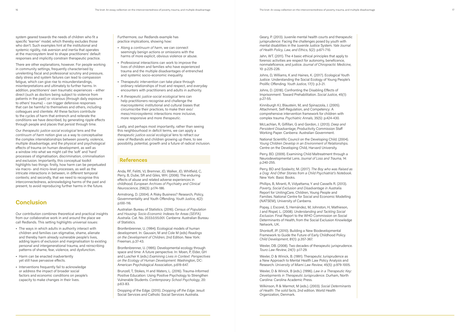system geared towards the needs of children who fit a specific 'learner' model, which thereby excludes those who don't. Such examples hint at the institutional and systemic rigidity, risk aversion and inertia that operates at the macrosystem level to shape practitioners' default responses and implicitly constrain therapeutic practice.

There are other explanations, however. For people working in community settings, frequently characterised by unrelenting fiscal and professional scrutiny and pressure, daily stress and system failures can lead to compassion fatigue, which can give rise to misunderstandings, misinterpretations and ultimately to further harms. In addition, practitioners' own traumatic experiences – either direct (such as doctors being subject to violence from patients in the past) or vicarious (through daily exposure to others' trauma) – can trigger defensive responses that can be harmful to themselves and others, including colleagues and clientele. All these factors contribute to the cycles of harm that entrench and reiterate the conditions we have described, by generating ripple effects through people and places that persist through time.

Our *therapeutic justice-social ecological* lens and the *continuum of harm* notion give us a way to conceptualise the complex interrelationships between poverty, violence, multiple disadvantage, and the physical and psychological effects of trauma on human development, as well as a window into what we might call the 'soft' and 'hard' processes of stigmatisation, discrimination, criminalisation and exclusion. Importantly, this conceptual toolkit highlights two things: firstly, how harm can be perpetuated via macro- and micro-level processes, as well as the intricate interactions in between, in different temporal contexts; and secondly, that we need to recognise this interconnectedness, acknowledging harms of the past and present, to avoid reproducing further harms in the future.

## **Conclusion**

Our contribution combines theoretical and practical insights from our collaborative work in and around the place we call Redlands. This setting highlights universal issues:

- **•** The ways in which adults in authority interact with children and families can stigmatise, shame, alienate and thereby harm already vulnerable people's lives, adding layers of exclusion and marginalisation to existing personal and intergenerational trauma, and reinscribing patterns of shame, fear, violence, and dysfunction.
- **•** Harm can be enacted inadvertently yet still have pervasive effects.
- **•** Interventions frequently fail to acknowledge or address the impact of broader social factors and economic conditions on people's capacity to make changes in their lives.

Furthermore, our Redlands example has practice implications, showing how:

- **•** Along a *continuum of harm*, we can connect seemingly benign actions or omissions with the harms of more explicit, obvious violence or abuse.
- **•** Professional interactions can work to improve the lives of children and families who have experienced trauma and the multiple disadvantages of entrenched and systemic socio-economic inequality.
- **•** Therapeutic intervention can take place through ordinary relationships of trust and respect, and everyday encounters with practitioners and adults in authority.
- **•** A *therapeutic justice-social ecological* lens can help practitioners recognise and challenge the macrosystemic institutional and cultural biases that circumscribe their practices, to make their exo/ meso/microsystemic interactions more inclusive, more responsive and more *therapeutic*.

Lastly, and perhaps most importantly, rather than seeing this neighbourhood in deficit terms, we can apply a *therapeutic justice-social ecological* lens to refract our view of Redlands and children growing up there, to see possibility, potential, growth and a future of radical inclusion.

### **References**

Anda, RF, Felitti, VJ, Bremner, JD, Walker, JD, Whitfield, C, Perry, B, Dube, SR and Giles, WH. (2006). The enduring effects of abuse and related adverse experiences in childhood. *European Archives of Psychiatry and Clinical Neuroscience*, 256(3): p.174-186.

Armstrong, D. (2004). A Risky Business? Research, Policy, Governmentality and Youth Offending. *Youth Justice*, 4(2): p.100-116.

Australian Bureau of Statistics. (2016). *Census of Population and Housing: Socio-Economic Indexes for Areas (SEIFA), Australia*. Cat. No. 2033.0.55.001. Canberra: Australian Bureau of Statistics.

Bronfenbrenner, U. (1994). Ecological models of human development. In: Gauvain, M and Cole M (eds) *Readings on the Development of Children*, 2nd Edition. New York: Freeman, p.37-43.

Bronfenbrenner, U. (1995). Developmental ecology through space and time: A future perspective. In: Moen, P, Elder, GH and Luscher K (eds.) *Examining Lives in Context: Perspectives on the Ecology of Human Development*. Washington, DC: American Psychological Association, p.619-647.

Brunzell, T, Stokes, H and Waters, L. (2016). Trauma-Informed Positive Education: Using Positive Psychology to Strengthen Vulnerable Students. *Contemporary School Psychology*, 20: p.63-83.

Dropping of the Edge. (2015). *Dropping off the Edge*. Jesuit Social Services and Catholic Social Services Australia.

Geary, P. (2013). Juvenile mental health courts and therapeutic jurisprudence: Facing the challenges posed by youth with mental disabilities in the Juvenile Justice System. *Yale Journal of Health Policy, Law, and Ethics*, 5(2): p.671-710.

Jahn, WT. (2011). The 4 basic ethical principles that apply to forensic activities are respect for autonomy, beneficence, nonmaleficence, and justice. *Journal of Chiropractic Medicine*, 10: p.225-226.

Johns, D, Williams, K and Haines, K. (2017). Ecological Youth Justice: Understanding the Social Ecology of Young People's Prolific Offending. *Youth Justice*, 17(1): p.3-21.

Johns, D. (2018). Confronting the Disabling Effects of Imprisonment: Toward Prehabilitation. *Social Justice*, 45(1): p.27-55.

Kinniburgh KJ, Blaustein, M, and Spinazzola, J. (2005). Attachment, Self-Regulation, and Competency: A comprehensive intervention framework for children with complex trauma. *Psychiatric Annals*, 35(5): p.424-430.

McLachlan, R, Gilfillan, G and Gordon, J. (2013). *Deep and Persistent Disadvantage*, Productivity Commission Staff Working Paper. Canberra: Australian Government.

National Scientific Council on the Developing Child. (2004). *Young Children Develop in an Environment of Relationships*. Centre on the Developing Child, Harvard University.

Perry, BD. (2009). Examining Child Maltreatment through a Neurodevelopmental Lens. *Journal of Loss and Trauma*, 14: p.240-255.

Perry, BD and Szalavitz, M. (2017). *The Boy who was Raised as a Dog: And Other Stories from a Child Psychiatrist's Notebook*. New York: Basic Books.

Phillips, B, Miranti, R, Vidyattama, Y and Cassells R. (2013). *Poverty, Social Exclusion and Disadvantage in Australia*. Report for UnitingCare, Children, Young People and Families. National Centre for Social and Economic Modelling (NATSEM), University of Canberra.

Popay, J, Escorel, S, Hernández, M, Johnston, H, Mathieson, J and Rispel, L. (2008). *Understanding and Tackling Social Exclusion*. Final Report to the WHO Commission on Social Determinants of Health, from the Social Exclusion Knowledge Network, UK.

Shonkoff, JP. (2010). Building a New Biodevelopmental Framework to Guide the Future of Early Childhood Policy. *Child Development*, 81(1): p.357-367.

Wexler, DB. (2008). Two decades of therapeutic jurisprudence. *Touro Law Review*, 24(1): p.17-29.

Wexler, D & Winick, B. (1991). Therapeutic Jurisprudence as a New Approach to Mental Health Law Policy Analysis and Research. *University of Miami Law Review*, 45(5): p.979-1005.

Wexler, D & Winick, B (eds.). (1996). *Law in a Therapeutic Key: Developments in Therapeutic Jurisprudence*. Durham, North Carolina: Carolina Academic Press.

Wilkinson, R & Marmot, M (eds.). (2003). *Social Determinants of Health: The solid facts*, 2nd edition. World Health Organization, Denmark.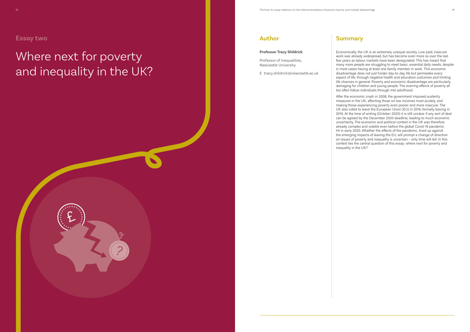## **Author**

#### **Professor Tracy Shildrick**

Professor of Inequalities, Newcastle University

E: tracy.shildrick@newcastle.ac.uk

# Where next for poverty and inequality in the UK?

£

## **Summary**

Economically, the UK is an extremely unequal society. Low paid, insecure work was already widespread, but has become even more so over the last few years as labour markets have been deregulated. This has meant that many more people are struggling to meet basic, essential daily needs, despite in most cases having at least one family member in work. This economic disadvantage does not just hinder day-to-day life but permeates every aspect of life, through negative health and education outcomes and limiting life chances in general. Poverty and economic disadvantage are particularly damaging for children and young people. The scarring effects of poverty all too often follow individuals through into adulthood.

After the economic crash in 2008, the government imposed austerity measures in the UK, affecting those on low incomes most acutely, and making those experiencing poverty even poorer and more insecure. The UK also voted to leave the European Union (EU) in 2016, formally leaving in 2019. At the time of writing (October 2020) it is still unclear if any sort of deal can be agreed by the December 2020 deadline, leading to much economic uncertainty. The economic and political context in the UK was therefore already complex and volatile even before the global Covid-19 pandemic hit in early 2020. Whether the effects of the pandemic, lined up against the emerging impacts of leaving the EU, will prompt a change of direction on issues of poverty and inequality is uncertain – only time will tell. In this context lies the central question of this essay: where next for poverty and inequality in the UK?

## **Essay two**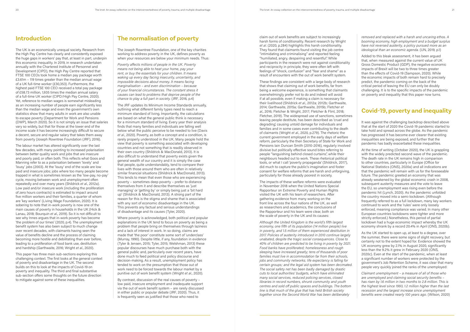## **Introduction**

The UK is an economically unequal society. Research from the High Pay Centre has clearly and consistently exposed the huge gaps in workers' pay that, at least in part, underpin this economic inequality. In 2019, in research undertaken annually with the Chartered Institute of Personnel and Development (CIPD), the High Pay Centre reported that FTSE 100 CEOs took home a median pay package worth £3.61m – 119 times greater than the median annual wage of a UK full-time worker (£30,353). Furthermore, the highest paid FTSE 100 CEO received a total pay package of £58.73 million, 1,935 times the median annual salary of a full-time UK worker (CIPD/High Pay Centre, 2020). Yet, reference to median wages is somewhat misleading as an increasing number of people earn significantly less than the median wage and even the government's own statistics show that many adults in work are also unable to escape poverty (Department for Work and Pensions (DWP), March 2020). So it is not simply an issue that salaries vary so widely, but that for those at the lower end of the income scale it has become increasingly difficult to secure a decent, secure and regular salary that takes them away from poverty (Joseph Rowntree Foundation (JRF), 2016).

The labour market has altered significantly over the last few decades, with many pointing to increased polarisation between better quality work and jobs that are insecure and poorly paid, or often both. This reflects what Goos and Manning refer to as a polarisation between 'lovely' and 'lousy' jobs (2003). At the 'lousy' end of the scale are low paid and insecure jobs; jobs where too many people become trapped in what is sometimes known as the 'low-pay, no-pay' cycle, moving between work and unemployment often repeatedly and over many years (Shildrick *et al*., 2012a). Low paid and/or insecure work (including the proliferation of zero hours contracts) is estimated to impact around five million workers and their families, a quarter of whom are 'key workers' (Living Wage Foundation, 2020). It is sobering to note that in-work poverty is now one of the main causes of poverty in households in the UK (Hick & Lanau, 2018; Bourquin *et al*., 2019). So it is not difficult to see why Innes argues that in-work poverty has become 'the problem of our times' (2020, p.4). The unemployment benefit system has also been subject to much change over recent decades, with claimants having seen the value of benefits decline and the process of claiming becoming more hostile and debilitating than ever before, leading to a proliferation of food bank use, destitution and hardship (Garthwaite, 2016; Wright *et al*., 2020).

This paper has three main sub-sections exploring this challenging context. The first looks at the general context of poverty and disadvantage in the UK. The second builds on this to look at the impacts of Covid-19 on poverty and inequality. The third and final substantive sub-section offers some thoughts on the future direction to mitigate against some of these inequalities.

## **The normalisation of poverty**

The Joseph Rowntree Foundation, one of the key charities working to address poverty in the UK, defines poverty as when your resources are below your minimum needs. Thus:

*Poverty affects millions of people in the UK. Poverty means not being able to heat your home, pay your rent, or buy the essentials for your children. It means waking up every day facing insecurity, uncertainty, and impossible decisions about money. It means facing marginalisation – and even discrimination – because of your financial circumstances. The constant stress it causes can lead to problems that deprive people of the chance to play a full part in society.* (JRF, 2016, p.4)

The JRF updates its Minimum Income Standards annually, outlining what different family types need to reach a minimum standard of living. Importantly, the calculations are based on what the general public think is necessary for a minimum standard of living. Every year their analysis finds that many families and individuals are falling well below what the public perceive to be needed to live (Davis *et al*., 2020). Poverty, as both a concept and a condition, is rarely properly understood in the UK. Many people hold the view that poverty is something associated with developing countries and not something that is readily observed in their own country (Shildrick & MacDonald, 2013). It is also difficult to understand that poverty exists given the general wealth of our country and it is simply the case that people, quite understandably, tend to compare their lives with those around them who are often in relatively similar financial situations (Shildrick & MacDonald, 2013). This tends to mean that even those who are experiencing poverty – sometimes deep poverty – prefer to distance themselves from it and describe themselves as 'just managing' or 'getting by' or simply being just a 'bit hard up' (Shildrick & MacDonald, 2013). A strong part of the reason for this is the stigma and shame that is associated with any sort of economic disadvantage in the UK. This prevents any factual and serious understandings of disadvantage and its causes (Tyler, 2020).

It was against the challenging backdrop described above that at the start of 2020 the Covid-19 pandemic started to take hold and spread across the globe. As the pandemic has progressed it has become ever clearer that existing inequalities are being exposed, and further that the pandemic has badly exacerbated these inequalities.

Where poverty is acknowledged, both political and popular explanations in the UK tend to focus on poverty as being a problem that people bring on themselves through laziness and a lack of interest in work. In so doing, claims are made that 'the poor' constitute some sort of 'underclass' (Murray, 1990). Despite little, if any, foundation in evidence (Tyler & Jensen, 2015; Tyler, 2015; Welshman, 2013) these popular discourses have much purchase both with the general public and, particularly over recent years, have done much to feed political and policy discourse and decision-making. As a result, unemployment policy has tended to work on the presumption that those out of work need to be forced towards the labour market by a punitive out of work benefit system (Wright *et al*., 2020).

By contrast, discussion of the real causes of poverty – low paid, insecure employment and inadequate support via the out of work benefit system – are rarely discussed in either public or popular debate (JRF, 2020). Thus, it is frequently seen as justified that those who need to

claim out of work benefits are subject to increasingly harsh forms of conditionality. Recent research by Wright *et al*. (2020, p.284) highlights this harsh conditionality. They found that claimants found visiting the job centre "intimidating and criminalising" and reported feeling "humiliated, angry, despairing and resentful". While participants in the research were not against conditionality and reciprocity in principle, they were often left with feelings of "shock, confusion" and "fear and shame" as a result of encounters with the out of work benefit system.

These findings are consistent with a large body of research that shows that claiming out of work benefits, far from being a welcome experience, is something that claimants overwhelmingly prefer not to do and indeed will avoid if at all possible, even if making a claim is necessary for their livelihood (Shildrick *et al*., 2012a; 2012b; Garthwaite, 2014; Garthwaite, 2015a; Garthwaite, 2015b; Fletcher *et al*., 2016; Fletcher & Wright, 2017; Fletcher & Flint, 2018; Fletcher, 2019). The widespread use of sanctions, sometimes leaving people destitute, has been described as 'cruel and degrading', causing untold damage for individuals and families and in some cases even contributing to the death of claimants (Wright *et al*., 2020, p.279). The rhetoric the current government employed in the early days of welfare reform, particularly the then Secretary of State for Work and Pensions Iain Duncan Smith (2010-2016), regularly involved divisive but politically effective sound bites referring to people "languishing behind closed curtains", while their neighbours headed out to work. These rhetorical political tools, or what I call 'poverty propaganda' (Shildrick, 2017), did much to capture the public's imagination and foster consent for welfare reforms that are harsh and unforgiving, particularly for those already poorest in society.

The impacts of these welfare reforms were evaluated in November 2018 when the United Nations Special Rapporteur on Extreme Poverty and Human Rights visited the UK with his team of researchers. After gathering evidence from many working on the front line across the four nations of the UK, as well as researchers and academics, the conclusions of the Rapporteur and his team were clear, both on the scale of poverty in the UK and its causes:

*Although the United Kingdom is the world's fifth largest economy, one fifth of its population (14 million people) live in poverty, and 1.5 million of them experienced destitution in 2017. Policies of austerity introduced in 2010 continue largely unabated, despite the tragic social consequences. Close to 40% of children are predicted to be living in poverty by 2021. Food banks have proliferated; homelessness and rough sleeping have increased greatly; tens of thousands of poor families must live in accommodation far from their schools, jobs and community networks; life expectancy is falling for certain groups; and the legal aid system has been decimated. The social safety net has been badly damaged by drastic cuts to local authorities' budgets, which have eliminated many social services, reduced policing services, closed libraries in record numbers, shrunk community and youth centres and sold off public spaces and buildings. The bottom line is that much of the glue that has held British society together since the Second World War has been deliberately* 

*removed and replaced with a harsh and uncaring ethos. A booming economy, high employment and a budget surplus have not reversed austerity, a policy pursued more as an ideological than an economic agenda.* (UN, 2019, p.1)

Added to this bleak assessment, it has been argued that, when measured against the current value of UK Gross Domestic Product (GDP), the negative economic impacts of Brexit will be two to three times greater than the effects of Covid-19 (Sampson, 2020). While the economic impacts of both remain hard to precisely predict, the pandemic coming on the back of the critical period of leaving the EU can only be doubly challenging. It is to the specific impacts of the pandemic on poverty and inequality that this paper now turns.

## **Covid-19, poverty and inequality**

At the time of writing (October 2020), the UK is grappling with the widely predicted second wave of the pandemic. The death rate in the UK remains high in comparison to other countries, particularly in Europe (Office for National Statistics (ONS), 2020a) and all indications are that the pandemic will remain with us for the foreseeable future. The pandemic greeted an economy that was already weakened by the global economic crash in 2008, subsequent austerity measures and the vote to leave the EU, so unemployment was rising even before the pandemic hit (Lynch, 2020). As the pandemic unfolded the country moved into a semi-lockdown. (Although frequently referred to as a full lockdown, many key workers continued to work and the 'rules' were only loosely enforced, meaning compliance was varied. In many other European countries lockdowns were tighter and more strictly enforced.) Nonetheless, this period of partial lockdown had a huge economic impact whereby the UK economy shrank by a record 20.4% in April (ONS, 2020b).

As the UK started to open up, at least to a degree, over the summer, there were some signs of slight recovery, but certainly not to the extent hoped for. Evidence showed the UK economy grew by 2.1% in August 2020, significantly less than the 9.2% it grew in February 2020 (ONS, 2020c). Even at the start of the pandemic, when at least a significant number of workers were protected by the government's Job Retention Scheme, it was clear that many people very quickly joined the ranks of the unemployed:

*Claimant unemployment – a measure of all of those who are unemployed and claiming social security benefits – has risen by 1.6 million in two months to 2.8 million. This is the highest level since 1993, 1.2 million higher than the last recession and the largest increase since unemployment benefits were created nearly 100 years ago.* (Wilson, 2020)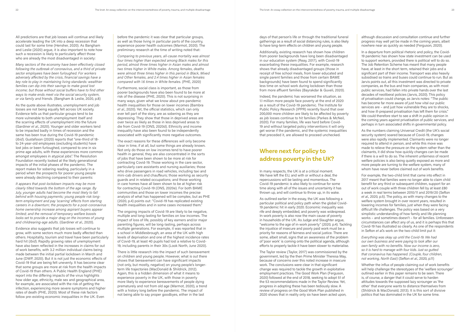All predictions are that job losses will continue and likely accelerate leading the UK into a deep recession that could last for some time (Hensher, 2020). As Bangham and Leslie (2020) argue, it is also important to note how such a recession is likely to particularly affect those who are already the most disadvantaged in society:

*Many sectors of the economy have been effectively closed following the outbreak of coronavirus, and a third of private sector employees have been furloughed. For workers adversely affected by the crisis, financial savings have a key role to play in maintaining living standards: wealthier families can dip into their savings to make good lost income; but those without social buffers have to find other ways to make ends meet via the social security system, or via family and friends.* (Bangham & Leslie, 2020, p.8)

Evidence also suggests that job losses will continue to grow, with some sectors much more badly affected than others. Hospitality, tourism and travel have been particularly hard hit (*Ibid*). Rapidly growing rates of unemployment have also been reflected in the increases in claims for out of work benefits, with 3.2 million individual claims being made between the initial partial lockdown in March and June (DWP, 2020). But it is not just the economic effects of Covid-19 that are being felt unevenly. It has become clear that some groups are more at risk from the health impacts of Covid-19 than others. A Public Health England (PHE) report into the differing impacts of the virus highlights how older age, ethnicity, male sex and geographical area, for example, are associated with the risk of getting the infection, experiencing more severe symptoms and higher rates of death (PHE, 2020). Most of these risk factors follow pre-existing economic inequalities in the UK. Even

As the quote above illustrates, unemployment and job losses are not being equally felt across UK society. Evidence tells us that particular groups tend to be more vulnerable to both unemployment itself and the scarring effects of unemployment into the future (Gardiner *et al*., 2020). Younger and older workers tend to be impacted badly in times of recession and the same has been true during the Covid-19 pandemic (*Ibid*). Gustafsson (2020) reports that "one-third of 18 to 24-year-old employees (excluding students) have lost jobs or been furloughed, compared to one in six prime age adults, with these experiences more common amongst employees in atypical jobs". The Resolution Foundation recently looked at the likely generational impacts of the initial phases of the pandemic. The report makes for sobering reading, particularly in a period when the prospects for poorer young people were already declining compared to their parents:

*It appears that post-lockdown impacts may be more clearly tilted towards the bottom of the age range. By July, younger adults had become the most likely to fall behind with housing payments; young people risk longterm employment and pay 'scarring' effects from starting careers in a downturn; the prospects for a post-coronavirus home ownership increase among aspirant buyers appear limited; and the removal of temporary welfare boosts looks set to provide a major drag on the incomes of young and childrearing-age adults.* (Gardiner *et al*., 2020).

before the pandemic it was clear that particular groups, as well as those living in particular parts of the country, experience poorer health outcomes (Marmot, 2020). The preliminary research at the time of writing noted that:

*Comparing to previous years, all-cause mortality was almost four times higher than expected among Black males for this period, almost three times higher in Asian males and almost two times higher in White males. Among females, deaths were almost three times higher in this period in Black, Mixed and Other females, and 2.4 times higher in Asian females compared with 1.6 times in White females.* (PHE, 2020)

Furthermore, social class is important, as those from poorer backgrounds have also been found to be more at risk of the disease (PHE, 2020). This is not surprising in many ways, given what we know about pre-pandemic health inequalities for those on lower incomes (Bambra *et al*., 2020). Yet, the official statistics, which can only ever tell part of the story, are as sobering as they are depressing. They show that those in deprived areas are over twice as likely as those in less deprived areas to die from Covid-19 (ONS, 2020d). Ethnicity and income inequality have also been found to be independently associated with significantly more negative outcomes.

The exact reasons for these differences will only become clear in time, if at all, but some things are already known. Not only do those on low incomes tend to have poorer health in general, they are also concentrated in the sorts of jobs that have been shown to be more at risk for contracting Covid-19. Those working in the care sector, particularly care assistants and nursing auxiliaries; those who drive passengers in road vehicles, including taxi and mini-cab drivers and chauffeurs; those working as security guards and in related occupations; and those working in care homes have all been shown to be at higher risk for contracting Covid-19 (ONS, 2020e). For both BAME communities and those on lower incomes the precise analysis of what has happened will be complex, but as PHE (2020, p.4) points out: "Covid-19 has replicated existing health inequalities and in some cases increased them."

For example, the two-child limit that came into effect in 2017 meant that families were no longer able to claim child benefit for any third or subsequent children, support for an out of work couple with three children fell by at least £80 a week in real terms between 2010/11 and 2019/20 (Sefton *et al*., 2020, p.5). The policy, as with many changes to the welfare system brought in over recent years, resulted in lowering incomes for families, just when they were facing difficult life challenges. The policy was based on a very simplistic understanding of how family and life planning works – and sometimes doesn't – for all families. Unforeseen circumstances can affect any of us, and it is perhaps this that Covid-19 has illustrated so clearly. As one of the respondents in Sefton *et al'*.'s work on the two-child limit put it:

The ongoing impacts of Covid-19 are likely to be negative, multiple and long-lasting for families on low incomes. The impact of loss of life, possibly of key earners and/or major parenting figures, will be long-lasting, perhaps across multiple generations. For example, it was reported that in a school in Middlesbrough, an area of the UK with high levels of deprivation and one of the highest incidence rates of Covid-19, at least 40 pupils had lost a relative to Covid-19, including parents in their 30s (Look North, June 2020).

There is little research into the impact of such bereavement on children and young people. However, what is out there shows that bereavement can have significant impacts (not only, but mostly, negative) on young people's longerterm life trajectories (MacDonald & Shildrick, 2012). Again, this is a hidden dimension of what it means to experience poverty in the UK, with those in poverty more likely to experience bereavements of people dying prematurely and not from old age (Marmot, 2020), a trend with a history long before the pandemic. The impact of not being able to say proper goodbyes, either in the last

days of that person's life or through the traditional funeral gatherings as a result of social distancing rules, is also likely to have long-term effects on children and young people.

Additionally, existing research has shown how children from poorer backgrounds have long been disadvantaged in our education system (Reay, 2017), with Covid-19 exacerbating these inequalities. For example, research shows that already disadvantaged groups (those in receipt of free school meals, from lower educated and single parent families and those from certain BAME backgrounds) have been found to spend significantly less time on school work during lockdown than those from more affluent families (Bayrakdar & Guveli, 2020).

Indeed, the pandemic has worsened the situation, as 1.1 million more people face poverty at the end of 2020 as a result of the Covid-19 pandemic. The Institute for Public Policy Research (IPPR) recently found that over 200,000 more children are likely to be affected by poverty as job losses continue to hit families (Parkes & McNeil, 2020). For many families, life was hard before Covid-19 and without targeted policy interventions it will only get worse if the pandemic, and the systemic inequalities that preceded it, are allowed to proceed unchecked.

## **Where next for policy to address poverty in the UK?**

In many respects, the UK is at a critical moment. We have left the EU, and with or without a deal, the repercussions will be lasting and momentous. The Covid-19 pandemic is also likely to continue for some time along with all of the issues and uncertainty it has thrown up, and will continue to throw up, in its wake.

As outlined earlier in the essay, the UK was following a particular political and policy path when the global Covid-19 pandemic hit in early 2020. Economic inequality was rife and deeply embedded, and poverty was widespread. In-work poverty is also now the main cause of poverty in households of the UK. As Judge and Slaughter argue, "welcome to the age of in-work poverty" (2020, p.4). Tackling the injustice of insecure and poorly paid work must be a priority for reasons of fairness and social justice. There are some, albeit small, signs that an awareness of the problem of 'poor work' is coming onto the political agenda, although efforts to properly tackle it have been slower to materialise.

The Taylor review (Taylor, 2017) was commissioned by the government, led by the then Prime Minister Theresa May, because of concerns over this noted increase in insecure work. The conclusions were clear in that significant change was required to tackle the growth in exploitative employment practices. The Good Work Plan (Ferguson, 2020) followed at the end of 2018, seeking to adopt 51 of the 53 recommendations made in the Taylor Review. Yet, progress in adopting these has been tediously slow. A review of progress on the Good Work Plan published in 2020 shows that in reality only six have been acted upon,

although discussion and consultation continue and further progress may well yet be made in the coming years, albeit nowhere near as quickly as needed (Ferguson, 2020).

In a departure from political rhetoric and policy, the Covid-19 pandemic has shown how state investment can be used to support workers, provided there is political will to do so. The Job Retention Scheme has meant that many people have, at least in the short term, retained their jobs and a significant part of their income. Transport was also heavily subsidised so trains and buses could continue to run. But as Jarvis points out, all this investment was directed to private companies, as the bus and train companies, as with most public services, had fallen into private hands over the last decades of neoliberal policies (Jarvis, 2020). This policy of privatisation could change, as Jarvis notes: "The public has become far more aware of just how vital our public services are – and just how vulnerable they are to shocks, and how ill-prepared privatisation has left them for crisis." We could therefore start to see a shift in public opinion in the coming years against privatisation of public services, and perhaps in turn associated shifts in governmental policy.

As the numbers claiming Universal Credit (the UK's social security system) soared because of Covid-19, changes were also rapidly implemented. Claimants were no longer required to attend in person, and while this move was made to relieve the pressure on the system rather than the claimants, it did show how quickly changes can be made if there is a will to do so. The inherent unfairness of recent welfare policies is also being quietly exposed as more and more people are turning to the welfare system, many of whom have never before claimed out of work benefits.

*Everything was okay up until the Covid-19. We had our own business and were paying to look after our own family with no benefits. Now our income is zero, so it is hard to manage with four kids. Just so gutted that coronavirus has happened. (Couple, four children, not working, North East)* (Sefton *et al*., 2020, p.11)

Whether the influx of people claiming out of work benefits will help challenge the stereotypes of the 'welfare scrounger' outlined earlier in this paper remains to be seen. There is, of course, a danger that it could serve to harden attitudes towards the supposed lazy scrounger as 'the other' that everyone wants to distance themselves from (Shildrick & MacDonald, 2013). It is this sort of divisive politics that has dominated in the UK for some time.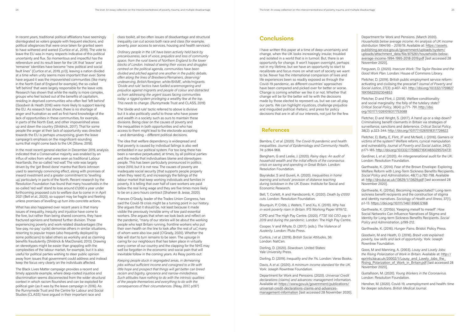In recent years, traditional political affiliations have seemingly disintegrated as voters grapple with frequent elections, and political allegiances that were once taken for granted seem to have withered and waned (Curtice *et al*., 2019). The vote to leave the EU was in many respects indicative of this political uncertainty and flux. So momentous and impactful has the referendum and its result been for the UK that 'leaver' and 'remainer' identities have become "new political and social fault lines" (Curtice *et al*., 2019, p.13), leaving a nation divided at a time when unity seems more important than ever. Some have argued it was the impoverished communities (like many in the North East of England for example), the so-called 'left behind' that were largely responsible for the leave vote. Research has shown that while the reality is more complex, groups who feel locked out of the benefits of capitalism, residing in deprived communities who often feel 'left behind' (Goodwin & Heath 2016) were more likely to support leaving the EU. As research has shown, there is no shortage of anger and frustration as well as first-hand knowledge of the lack of opportunities in these communities, for example, in parts of the North East, and other impoverished areas up and down the country (Shildrick, 2017). That for some people the anger at their lack of opportunity was directed towards the EU is perhaps unsurprising, given the leave campaign's emphasis on the magnificent-sounding sums that might come back to the UK (Stone, 2018).

In the most recent general election in December 2019, analysis indicated that a Conservative majority was enabled by an influx of votes from what were seen as traditional Labour heartlands, the so-called 'red wall'. The vote was largely driven by the 'get Brexit done' mantra that Boris Johnson used to seemingly convincing effect, along with promises of inward investment and a greater commitment to 'levelling up', particularly in parts of the North. Recent research by the Resolution Foundation has found that many households in the so-called 'red wall' stand to lose around £1,000 a year under forthcoming proposed cuts to welfare due to come in in April 2021 (Bell *et al*., 2020), so support may be fragile and fleeting unless promises of levelling up turn into concrete actions.

What has also happened over recent years is that many issues of inequality, inequity and injustice have come to the fore, but rather than being shared concerns, they have fractured opinions and fostered further division. Those experiencing poverty and work-related disadvantages (the 'low-pay, no-pay' cycle) demonise others in similar situations, resorting to popular tropes (also frequently deployed by some politicians) to label others as workshy and as claiming benefits fraudulently (Shildrick & MacDonald, 2013). Drawing on stereotypes might be easier than grappling with the complexities of the labour market, for example, but it is also useful for political parties wishing to steer public opinion away from issues that government could address and instead keep the focus very clearly on the individuals affected.

The Black Lives Matter campaign provides a recent and timely apposite example, where deep-rooted injustice and discrimination seems disconnected from the wider structural context in which racism flourishes and can be exploited for political gain (as it was by the leave campaign in 2016). As the Runnymede Trust and the Centre for Labour and Social Studies (CLASS) have argued in their important race and

class toolkit, all too often issues of disadvantage and structural inequality can cut across both race and class (for example, poverty, poor access to services, housing and health services):

*Ordinary people in the UK have been actively held back by precariousness, lack of voice, prejudice and loss of community space; from the rural towns of Northern England to the tower blocks of London. Instead of seeing their voices and struggles centred on the political agenda, communities have been divided and pitched against one another in the public debate, often along the lines of Brexiteers/Remainers, deserving/ undeserving, British/foreigner, white/BAME, white/migrants. 'Divide and rule' tactics have fuelled scaremongering and prejudice against migrants and people of colour and distracted us from addressing the urgent issues facing communities today: a rigged system privileging a wealthy few at the top. This needs to change.* (Runnymede Trust and CLASS, 2019)

The 'divide and rule' tactic referred to above is divisive but it is also politically useful to those who have power and wealth in a society such as ours to maintain these divisions. Being clear on the causes of poverty and the inequalities in both opportunities and who has access to them might lead to the electorate accepting – and demanding – different political decisions.

The idea that welfare dependency is widespread and that poverty is caused by individual failings is also well embedded in our political system. For too long there has been a narrative perpetuated, at times, by all political parties and the media that individualises blame and stereotypes people. This has been particularly pronounced in politics since 2010, but it is not new. The causes of poverty are inadequate social security (that supports people properly when they need it), and increasingly the failings of the labour market that keep working individuals and families in poverty. It is telling that over half of care workers are paid below the real living wage and they are five times more likely to be on a zero hours contract (Shaheen & Jesse, 2020).

Frances O'Grady, leader of the Trades Union Congress, has said the Covid-19 crisis might be a turning point in our history. She argues that it should be, not least because it made visible the previously invisible army of low paid essential workers. She argues that when we look back and reflect on the pandemic, "many of our stories will be about the working people who kept Britain running, frontline workers who put their own health on the line to look after the rest of us", many of whom were also low paid (O'Grady, 2020). Whether the tide will start to turn remains to be seen. The upsurge in caring for our neighbours that has taken place in virtually every corner of our country and the clapping for the NHS may well be forgotten in the economic and social pain that will inevitable follow in the coming years. As Reay points out:

*Keeping people stuck in segregated areas, in demeaning jobs without sufficient income and consigned to a life with little hope and prospect that things will get better can breed racism and bigotry, ignorance and narrow-mindedness. Such attitudes have nothing to do with the intrinsic qualities of the people themselves and everything to do with the consequences of their circumstances.* (Reay, 2017, p.197)

## **Conclusions**

I have written this paper at a time of deep uncertainty and change, when the UK looks increasingly insular, troubled and isolated in a world that is in turmoil. But, there is an opportunity for change. It won't happen overnight, perhaps not in my lifetime, but we have an opportunity to start to recalibrate and focus more on what sort of society we want to be. Never has the international comparison of lives and life experiences been so readily exposed as through the Covid-19 pandemic, as different countries' approaches have been compared and picked over for better or worse. Change is coming whether we like it or not. Whether that change will be for the better will lie with the decisions made by those elected to represent us, but we can all play our parts. We can highlight injustices, challenge prejudice and misguided political rhetoric, and press for policy decisions that are in all of our interests, not just for the few.

### **References**

Bambra, C *et al*. (2020). *The Covid-19 pandemic and health inequalities. Journal of Epidemiology and Community Health*, 74: p.964-968.

Bangham, G and Leslie, J. (2020). *Rainy days: An audit of household wealth and the initial effects of the coronavirus crisis on saving and spending in Great Britain*. London: Resolution Foundation.

Bayrakdar, S and Guveli, A. (2020). *Inequalities in home learning and schools' provision of distance teaching during lockdown in the UK*. Essex: Institute for Social and Economic Research.

Bell, T, Corlett, A and Handscomb, K. (2020). *Death by £1000 cuts*. London: Resolution Foundation.

Bourquin, P, Cribb, J, Waters, T and Xu, X. (2019). *Why has in-work poverty risen in Britain*. IFS Working Paper W19/12.

CIPD and The High Pay Centre. (2020). *FTSE 100 CEO pay in 2019 and during the pandemic*. London: The High Pay Centre.

Cooper, V and Whyte, D. (2017). (eds.). *The Violence of Austerity*. London: Pluto Press.

Curtice, J *et al*. (2019). *British Social Attitudes*, 36: London: NatCen.

Dorling, D. (2020). *Slowdown*. United States: Yale University Press.

Dorling, D. (2019). *Inequality and the 1%*. London: Verso Books.

Davis, A *et al*. (2020). *A minimum income standard for the UK*. York: Joseph Rowntree Foundation.

Department for Work and Pensions. (2020). *Universal Credit declarations (claims) and advances: management information*. Available at: https://www.gov.uk/government/publications/ universal-credit-declarations-claims-and-advancesmanagement-information [last accessed 28 November 2020].

Department for Work and Pensions. (March 2020). *Households below average income: An analysis of UK income distribution 1994/95 – 2018/19*. Available at: https://assets. publishing.service.gov.uk/government/uploads/system/ uploads/attachment\_data/file/875261/households-belowaverage-income-1994-1995-2018-2019.pdf [last accessed 28 November 2020].

Ferguson, D. (2020). *Insecure Work: The Taylor Review and the Good Work Plan*. London: House of Commons Library.

Fletcher, D. (2019). British public employment service reform: activating and civilising the precariat? *Journal of Poverty and Social Justice*, 27(3): p.407- 421. http://doi.org/10.1332/1759827 19X15622552304853

Fletcher, D and Flint, J. (2018). Welfare conditionality and social marginality: the folly of the tutelary state? *Critical Social Policy*, 38(4): p.771- 791. http://doi. org/10.1177/0261018317753088

Fletcher, D and Wright, S. (2017). A hand up or a slap down? Criminalising benefit claimants in Britain via strategies of surveillance, sanctions and deterrence. *Critical Social Policy*, 38(2): p.323-344. http://doi.org/10.1177/0261018317726622

Fletcher, D, Batty, E, Flint, JF and McNeill, J. (2016). Gamers or victims of the system? Welfare reform, cynical manipulation and vulnerability. *Journal of Poverty and Social Justice*, 24(2): p.171-185. http://doi.org/10.1332/175982716X14650295704731

Gardiner, L *et al*. (2020). *An intergenerational audit for the UK*. London: Resolution Foundation.

Garthwaite, K. (2014). Fear of the Brown Envelope: Exploring Welfare Reform with Long-Term Sickness Benefits Recipients. *Social Policy and Administration*, 48(7) p.782-798. Available at: http://dro.dur.ac.uk/13629/1/13629.pdf [last accessed 28 November 2020].

Garthwaite, K. (2015a). Becoming incapacitated? Long-term sickness benefit recipients and the construction of stigma and identity narratives. *Sociology of Health and Illness*, 37(1), p.1-13. https://doi.org/10.1111/1467-9566.12168

Garthwaite, K. (2015b). 'Keeping meself to meself': How Social Networks Can Influence Narratives of Stigma and Identity for Long-term Sickness Benefits Recipients. *Social Policy and Administration*, p.199-212.

Garthwaite, K. (2016). *Hunger Pains*. Bristol: Policy Press.

Goodwin, M and Heath, O. (2016). *Brexit vote explained: poverty, low skills and lack of opportunity*. York: Joseph Rowntree Foundation.

Goos, M and Manning, A. (2003). *Lousy and Lovely Jobs: the Rising Polarization of Work in Britain*. Available at: http:// eprints.lse.ac.uk/20002/1/Lousy\_and\_Lovely\_Jobs\_the\_ Rising\_Polarization\_of\_Work\_in\_Britain.pdf [last accessed 28 November 2020].

Gustafsson, M. (2020). *Young Workers in the Coronavirus*. London: Resolution Foundation.

Hensher, M. (2020). Covid-19, unemployment and health: time for deeper solutions. *British Medical Journal*.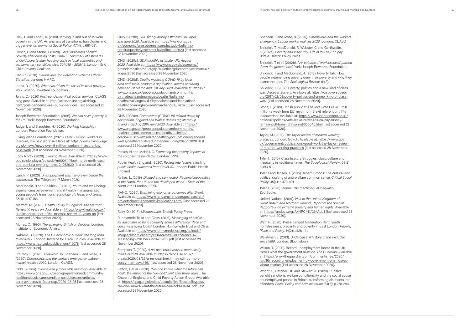Hick, R and Lanau, A. (2018). Moving in and out of in-work poverty in the UK: An analysis of transitions, trajectories and trigger events. *Journal of Social Policy*, 47(4): p.661-681.

Hirsch, D and Stone, J. (2020). *Local indicators of child poverty after housing costs, 2018/19: Summary of estimates of child poverty after housing costs in local authorities and parliamentary constituencies, 2014/15 – 2018/19*. London: End Child Poverty Coalition.

HMRC. (2020). *Coronavirus Job Retention Scheme Official Statistics*. London: HMRC.

Innes, D. (2020). *What has driven the rise of in-work poverty*. York: Joseph Rowntree Foundation.

Jarvis, C. (2020) *Post-pandemic: Real public services*. CLASS blog post. Available at: http://classonline.org.uk/blog/ item/post-pandemic-real-public-services [last accessed 28 November 2020].

Joseph Rowntree Foundation. (2016). W*e can solve poverty in the UK*. York: Joseph Rowntree Foundation.

Judge, L and Slaughter, H. (2020). *Working Hard(ship)*. London: Resolution Foundation.

Living Wage Foundation. (2020). *Over 5 million workers in insecure, low paid work*. Available at: https://www.livingwage. org.uk/news/news-over-5-million-workers-insecure-lowpaid-work [last accessed 28 November 2020].

Look North. (2020). *Evening News*. Available at: https://www. bbc.co.uk/iplayer/episode/m000kf1f/look-north-north-eastand-cumbria-evening-news-24062020 [last accessed 28 November 2020].

Lynch, R. (2020). *Unemployment was rising even before the coronavirus*. The Telegraph, 17 March 2020.

MacDonald, R and Shildrick, T. (2012). Youth and well-being: experiencing bereavement and ill health in marginalised young people's transitions. *Sociology of Health and Illness,* 35(1): p.147-161.

Marmot, M. (2020). *Health Equity in England: The Marmot Review 10 years on*. Available at: https://www.health.org.uk/ publications/reports/the-marmot-review-10-years-on [last accessed 28 November 2020].

Murray, C. (1990). *The emerging British underclass*. London: Institute for Economic Affairs.

Nabarro, B. (2020). *The UK economic outlook: the long road to recovery*. London: Institute for Fiscal Studies. Available at: https://www.ifs.org.uk/publications/15078 [last accessed 28 November 2020].

O'Grady, F. (2020). Foreword. In: Shaheen, F and Jesse, R. (2020). *Coronavirus and the workers emergency: Labour market realities 2020*. London: CLASS.

ONS. (2020a). *Coronavirus (COVID-19) round-up*. Available at: https://www.ons.gov.uk/peoplepopulationandcommunity/ healthandsocialcare/conditionsanddiseases/articles/ coronaviruscovid19roundup/2020-03-26 [last accessed 28 November 2020].

ONS. (2020b). *GSP first quarterly estimates UK: April and June 2020*. Available at: https://www.ons.gov. uk/economy/grossdomesticproductgdp/bulletins/ gdpfirstquarterlyestimateuk/apriltojune2020 [last accessed 28 November 2020].

ONS. (2020c). *GDP monthly estimate, UK: August 2020*. Available at: https://www.ons.gov.uk/economy/ grossdomesticproductgdp/bulletins/gdpmonthlyestimateuk/ august2020 [last accessed 28 November 2020].

ONS. (2020d). *Deaths involving COVID-19 by local area and socio-economic deprivation: deaths occurring between 1st March and 31st July 2020*. Available at: https:// www.ons.gov.uk/peoplepopulationandcommunity/ birthsdeathsandmarriages/deaths/bulletins/ deathsinvolvingcovid19bylocalareasanddeprivation/ deathsoccurringbetween1marchand31july2020 [last accessed 28 November 2020].

ONS. (2020e). *Coronavirus (COVID-19) related death by occupation, England and Wales: deaths registered up to and including 20th April 2020*. Available at: https:// www.ons.gov.uk/peoplepopulationandcommunity/ healthandsocialcare/causesofdeath/bulletins/ coronaviruscovid19relateddeathsbyoccupationenglandand wales/deathsregistereduptoandincluding20april2020 [last accessed 28 November 2020].

Parkes, H and McNeil, C. *Estimating the poverty impacts of the coronavirus pandemic*. London: IPPR.

Public Health England. (2020). *Review into factors affecting public health outcomes from Covid-19*. London: Public Health England.

Raikes, L. (2019). *Divided and connected: Regional inequalities in the North, the UK and the developed world – State of the North 2019*. London: IPPR.

RAND. (2020). *Examining economic outcomes after Brexit*. Available at: https://www.rand.org/randeurope/research/ projects/brexit-economic-implications.html [last accessed 28 November 2020].

Reay, D. (2017). *Miseducation*. Bristol: Policy Press.

Runnymede Trust and Class. (2019). *Messaging checklist for advocates to build solidarity across difference: Race and class messaging toolkit*. London: Runnymede Trust and Class. Available at: https://www.runnymedetrust.org/uploads/ images/blog/Solidarity%20Across%20Difference%20 Messaging%20Checklist%202019.pdf [last accessed 28 November 2020].

Sampson, T. (2020). *A no-deal brexit may be more costly than Covid-19*. Available at: https://blogs.lse.ac.uk/ brexit/2020/08/26/a-no-deal-brexit-may-still-be-morecostly-than-covid-19/ [last accessed 28 November 2020].

Sefton, T *et al*. (2020). *"No-one knows what the future can hold": the impact of the two-child limit after three years*. The Church of England and Child Poverty Action Group. Available at: https://cpag.org.uk/sites/default/files/files/policypost/ No-one-knows-what-the-future-can-hold-FINAL.pdf [last accessed 28 November 2020].

Shaheen, F and Jesse, R. (2020). *Coronavirus and the workers emergency: Labour market realities 2020*. London: CLASS.

Shildrick, T, MacDonald, R, Webster, C and Garthwaite, K.(2012a). *Poverty and Insecurity: Life in low pay, no pay Britain*. Bristol: Policy Press.

Shildrick, T *et al*. (2012b). A*re 'cultures of worklessness' passed down the generations?* York: Joseph Rowntree Foundation.

Shildrick, T and MacDonald, R. (2013). Poverty Talk: How people experiencing poverty deny their poverty and why they blame the poor. *The Sociological Review*, 61(2).

Shildrick, T. (2017). Poverty, politics and a new kind of class war. *Discover Society*. Available at: https://discoversociety. org/2017/02/01/poverty-politics-and-a-new-kind-of-classwar/ [last accessed 28 November 2020].

Stone, J. (2018). British public still believe Vote Leave '£350 million a week from EU' myth from Brexit referendum. *The Independent*. Available at: https://www.independent.co.uk/ news/uk/politics/vote-leave-brexit-lies-eu-pay-moneyremain-poll-boris-johnson-a8603646.html [last accessed 28 November 2020].

Taylor, M. (2017). T*he Taylor review of modern working practices*. London: Gov.uk. Available at: https://www.gov. uk/government/publications/good-work-the-taylor-reviewof-modern-working-practices [last accessed 28 November 2020].

Tyler, I. (2015). Classificatory Struggles: class, culture and inequality in neoliberal times. *The Sociological Review*, 63(2): p.493-511.

Tyler, I and Jensen, T. (2015) Benefit Broods: The cultural and political crafting of anti-welfare common sense. *Critical Social Policy*, 35(4): p.470-491.

Tyler, I. (2020) *Stigma: The machinery of inequality*. Zed Books.

United Nations. (2019). *Visit to the United Kingdom of Great Britain and Northern Ireland: Report of the Special Rapporteur on extreme poverty and human rights*. Available at: https://undocs.org/A/HRC/41/39/Add.1 [last accessed 28 November 2020].

Watt, P. (2020). Press-ganged Generation Rent: youth homelessness, precarity and poverty in East London. *People, Place and Policy*, 14(2): p.128-141.

Welshman, J. (2013). *Underclass: A history of the excluded since 1880*. London: Bloomsbury.

Wilson, T. (2020). Record unemployment looms in the UK. Here's what the government must do. *The Guardian*. Available at: https://www.theguardian.com/commentisfree/2020/ jun/16/record-unemployment-uk-government-ons-figureslabour-market [last accessed 28 November 2020].

Wright, S, Fletcher, DR and Stewart, A. (2020). Punitive benefit sanctions, welfare conditionality and the social abuse of unemployed people in Britain: transforming claimants into offenders. *Social Policy and Administration*, 54(2): p.278-294.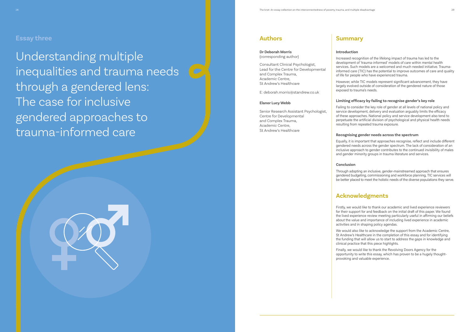Understanding multiple inequalities and trauma needs ( through a gendered lens: The case for inclusive gendered approaches to trauma-informed care

## **Summary**

#### **Introduction**

Increased recognition of the lifelong impact of trauma has led to the development of 'trauma-informed' models of care within mental health services. Such models are a welcomed and much needed initiative. Traumainformed care (TIC) has the potential to improve outcomes of care and quality of life for people who have experienced trauma.

However, while TIC models represent significant advancement, they have largely evolved outside of consideration of the gendered nature of those exposed to trauma's needs.

### **Limiting efficacy by failing to recognise gender's key role**

Failing to consider the key role of gender at all levels of national policy and service development, delivery and evaluation arguably limits the efficacy of these approaches. National policy and service development also tend to perpetuate the artificial division of psychological and physical health needs resulting from repeated trauma exposure.

### **Recognising gender needs across the spectrum**

Equally, it is important that approaches recognise, reflect and include different gendered needs across the gender spectrum. The lack of consideration of an inclusive approach to gender contributes to the continued invisibility of males and gender minority groups in trauma literature and services.

### **Conclusion**

Through adopting an inclusive, gender-mainstreamed approach that ensures gendered budgeting, commissioning and workforce planning, TIC services will be better placed to meet the holistic needs of the diverse populations they serve.

## **Acknowledgments**

Firstly, we would like to thank our academic and lived experience reviewers for their support for and feedback on the initial draft of this paper. We found the lived experience review meeting particularly useful in affirming our beliefs about the value and importance of including lived experience in academic activities and in shaping policy agendas.

We would also like to acknowledge the support from the Academic Centre, St Andrew's Healthcare in the completion of this essay and for identifying the funding that will allow us to start to address the gaps in knowledge and clinical practice that this piece highlights.

Finally, we would like to thank the Revolving Doors Agency for the opportunity to write this essay, which has proven to be a hugely thoughtprovoking and valuable experience.



## **Authors**

#### **Dr Deborah Morris** (corresponding author)

Consultant Clinical Psychologist, Lead for the Centre for Developmental and Complex Trauma, Academic Centre, St Andrew's Healthcare

E: deborah.morris@standrew.co.uk

#### **Elanor Lucy Webb**

Senior Research Assistant Psychologist, Centre for Developmental and Complex Trauma, Academic Centre, St Andrew's Healthcare

## **Essay three**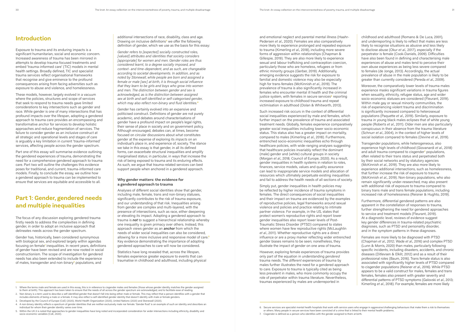## **Introduction**

Exposure to trauma and its enduring impacts is a significant humanitarian, social and economic concern. Increased awareness of trauma has been mirrored in attempts to develop trauma-focused treatments and embed 'trauma-informed care' (TIC) models in mental health settings. Broadly defined, TIC and specialist trauma services reflect organisational frameworks that recognise and give eminence to the profound consequences arising from facing adversities such as exposure to abuse and violence, and homelessness.

These models, however, largely evolved in a vacuum where the policies, structures and scope of services that seek to respond to trauma needs gave limited considerations to key intersections such as gender and race. While gender is one of many intersections that has profound impacts over the lifespan, adopting a gendered approach to trauma care provides an encompassing and transformative *anchor* for services to develop holistic approaches and reduce fragmentation of services. The failure to consider gender as an inclusive construct at all strategic and operational levels and stages of care is arguably a key limitation in current 'trauma-informed' services, affecting people across the gender spectrum.

Part one of this essay will summarise evidence outlining the gendered experiences of trauma, demonstrating the need for a comprehensive gendered approach to trauma care. Part two will outline the challenges this evidence poses for traditional, and current, trauma-informed care models. Finally, to conclude the essay, we outline how a gendered approach to trauma can be implemented to ensure that services are equitable and accessible to all.

## **Part 1: Gender, gendered needs and multiple inequalities**

The focus of any discussion exploring gendered trauma firstly needs to address the complexities in defining gender, in order to adopt an inclusive approach that delineates needs across the gender spectrum.

Gender has, historically, been considered synonymous with biological sex, and explored largely within agendas focusing on female<sup>1</sup> inequalities. In recent years, definitions of gender have been revised and are now rooted in social constructionism. The scope of investigation for gendered needs has also been extended to include the experience of males, transgender and non-binary**2** populations, and

additional intersections of race, disability, class and age. Drawing on inclusive definitions**3** we offer the following definition of gender, which we use as the basis for this essay:

*Gender refers to [expected] socially constructed roles, [valued] attributes and identities that society considers [appropriate] for women and men. Gender roles are thus considered learnt, to a degree socially imposed, and context- and time-dependent, and as such, are changeable according to societal developments. In addition, and as noted by Stonewall, while people are born and assigned a female or male [sex] at birth, it is through social influence that they learn to be girls and boys who grow into women and men. The distinction between gender and sex is acknowledged, as is the distinction between assigned sex at birth and self-identified or self-categorised gender, which may also reflect non-binary and fluid identities.***<sup>4</sup>**

Gender has certainly evolved into an expansive and politicised construct. Definitions of gender are not purely academic, and debates around characterisations of gender have a profound impact on people's legal rights, their sense of place in society and on government policy. Although encouraged, debates can, at times, become focused on circular discussions about *what* constitutes gender at the expense of exploring its *impacts* on an individual's place in, and experience of, society. The stance we take in this essay is that gender, in all its defined forms, can exacerbate structural inequalities and amplify marginalised status; in particular, in ways that increase the risk of being exposed to trauma and its enduring effects. As such, we argue that trauma-related services can best support people when anchored in a gendered approach.

### **Why gender matters: the evidence for a gendered approach to trauma**

Analyses of different social identities show that gender, including male, female, trans and non-binary statuses, significantly contributes to the risk of trauma exposure, and our understanding of that risk. Inequalities arising from gender are complex and multi-layered, with the presence of intersections, such as race, either deepening or elevating its impact. Adopting a gendered approach to trauma is *not* to suggest a hierarchical relationship whereby one inequality is given primacy over others. Instead, this approach views gender as an *anchor* from which the needs of wider social inequalities can also be considered, allowing for a more inclusive and responsive model of care.**<sup>5</sup>** Key evidence demonstrating the importance of adopting gendered approaches to care will now be considered.

Statistics have long revealed that, across the lifespan, females experience greater exposure to events that can traumatise in childhood and adulthood, including physical and emotional neglect and parental mental illness (Haahr-Pedersen *et al*., 2020). Females are also comparatively more likely to experience prolonged and repeated exposure to trauma (Kimerling *et al*., 2018), including more severe forms of aggression within relationships (Chapman & Gillespie, 2019). They are also more likely to experience sexual and labour trafficking and contraception coercion, particularly those who are homeless, refugees or from ethnic minority groups (Gerber, 2019). Additionally, emerging evidence suggests the risk for exposure to familial and domestic violence may also be especially high for trans-females (McKinnish *et al*., 2019). The prevalence of trauma is also significantly increased in females who encounter mental ill health and the criminal justice system, with females in secure services**6** reporting increased exposure to childhood trauma and repeat victimisation in adulthood (Dolan & Whitworth, 2013).

- Tradition of the strength of the terms male and female are used in this essay, this is in reference to cisqender males and females (those whose gender identity matches the gender assigned<br>1. Where the terms male and female to them at birth). This approach has been taken to ensure that the needs of all across the gender spectrum are acknowledged, and to facilitate ease of reading.
- 2. Non-binary is a term used to describe a self-identified gender that doesn't fall into being either male or female. This may reflect that a person identifies with a gender that includes elements of being a male or a female. It may also reflect a self-identified gender identity that doesn't identify with male or female genders.
- 3. Developed by the Council of Europe (CoE) (2020), World Health Organization (2020), United Nations (2020) and Stonewall (2020).
- 4. A non-binary identity reflects a spectrum of gender identities that are neither exclusively male nor female. 'Gender fluid' is an example of such an identity and describes an individual for whom their gender identity varies over time.
- 5. Within the UK it is noted that approaches to gender inequalities have long noted and incorporated consideration for wider intersections including ethnicity, disability and socio-economic variables (CoE, 2020).

Such increased risk occurs in the context of differential social inequalities experienced by male and females, which further impact on the prevalence of trauma and associated treatment needs. Globally, females experience comparatively greater social inequalities including lower socio-economic status. This status also has a greater impact on mortality, compared to males (Kimerling *et al*., 2018). Furthermore, entrenched socio-economic inequalities echo through healthcare policies, with wide-ranging analyses suggesting that healthcare policies invariably reflect the dominant (male) gender and (white) cultural groups in society (Morgan *et al*., 2018; Council of Europe, 2020). As a result, gender inequalities in health systems in relation to roles, finances, service models, values and quality assurance can lead to inappropriate service models and allocation of resources which ultimately perpetuate existing inequalities and fail to address the health needs of all sections of society.

Simply put, gender inequalities in health policies may be reflected by higher incidence of trauma symptoms in females. The direct consequences of social inequalities and their impact on trauma are evidenced by the examples of reproductive policies, legal frameworks around sexual violence and policies and practice relating to intimate partner violence. For example, in the US, states that protect women's reproductive rights and report lower gender inequalities also report lower levels of Post-Traumatic Stress Disorder (PTSD) compared to states where women have few reproductive rights (McLaughlin *et al*., 2011). Whether reproductive rights are a direct influence or are a proxy marker reflecting wider entrenched gender biases remains to be seen; nonetheless, they illustrate the impact of gender on one area of trauma.

However, exploring female experiences of trauma provides only part of the equation in understanding *gendered* trauma needs. The *different* experiences of trauma by males further illustrates the need for a gendered approach to care. Exposure to trauma is typically cited as being less prevalent in males, who more commonly occupy the role of perpetrator within trauma literature. Nevertheless, traumas experienced by males are underreported in

childhood and adulthood (Romano & De Luca, 2001), and underreporting is likely to reflect that males are less likely to recognise situations as abusive and less likely to disclose abuse (Okur *et al*., 2017), especially if the perpetrator is female (Cook-Daniels, 2009). Difficulties have also been found in defining and characterising male experiences of abuse and males tend to perceive their own abuse experiences as being less severe compared to females (de Jonge, 2013). Accordingly, the actual prevalence of abuse in the male population is likely to be greater than currently considered (Pereda *et al*., 2009).

Moreover, the comparatively lower levels of trauma males experience masks significant variations in trauma figures when sexuality, ethnicity, refugee status, age and wider socio-economic statuses are considered (Fleurant, 2019). Within male gay or sexual minority communities, the risk of experiencing violent trauma and discrimination is significantly increased compared to heterosexual populations (Paquette *et al*., 2019). Similarly, exposure to trauma in young black males eclipses that of white young people (Roberts *et al*., 2011). Older men are also particularly conspicuous in their absence from the trauma literature (Schnurr *et al*., 2004), in the context of higher levels of social isolation compared to females (Devine *et al*., 2019).

Transgender populations, while heterogeneous, also experience high levels of childhood (Giovanardi *et al*., 2018) and adult trauma compared to cisgender<sup>7</sup> populations, often related to their trans status and perpetrated both by their social networks and by statutory agencies (McKinnish *et al*., 2019). They are also more likely to experience additional intersections, such as homelessness, that further increase the risk of exposure to trauma (McKinnish *et al*., 2019). Non-binary populations, who also remain significantly under-researched, may also present with additional risk of exposure to trauma compared to binary trans male and trans female populations, including increased risk of homelessness (Reisner & Hughto, 2019).

Furthermore, differential gendered patterns are also apparent in the constellation of responses to trauma, further strengthening the need for gendered approaches to service and treatment models (Fleurant, 2019). At a diagnostic level, reviews of evidence suggest key gender differences in trauma-related psychiatric diagnoses, such as PTSD and personality disorder, and in the symptom patterns in these diagnoses.

Females are more likely to be diagnosed with PTSD (Chapman *et al*., 2012; Wade *et al*., 2016) and complex PTSD (Lunn & Morris, 2020) than males, particularly following specific incidents, including disasters, accidents, and chronic diseases (Ditlevsen & Elklit, 2012) and as a result of their professional roles (Baum, 2016). Trans female status is also associated with significantly higher levels of PTSD compared to cisgender populations (Reisner *et al*., 2016). While PTSD appears to be a valid construct for males, females and trans females, females also present with greater severity and differential patterns of PTSD symptoms (Galovski *et al*., 2013;

#### 6. Secure services are specialist mental health hospitals that work with service users who engage in aggressive/challenging behaviours that make them a risk to themselves

- or others. Many people in secure services have been convicted of a crime that is linked to their mental health problems.
- 7. Cisgender is defined as a person who identifies with the gender assigned to them at birth.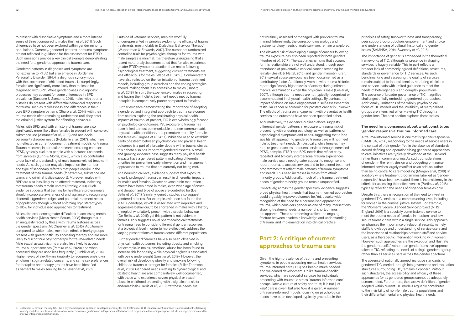to present with dissociative symptoms and a more intense sense of threat compared to males (Irish *et al*., 2011). Such differences have not been explored within gender minority populations. Currently, gendered patterns in trauma symptoms are not reflected in guidance for the assessment for PTSD. Such omissions provide a key clinical example demonstrating the need for a gendered approach to trauma care.

Gendered patterns in diagnoses and symptoms are not exclusive to PTSD but also emerge in Borderline Personality Disorder (BPD), a diagnosis synonymous with the experience of childhood trauma. Unsurprisingly, females are significantly more likely than males to be diagnosed with BPD. While gender biases in diagnostic processes may account for some differences in BPD prevalence (Sansone & Sansone, 2011), males with trauma histories do present with differential behavioral responses to trauma, such as recklessness and differences in their core BPD symptom patterns (Sharp *et al*., 2014), with their trauma needs often remaining undetected until they enter the criminal justice system for offending behaviour.

Males with BPD, and with a history of trauma, are also significantly more likely than females to present with comorbid substance use (Almuneef *et al*., 2018) and anti-social personality disorder needs (Robitaille *et al*., 2017), which are not reflected in current dominant treatment models for trauma. Trauma research, in particular research exploring complex PTSD, typically excludes people with substance use needs from samples (Lunn & Morris, 2020), which also contributes to our lack of understanding of male trauma-related treatment needs. As such, gender may also impact on the number and type of secondary referrals that people require in the treatment of their trauma needs (for example, substance use teams and criminal justice support). Moreover, males with BPD are also less likely to be offered treatment, indicating that trauma needs remain unmet (Stanley, 2010). Such evidence suggests that training for healthcare professionals should incorporate awareness of and vigilance to recognising differential (gendered) signs and potential treatment needs of populations, though without enforcing rigid stereotypes, to allow for individualised approaches to treatment.

Males also experience greater difficulties in accessing mental health services (Men's Health Forum, 2008) though this is an inequality faced by those with trauma histories across the gender spectrum (McChesney *et al*., 2015). Additionally, compared to white males, men from ethnic minority groups present with greater difficulty accessing therapy and are more likely to discontinue psychotherapy for trauma-related needs. Male sexual assault victims are also less likely to access trauma support services (Pereira *et al*., 2020) and when accessed, they are used less frequently (Turchik *et al*., 2014). Higher levels of alexithymia (inability to recognise one's own emotions), stigma-related concerns, and same sex preferences for therapists and therapy groups have been identified as barriers to males seeking help (Levant *et al*., 2009).

Outside of veterans services, men are woefully underrepresented in samples exploring the efficacy of trauma treatments, most notably in Dialectical Behaviour Therapy**<sup>8</sup>** (Wupperman & Edwards, 2017). The number of randomised controlled trials for psychological therapies for trauma with male samples is minimal. It is therefore unsurprising that a recent meta-analysis demonstrated that females experience greater PTSD symptom reduction than males following psychological treatment, suggesting current treatments are less efficacious for males (Wade *et al*., 2016). Commentators have also reflected on the feminisation of trauma treatment models, including group exercises and the coping strategies offered, making them less accessible to males (Røberg *et al*., 2018). In sum, the experience of males in accessing and having their holistic treatment needs met by trauma therapies is comparatively poorer compared to females.

Further evidence demonstrating the importance of adopting a gendered and integrated approach to trauma care comes from studies exploring the proliferating physical health impacts of trauma. At present, TIC is overwhelmingly focused on psychological outcomes. Yet, exposure to trauma has been linked to most communicable and non-communicable physical health conditions, and premature mortality for males and females (Hughes *et al*., 2017). While the need to establish parity of esteem between psychological and physical health outcomes is a part of a broader debate within trauma circles, this debate also has important gendered aspects. A small and growing evidence base suggests many physical health impacts have a gendered pattern, indicating differential priorities for prevention, early intervention and management approaches to trauma that are currently not being met.

At a neurological level, evidence suggests that exposure to early prolonged trauma can result in differential impacts for males and females. Greater adverse brain maturation effects have been noted in males, even when age of onset, and duration and type of abuse are controlled for (De Bellis *et al*., 2011). Similarly, genetic studies also suggest gendered patterns. For example, evidence has found the MAOA genotype, which is associated with impulsive and aggressive behaviour, to be shortened in males with a history of neglect who latterly present with dissocial behaviour (De Bellis *et al*., 2011); yet this pattern is not evident in females. This suggests novel pharmacological treatments for trauma need to consider differential gender responses at a biological level in order to more effectively address the varying presentations of trauma across different populations.

Further gender differences have also been observed in physical health outcomes, including obesity and smoking. For example, in males, emotional abuse has been found to increase risk for obesity, while physical neglect is associated with being underweight (Ernst *et al*., 2019). However, the overall risk of developing obesity and smoking following childhood trauma is stronger for females (Fuller-Thomson *et al*., 2013). Gendered needs relating to gynaecological and obstetric health are also comparatively well documented, with those who experience severe physical or sexual abuse in childhood presenting with a significant risk for endometriosis (Harris *et al*., 2018). Yet these needs are

not routinely assessed or managed with previous trauma in mind. Interestingly, the corresponding urology and gastroenterology needs of male survivors remain unexplored.

The elevated risk of developing a range of cancers following trauma exposure has also been reported for both genders (Hughes *et al*., 2017). The exact mechanisms that account for this relationship are not well understood, though poor attendance at preventative cervical cancer screening for female (Gesink & Nattel, 2015) and gender minority (Kiran, 2019) sexual abuse survivors has been documented as a contributory factor. Additionally, women with trauma histories report significantly higher levels of anxiety during intimate medical examinations when the physician is male (Lee *et al*., 2007), although trauma needs are not typically recognised or accommodated in physical health settings. By contrast the impact of abuse on male engagement in self-assessment for testicular cancer or screening for prostate cancer is unknown. The effects of trauma on engagement with preventative health services and outcomes have not been quantified either.

Accumulatively, the evidence outlined above suggests differential gender patterns in exposure to trauma, risk of presenting with enduring pathology, as well as patterns of psychological symptoms and needs, suggesting that a 'one size fits all' approach to gendered trauma care will not meet holistic treatment needs. Simplistically, while females may require greater access to trauma services through increased PTSD, complex PTSD and BPD needs that reflect early, repeated, and typically interpersonal trauma experiences, male service users need greater support to recognise and report trauma, to access services and to be offered treatment programmes that reflect male patterns of trauma symptoms and needs. This need increases in males from ethnic minority groups. Additionally, much of the trauma treatment needs of gender minority groups remain unquantified.

Collectively, across the gender spectrum, evidence suggests broad physical health needs that trauma-informed approaches could arguably improve outcomes for. Yet, despite wide recognition of the need for a personalised approach to trauma, which considers gender as one of many intersections shaping treatment needs, a number of shortcomings are apparent. These shortcomings reflect the ongoing fracture between academic knowledge and understanding of trauma, and implementation into clinical practice.

## **Part 2: A critique of current approaches to trauma care**

Given the high prevalence of trauma and presenting symptoms in people accessing mental health services, trauma-informed care (TIC) has been a much needed and welcomed development. Unlike 'trauma-specific' services, which are specialist services for individuals presenting with traumatic stress, 'trauma-informed care' encapsulates a culture of safety and trust; it is not just *what* care is given, but also *how* it is given. A number of trauma-informed models focusing on psychological needs have been developed, typically grounded in the

principles of safety, trustworthiness and transparency, peer support, co-production, empowerment and choice, and understanding of cultural, historical and gender issues (SAMHSA, 2014; Sweeney *et al*., 2016).

The importance of gender is embedded in the theoretical frameworks of TIC, although its presence in shaping services is hugely variable. This in part reflects a broader lack of commonly agreed definitions, structures, standards or governance for TIC services. As such, benchmarking and assessing the quality of services remains subject to inconsistencies, rendering clinicians and service leads with limited guidance to meet the needs of heterogeneous and complex populations. The absence of broader governance of TIC magnifies challenges of fully embedding gendered approaches. Additionally, limitations of the wholly psychological focus of TIC models and the invisibility of marginalised groups are intensified when viewing TIC through a gender-lens. The next section explores these issues.

#### **The need for a consensus about what constitutes 'gender-responsive' trauma-informed care**

A trauma-informed service is one that is 'gender-responsive' (SAMHSA, 2014), responding to the needs of service users in the context of their gender. Yet, in the absence of standards around defining and operationalising gendered approaches to care, initiatives are typically developed at the user-end, rather than in commissioning. As such, considerations of gender in the remit, design and budgeting of traumainformed services largely manifest as an add-on, rather than being central to care modelling (Morgan *et al*., 2018). In addition, where treatment programmes labelled as 'genderresponsive' have been evaluated, there is inconsistency in the criteria for assessing their effectiveness (Purtle *et al*., 2018), typically reflecting the needs of cisgender females only.

Despite this, there is recognition of the need to invest in gendered TIC services at a commissioning level, including for women in the criminal justice system. For example, the 'Women's Secure Blended Service' project (NHS England, 2016) is a specially commissioned service to meet the trauma needs of females in medium- and lowsecure forensic care within a single service. This approach emphasises the importance of relational security, namely staff's knowledge and understanding of service users and the importance of relationships between staff and service users, as a therapeutic intervention working with women. However, such approaches are the exception and illustrate the gender 'specific' rather than gender 'sensitive' approach taken in TIC, reflecting the needs of a single gendered group rather than all service users across the gender spectrum.

The absence of nationally agreed, inclusive standards for gendered TIC, carried through into governance and evaluation structures surrounding TIC, remains a concern. Without such structures, the accessibility and efficacy of these approaches for *all* gendered groups cannot be adequately demonstrated. Furthermore, the narrow definition of gender adopted within current TIC models arguably contributes to the invisibility of non-female trauma populations and their differential mental and physical health needs.

<sup>8.</sup> Dialectical Behaviour Therapy (DBT) is a psychotherapeutic approach developed primarily for the treatment of BPD. This treatment approach is comprised of the following four key modules: mindfulness, distress tolerance, emotion regulation and interpersonal effectiveness. It emphasises developing adaptive skills to manage emotions and to improve interpersonal relationships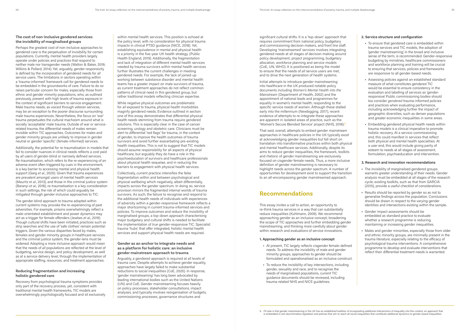#### **The cost of non-inclusive gendered services: the invisibility of marginalised groups**

Perhaps the greatest cost of non-inclusive approaches to gendered care is the perpetuation of invisibility for certain populations. Currently, mental health providers largely operate under policies and practices that respond to neither male nor transgender needs (Walton & Baker, 2019; Wilkins & Pollard, 2014). Yet, arguably, gender-responsivity is defined by the incorporation of gendered needs for *all* service users. The limitations in sectors operating within a 'trauma-informed' framework call for gendered needs to be embedded in the groundworks of care. Failure to do so raises particular concern for males, especially those from ethnic and gender minority populations, who, as outlined previously, present with high levels of trauma exposure in the context of significant barriers to service engagement. Male trauma needs, as voiced through veteran services, may be an exception to the poorer discourse surrounding male trauma experiences. Nevertheless, the focus on 'war' trauma perpetuates the cultural machoism around what is socially 'acceptable' male trauma. Outside of war or servicerelated trauma, the differential needs of males remain invisible within TIC approaches. Outcomes for males and gender minority groups are unlikely to improve in gender neutral or gender 'specific' (female-informed) services.

Additionally, the potential for re-traumatisation in models that fail to consider nuances in clinical needs reflects a cost paid by *all* users of gender-blind or narrowly defined services. Re-traumatisation, which refers to the re-experiencing of an adverse event often triggered by cues in the environment, is a key barrier to accessing mental and physical health support (Garg *et al*., 2020). Given that trauma experiences are prevalent amongst users of mental health services (Mauritz *et al*., 2013), and those in the criminal justice system (Baranyi *et al*., 2018), re-traumatisation is a key consideration in such settings, the risk of which could arguably be mitigated through gender-inclusive approaches to TIC.

The gender-blind approach to trauma adopted within current systems may provoke the re-experiencing of past adversities. For example, prisons overwhelmingly reflect a male-orientated establishment and power dynamics may act as a trigger for female offenders (Jewkes *et al*., 2019). Though cultural shifts have been initiated, practices such as strip searches and the use of 'safe clothes' remain potential triggers. Given the various disparities faced by males, females and gender minority groups in healthcare services and the criminal justice system, the gender-lens must be widened. Adopting a more inclusive approach would mean that the needs of *all* populations are reflected at the level of budgeting, service design, and policy development, as well as at a service delivery level, through the implementation of appropriate staffing, resources, and treatment approaches.

#### **Reducing fragmentation and increasing holistic gendered care**

Recovery from psychological trauma symptoms provides only part of the recovery process, yet, consistent with traditional mental health frameworks, TIC models are overwhelmingly psychologically focused and sit exclusively

within mental health services. This position is echoed at the policy level, with no consideration for physical trauma impacts in clinical PTSD guidance (NICE, 2018). Yet, establishing equivalence in mental and physical health is a priority in the five-year UK health strategy. (Public Health England, 2019). Additionally, the fragmentation and lack of integration of different mental health services needed by trauma survivors *within* mental health services further Illustrates the current challenges in meeting gendered needs. For example, the lack of joined-up working between substance disorder and mental health teams has a greater impact on male survivors of trauma, as current treatment approaches do not reflect common patterns of clinical need in this gendered group, but rather traditional models reflecting clinician expertise.

> This essay invites a call to action, an opportunity to re-think trauma services in a way that can substantially reduce inequalities (Kuhlmann, 2009). We recommend approaching gender as an inclusive concept, broadening the scope of TIC approaches and further embedding gender mainstreaming, and thinking more carefully about gender within research and evaluations of service innovations.

While negative physical outcomes are problematic for *all* exposed to trauma, physical health morbidities magnify gendered needs. Evidence outlined in section one of this essay demonstrates that differential physical health needs stemming from trauma require gendered solutions. This is especially clear in the case of cancer screening, urology and obstetric care. Clinicians must be alert to differential 'red flags' for trauma, in the context of gender, to improve the health outcomes of trauma survivors and avoid further exacerbating pre-existing health inequalities. This is not to suggest that TIC models should assume responsibility for all aspects of physical healthcare, but arguably they do have a role in the psychoeducation of survivors and healthcare professionals about physical health sequelae, and in reducing the barriers to engagement with physical health services.

Collectively, current practice intensifies the false fragmentation within and between psychological and physical wellbeing which negatively, albeit differentially, impacts across the gender spectrum. In doing so, service provision mirrors the fragmented internal worlds of trauma survivors. As such, the failure to recognise and respond to the additional health needs of individuals with experiences of adversity within a gender-responsive framework reflects a major shortcoming in current trauma-informed services and policies. To improve outcomes and reduce the invisibility of marginalised groups, a top-down approach characterising major budgetary and cultural shifts is needed to facilitate the implementation of *true* gender-responsive TIC. Specialist trauma 'hubs' that offer integrated, holistic mental health services and support physical health needs are required.

#### **Gender as an anchor to integrate needs and as a platform for holistic care: an inclusive gender mainstream approach to trauma**

Arguably, a gendered approach is required at all levels of trauma care. Despite attempts to achieve gender equality, approaches have largely failed to make substantial reductions to social inequalities (CoE, 2020). In response, 'gender mainstreaming' has long been advocated by leading international bodies such as the United Nations (UN) and CoE. Gender mainstreaming focuses heavily on policy processes, stakeholder consultations, impact analyses, and typically involves reorganisation of budgets, commissioning processes, governance structures and

significant cultural shifts. It is a 'top-down' approach that requires commitment from national policy, budgetary and commissioning decision-makers, and front line staff. Developing 'mainstreamed' services involves integrating gendered needs at all stages of decision-making around policy development, project programming, budgetary allocation, workforce planning and service models (CoE, UN, WHO). It is positioned as being the model to ensure that the needs of *all* service users are met, and to drive the next generation of health systems.

Initial attempts to introduce gender mainstreaming into healthcare in the UK produced notable policy documents including *Women's Mental Health into the Mainstream* (Department of Health, 2002) and the appointment of national leads and programmes for equality in women's mental health, responding to the specific service needs of women. Although these stalled early into the millennium (Newbigging, 2017), recent evidence of attempts to re-integrate these approaches are apparent in isolated areas of practice, such as the 'Women's Secure Blended Service' project (NHS, 2016).**<sup>9</sup>**

That said, overall, attempts to embed gender mainstream approaches in healthcare policies in the UK typically excel at acknowledging gender inequalities but fall short on translation into transformative practices within both physical and mental healthcare services. Additionally, despite its aims to reduce gender inequalities, the framework, toolkits and rhetoric of gender mainstreaming are exclusively focused on cisgender female needs. Thus, a more inclusive definition of gender mainstreaming is necessary to highlight needs across the gender spectrum. A number of opportunities for development exist to support the transition to an all-encompassing gender mainstreamed approach.

## **Recommendations**

#### **1. Approaching gender as an inclusive concept**

- **•** At present, TIC largely reflects cisgender female-defined needs. To address the invisibility of male and gender minority groups, approaches to gender should be formulated and operationalised as an inclusive construct.
- **•** To reduce the invisibility of key intersections, including gender, sexuality and race, and to recognise the needs of marginalised populations, current TIC guidance documents should be reviewed, including trauma-related NHS and NICE guidelines.

#### **2. Service structure and configuration**

- **•** To ensure that gendered care is embedded within trauma services and TIC models, the adoption of 'gender mainstreaming', in the broad and inclusive sense of the term, is recommended. Gender-responsive budgeting by ministries, healthcare commissioners and workforce planning and training will be crucial to ensuring that services, policies and frameworks are responsive to all gender-based needs.
- **•** Assessing policies against an established standard measure of what constitutes gendered TIC would be essential to ensure consistency in the evaluation and labelling of services as 'genderresponsive'. Public commissioning bodies should too consider *gendered* trauma-informed policies and practices when evaluating performance, including acknowledging further the impact of geographic diversities, such as denser populations and greater economic inequalities in some areas.
- **•** Embedding gendered physical health needs within trauma models is a clinical imperative to promote holistic recovery. At a service-commissioning end, this could manifest in services that reflect both physical and mental health specialities. At a user end, this would include giving parity of esteem to needs at all stages of assessment, formulation, psychoeducation and intervention.

#### **3. Research and innovation recommendations**

- **•** The invisibility of marginalised gendered groups warrants greater understanding of their needs. Gender analysis must be embedded at all stages of the research cycle; existing toolkits, such as that from GARCIA (2015), provide a useful checklist of considerations.
- **•** Results should be reported by gender so as not to generalise findings across the population. Conclusions should be drawn in respect to the varying gender identities and intersections existing within the sample.
- **•** Gender impact assessments should be embedded as standard practice to evaluate whether a research programme is reducing, maintaining or increasing gender inequalities.
- **•** Males and gender minorities, especially those from older and ethnic minority groups, are minimally present in the trauma literature, especially relating to the efficacy of psychological trauma interventions. A comprehensive programme to develop and evaluate interventions that reflect their differential treatment needs is warranted.

9. Of note is that gender mainstreaming in the UK has an established tradition of incorporating additional intersections of inequality into this context, an approach that is embedded in anti-discrimination legislation and policies that aim to reach all social inequalities that contribute additional dynamics to gender-based inequalities.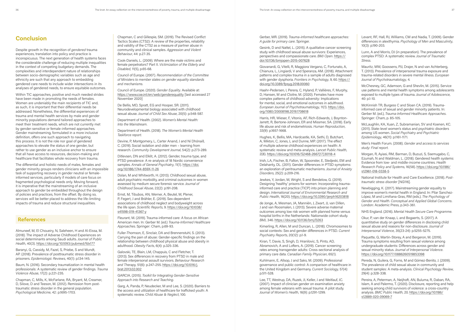## **Conclusion**

Despite growth in the recognition of *gendered* trauma experiences, translation into policy and practice is inconspicuous. The next generation of health systems faces the considerable challenge of reducing multiple inequalities in the context of competing budgetary demands. The complexities and interdependent nature of relationships between socio-demographic variables such as age and ethnicity are such that any approach to embedding gendered care needs to include wider intersections in its analyses of gendered needs, to ensure equitable outcomes.

Within TIC approaches, positive and much needed strides have been made in promoting the needs of females. Women are undeniably the main recipients of TIC and, as such, it is important that their differential needs be addressed. Nonetheless, the differential experiences of trauma and mental health services by male and gender minority populations demand tailored approaches to meet their treatment needs, which are not currently met by gender-sensitive or female-informed approaches. Gender mainstreaming, formulated in a more inclusive definition, offers one such approach to navigating this process. It is not the role nor goal of gendered approaches to elevate the status of one gender, but rather to use gender as an inclusive anchor to ensure that all have access to resources, decision-making and healthcare that facilitates whole recovery from trauma.

The differential and holistic needs of males, females and gender minority groups renders clinicians with an impossible task of supporting recovery in gender neutral or femaleinformed services, particularly if models of care focus on fragmented psychological needs only. Moving forward, it is imperative that the mainstreaming of an inclusive approach to gender be embedded throughout the design of policies and practices, from the offset. By doing so, services will be better placed to address the life-limiting impacts of trauma and reduce structural inequalities.

### **References**

Almuneef, M, El Choueiry, N, Saleheen, H and Al-Eissa, M. (2018). The impact of Adverse Childhood Experiences on social determinants among Saudi adults. *Journal of Public Health*, 40(3). https://doi.org/10.1093/pubmed/fdx177

Baranyi, G, Cassidy, M, Fazel, S, Priebe, S and Mundt, AP. (2018). Prevalence of posttraumatic stress disorder in prisoners. *Epidemiologic Reviews*, 40(1): p.134-145.

Baum, N. (2016). Secondary traumatization in mental health professionals: A systematic review of gender findings. *Trauma Violence Abuse*, 17(2): p.221-235.

Chapman, C, Mills, K, McFarlane, RA, Bryant, M, Creamer, D, Silove, D and Teeson, M. (2012). Remission from posttraumatic stress disorder in the general population. *Psychological Medicine*, 42: p.1695-1703.

Chapman, C and Gillespie, SM. (2019). The Revised Conflict Tactics Scales (CTS2): A review of the properties, reliability and validity of the CTS2 as a measure of partner abuse in community and clinical samples. *Aggression and Violent Behaviour*, 44: p.27-35.

Cook-Daniels, L. (2009). Where are the male victims and female perpetrators? Part II. *Victimization of the Elderly and Disabled*, 11(5), p.65-68.

Council of Europe. (2007). *Recommendation of the Committee of Ministers to member states on gender equality standards and mechanisms*.

Council of Europe. (2020). *Gender Equality*. Available at: https://www.coe.int/en/web/genderequality [last accessed 27 November 2020]

De Bellis, MD, Spratt, EG and Hooper, SR. (2011). Neurodevelopmental biology associated with childhood sexual abuse. *Journal of Child Sex Abuse*, 20(5): p.548-587.

Department of Health. (2002). *Women's Mental Health: Into the Mainstream*.

Department of Health. (2018). *The Women's Mental Health Taskforce report.*

Devine, P, Montgomery, L, Carter Anand, J and Ní Dhónaill, C. (2019). Social isolation and older men – learning from research. *Community Development Journal*, 54(2): p.273-289.

Ditlevsen, DN and Elklit, A. (2012). Gender, trauma type, and PTSD prevalence: A re-analysis of 18 Nordic convenience samples. *Annals of General Psychiatry*, 11(1). https://doi. org/10.1186/1744-859X-11-26

Dolan, M and Whitworth, H. (2013). Childhood sexual abuse, adult psychiatric morbidity, and criminal outcomes in women assessed by medium secure forensic service. *Journal of Childhood Sexual Abuse*, 22(2): p.191-208.

Ernst, M, Tibubos, AN, Werner, A, Beutel, M, Plener, P, Fegert, J and Brähler, E. (2019). Sex-dependent associations of childhood neglect and bodyweight across the life span. *Scientific Reports*, 9. https://doi.org/10.1038/ s41598-019-41367-y

Fleurant, M. (2019). Trauma-informed care: A focus on African American men. In: Gerber M. (ed.) *Trauma-Informed Healthcare Approaches*. Springer: Cham, p.69-93.

Fuller-Thomson, E, Sinclair, DA and Brennenstuhl, S. (2013). Carrying the pain of abuse: Gender-specific findings on the relationship between childhood physical abuse and obesity in adulthood. *Obesity Facts*, 6(4): p.325-336.

Galovski, TE, Blain, LM, Chappuis, C and Fletcher, T. (2013). Sex differences in recovery from PTSD in male and female interpersonal assault survivors. *Behaviour Research and Therapy,* 51(6): p.247–255. https://doi.org/10.1016/j. brat.2013.02.002

GARCIA. (2015). *Toolkit for Integrating Gender-Sensitive Approach into Research and Teaching*.

Garg, A, Panda, P, Neudecker, M and Lee, S. (2020). Barriers to the access and utilization of healthcare for trafficked youth: A systematic review. *Child Abuse & Neglect*, 100.

Gerber, MR. (2019). *Trauma-informed healthcare approaches: A guide for primary care*. Springer.

Gesink, D and Nattel, L. (2015). A qualitative cancer screening study with childhood sexual abuse survivors: Experiences, perspectives and compassionate care. *BMJ Open*. https:// doi:10.1136/bmjopen-2015-007628

Giovanardi, G, Vitelli, R, Maggiora Vergano, C, Fortunato, A, Chianura, L, Lingiardi, V and Speranza, AM. (2018). Attachment patterns and complex trauma in a sample of adults diagnosed with gender dysphoria. *Frontiers in Psychology*, 9, 60. https:// doi.org/10.3389/fpsyg.2018.00060

Haahr-Pedersen, I, Perera, C, Hyland, P, Vallières, F, Murphy, D, Hansen, M and Cloitre, M. (2020). Females have more complex patterns of childhood adversity: Implications for mental, social, and emotional outcomes in adulthood. *European Journal of Psychotraumatology*, 11(1). https://doi. org/1080/20008198.2019.1708618

Harris, HR, Wieser, F, Vitonis, AF, Rich-Edwards, J, Boynton-Jarrett, R, Bertone-Johnson, ER and Missmer, SA. (2018). Early life abuse and risk of endometriosis. *Human Reproduction*, 33(9): p.1657-1668.

Hughes, K, Bellis, MA, Hardcastle, KA, Sethi, D, Butchart, A, Mikton, C, Jones, L and Dunne, MP. (2017). The effect of multiple adverse childhood experiences on health: A systematic review and meta-analysis. *Lancet Public Health*, 2(8). https://doi.org/10.1016/S2468-2667(17)30118-4

Irish, LA, Fischer, B, Fallon, W, Spoonster, E, Sledjeski, EM and Delahanty, DL. (2011). Gender differences in PTSD symptoms: an exploration of peritraumatic mechanisms. *Journal of Anxiety Disorders*, 25(2): p.209-216.

Jewkes, Y, Jordan, M, Wright, S and Bendelow, G. (2019). Designing 'healthy' prisons for women: Incorporating traumainformed care and practice (TICP) into prison planning and design. *International Journal of Environmental Research and Public Health*, 16(20). https://doi.org/10.3390/ijerph16203818

de Jonge, A, Mesman, JA, Manniën, J, Zwart, JJ, van Dillen, J and van Roosmalen, J. (2013). Severe adverse maternal outcomes among low risk women with planned home versus hospital births in the Netherlands: Nationwide cohort study. *BMJ*, 346. https://doi.org/10.1136/bmj.f3263

Kimerling, R, Allen, M and Duncan, L. (2018). Chromosomes to social contexts: Sex and gender differences in PTSD. *Current Psychiatry Reports*, 20(12): p.1-9.

Kiran, T, Davie, S, Singh, D, Hranilovic, S, Pinto, AD, Abramovich, A and Lofters, A. (2019). Cancer screening rates among transgender adults: Cross-sectional analysis of primary care data. *Canadian Family Physician*, 65(1).

Kuhlmann, E, Allsop, J and Saks, M. (2009). Professional governance and public control: A comparison of healthcare in the United Kingdom and Germany. *Current Sociology,* 57(4): p.511-528.

Lee, TT, Westrup, DA, Ruzek, JI, Keller, J and Weitlauf, JC. (2007). Impact of clinician gender on examination anxiety among female veterans with sexual trauma: A pilot study. *Journal of Women's Health*, 16(9): p.1291-1299.

Levant, RF, Hall, RJ, Williams, CM and Nadia, T. (2009). Gender differences in alexithymia. *Psychology of Men and Masculinity*, 10(3): p.190-203.

Lunn, A and Morris, DJ (in preparation). The prevalence of complex PTSD: A systematic review. *Journal of Traumatic Stress*.

Mauritz, MW, Goossens, PJJ, Drajer, N and van Achterberg, T. (2013). Prevalence of interpersonal trauma exposure and trauma-related disorders in severe mental illness. *European Journal of Psychotraumatology*, 4.

McChesney, GC, Adamson, G and Shevlin, M. (2015). Service use patterns and mental health symptoms among adolescents exposed to multiple types of trauma. *Journal of Adolescence*, 40: p.1-10.

McKinnish TR, Burgess C and Sloan CA. (2019). Traumainformed care of sexual and gender minority patients. In: Gerber M. (ed.), *Trauma-Informed Healthcare Approaches*. Springer: Cham, p. 85-105.

McLaughlin, KA, Xuan, Z, Subramanian, SV and Koenen, KC. (2011). State-level women's status and psychiatric disorders among US women. *Social Psychiatry and Psychiatric Epidemiology*, 46(11): p.1161-1171.

Men's Health Forum. (2008). *Gender and access to services study: Final report.*

Morgan, R, Ayiasi, RM, Barman, D, Buzuzi, S, Ssemugabo, C, Ezumah, N and Waldman, L. (2018). Gendered health systems: Evidence from low- and middle-income countries. *Health Research Policy and Systems*, 16(58). https://doi.org/10.1186/ s12961-018-0338-5

National Institute for Health and Care Excellence. (2018). *Posttraumatic stress disorder* [NG116].

Newbigging, K. (2017). Mainstreaming gender equality to improve women's mental health in England. In: Pilar Sanchez-López, M and Limiñana-Gras, RM (eds.). *The Psychology of Gender and Health. Conceptual and Applied Global Concerns*. London: Academic Press, p.343-361.

NHS England. (2016). *Mental Health Secure Care Programme*.

Okur, P, van der Knaap, L and Bogaerts, S. (2017). A quantitative study on gender differences in disclosing child sexual abuse and reasons for non-disclosure. *Journal of Interpersonal Violence*, 35(23-24): p.5255-5275.

Paquette, G, Martin-Storey, A and Bergeron, M. (2019). Trauma symptoms resulting from sexual violence among undergraduate students: Differences across gender and sexual minority status. *Journal of Interpersonal Violence*. https://doi.org/10.1177/0886260519853398

Pereda, N, Guilera, G, Forns, M and Gómez-Benito, J. (2009). The prevalence of child sexual abuse in community and student samples: A meta-analysis. *Clinical Psychology Review*, 29(4): p.328-338.

Pereira, A, Peterman, A, Neijhoft, AN, Buluma, R, Daban, RA, Islam, A and Palermo, T. (2020). Disclosure, reporting and help seeking among child survivors of violence: a cross-country analysis. *BMC Public Health*, 20. https://doi.org/10.1186/ s12889-020-09069-7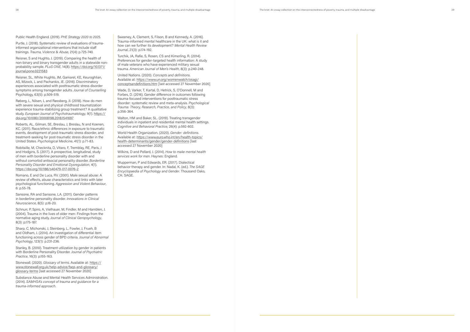Public Health England. (2019). *PHE Strategy 2020 to 2025* .

Purtle, J. (2018). Systematic review of evaluations of traumainformed organizational interventions that include staff trainings. *Trauma, Violence & Abuse*, 21(4): p.725-740.

Reisner, S and Hughto, J. (2019). Comparing the health of non-binary and binary transgender adults in a statewide nonprobability sample. *PLoS ONE*, 14(8). https://doi.org/10.1371/ journal.pone.0221583

Reisner, SL, White Hughto, JM, Gamarel, KE, Keuroghlian, AS, Mizock, L and Pachankis, JE. (2016). Discriminatory experiences associated with posttraumatic stress disorder symptoms among transgender adults. *Journal of Counselling* Psychology, 63(5): p.509-519.

Røberg, L, Nilsen, L and Røssberg, JI. (2018). How do men with severe sexual and physical childhood traumatization experience trauma-stabilizing group treatment? A qualitative study. *European Journal of Psychotraumatology*, 9(1). https:// doi.org/10.1080/20008198.2018.1541697

Roberts, AL, Gilman, SE, Breslau, J, Breslau, N and Koenen, KC. (2011). Race/ethnic differences in exposure to traumatic events, development of post-traumatic stress disorder, and treatment-seeking for post-traumatic stress disorder in the United States. *Psychological Medicine*, 41(1): p.71-83.

Robitaille, M, Checknita, D, Vitaro, F, Tremblay, RE, Paris, J and Hodgins, S. (2017). A prospective, longitudinal, study of men with borderline personality disorder with and without comorbid antisocial personality disorder. *Borderline Personality Disorder and Emotional Dysregulation*, 4(1). https://doi.org/10.1186/s40479-017-0076-2

Romano, E and De Luca, RV. (2001). Male sexual abuse: A review of effects, abuse characteristics and links with later psychological functioning. *Aggression and Violent Behaviour*, 6: p.55-78.

Sansone, RA and Sansone, LA. (2011). Gender patterns in borderline personality disorder. *Innovations in Clinical Neuroscience*, 8(5): p.16-20.

Schnurr, P, Spiro, A, Vielhauer, M, Findler, M and Hamblen, J. (2004). Trauma in the lives of older men: Findings from the normative aging study. *Journal of Clinical Geropsychology*, 8(3): p.175-187.

Sharp, C, Michonski, J, Steinberg, L, Fowler, J, Frueh, B and Oldham, J. (2014). An investigation of differential item functioning across gender of BPD criteria. *Journal of Abnormal Psychology*, 123(1): p.231-236.

Stanley, B. (2010). Treatment utilization by gender in patients with Borderline Personality Disorder. *Journal of Psychiatric Practice*, 16(3): p.155-163.

Stonewall. (2020). *Glossary of terms*. Available at: https:// www.stonewall.org.uk/help-advice/faqs-and-glossary/ glossary-terms [last accessed 27 November 2020]

Substance Abuse and Mental Health Services Administration. (2014). *SAMHSA's concept of trauma and guidance for a trauma-informed approach*.

Sweeney, A, Clement, S, Filson, B and Kennedy, A. (2016). Trauma-informed mental healthcare in the UK: what is it and how can we further its development? *Mental Health Review Journal*, 21(3): p.174-192.

Turchik, JA, Rafie, S, Rosen, CS and Kimerling, R. (2014). Preferences for gender-targeted health information: A study of male veterans who have experienced military sexual trauma. *American Journal of Men's Health*, 8(3): p.240-248.

United Nations. (2020). *Concepts and definitions* . Available at: https://www.un.org/womenwatch/osagi/ conceptsandefinitions.htm [last accessed 27 November 2020]

Wade, D, Varker, T, Kartal, D, Hetrick, S, O'Donnell, M and Forbes, D. (2016). Gender difference in outcomes following trauma-focused interventions for posttraumatic stress disorder: systematic review and meta-analysis. *Psychological Trauma: Theory, Research, Practice, and Policy*, 8(3): p.356-364.

Walton, HM and Baker, SL. (2019). Treating transgender individuals in inpatient and residential mental health settings. *Cognitive and Behavioral Practice*, 26(4): p.592-602.

World Health Organization. (2020). *Gender: definitions*. Available at: https://www.euro.who.int/en/health-topics/ health-determinants/gender/gender-definitions [last accessed 27 November 2020]

Wilkins, D and Pollard, J. (2014). *How to make mental health services work for men*. Haynes: England.

Wupperman, P and Edwards, ER. (2017). Dialectical behavior therapy and gender. In: Nadal, K. (ed.). *The SAGE Encyclopaedia of Psychology and Gender*. Thousand Oaks, CA: SAGE.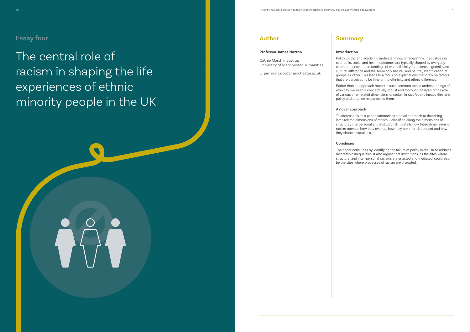The central role of racism in shaping the life experiences of ethnic minority people in the UK

## **Summary**

#### **Introduction**

Policy, public and academic understandings of race/ethnic inequalities in economic, social and health outcomes are typically shaped by everyday, common-sense understandings of what ethnicity represents – genetic and cultural difference and the seemingly natural, and neutral, identification of groups as 'other'. This leads to a focus on explanations that draw on factors that are perceived to be inherent to ethnicity and ethnic difference.

Rather than an approach rooted in such common-sense understandings of ethnicity, we need a conceptually robust and thorough analysis of the role of various inter-related dimensions of racism in race/ethnic inequalities and policy and practice responses to them.

### **A novel approach**

To address this, this paper summarises a novel approach to theorising inter-related dimensions of racism – classified along the dimensions of structural, interpersonal and institutional. It details how these dimensions of racism operate, how they overlap, how they are inter-dependent and how they shape inequalities.

#### **Conclusion**



The paper concludes by identifying the failure of policy in the UK to address race/ethnic inequalities. It also argues that institutions, as the sites where structural and inter-personal racisms are enacted and mediated, could also be the sites where processes of racism are disrupted.

## **Author**

#### **Professor James Nazroo**

Cathie Marsh Institute, University of Manchester Humanities

E: james.nazroo@manchester.ac.uk

## **Essay four**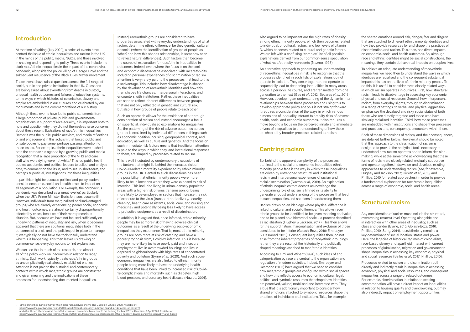## **Introduction**

At the time of writing (July 2020), a series of events have centred the issue of ethnic inequalities and racism in the UK in the minds of the public, media, NGOs, and those involved in shaping and responding to policy. These events include the stark race/ethnic inequalities in the impact of the coronavirus pandemic, alongside the police killing of George Floyd and the subsequent resurgence of the Black Lives Matter movement.

These events have raised questions across the full range of social, public and private institutions in the UK. Questions are being asked about everything from deaths in custody, unequal health outcomes and failures of education systems, to the ways in which histories of colonisaton, slavery and empire are embedded in our cultures and celebrated by our monuments and in the commemorations of our history.

Although these events have led to public statements from a large proportion of private, public and governmental organisations in support of race equality, it is important both to note and question why they did not themselves raise concerns about these recent illustrations of race/ethnic inequalities. Rather it was the public, public activism, and media reflections of and engagement in this activism that forced public and private bodies to pay some, perhaps passing, attention to these issues. For example, ethnic inequalities were pushed onto the coronavirus agenda by a growing public and media recognition that a large proportion of the NHS and care staff who were dying were not white.**<sup>1</sup>** This led public health bodies, academics and political leaders to collect and analyse data, to comment on the issue, and to set up short-term, and perhaps superficial, investigations into these inequalities.

In part this might be because political and policy leaders consider economic, social and health crises to impact on all segments of a population. For example, the coronavirus pandemic was described as a 'great leveller', particularly when the UK's Prime Minister, Boris Johnson, became ill. However, individuals from marginalised or disadvantaged groups, who are already experiencing poorer social, economic and health outcomes, are almost certainly disproportionally affected by crises, because of their more precarious situation. But, because we have not focused sufficiently on underlying patterns of inequality and risk, when it becomes apparent that there are additional inequalities both in the outcomes of a crisis and the policies put in place to manage it, we typically do not have the tools to fully understand why this is happening. This then leaves us drawing on common-sense, everyday notions to find explanation.

We can see this in much of the research, and almost all of the policy work on inequalities in relation to race/ ethnicity. Such work typically treats race/ethnic groups as uncomplicatedly real, already established entities. Attention is not paid to the historical and contemporary contexts within which race/ethnic groups are constructed and given meaning and the implications of these processes for understanding documented inequalities.

Instead, race/ethnic groups are considered to have properties associated with everyday understandings of what factors determine ethnic difference, be they genetic, cultural or social (where the identification of groups of people as 'other', and how this shapes relationships, is somehow seen to reflect natural differences). Such factors then become the source of explanation for race/ethnic inequalities in outcomes. Indeed, even where the focus is on the social and economic disadvantage associated with race/ethnicity, including personal experiences of discrimination or racism, attention is very rarely paid to the processes that lead to this disadvantage. This includes how disadvantage is shaped by the devaluation of race/ethnic identities and how this then shapes life chances, interpersonal interactions, and encounters with institutions. Rather, these inequalities are seen to reflect inherent differences between groups that are not only reflected in genetic and cultural risk, but also in how groups of people relate to each other.

Such an approach allows for the avoidance of a thorough consideration of racism and instead encourages a focus on superficial, individualised explanations for inequalities. So, the patterning of the risk of adverse outcomes across groups is explained by individual differences in things such as economic position, housing, geographical context, and education, as well as culture and genetics. And the focus on such immediate risk factors means that insufficient attention is paid to the ways in which they, and institutional responses to them, are shaped by processes related to racism.

This is well illustrated by contemporary discussions of the factors that might lie behind the increased risk of Covid-19-related mortality experienced by ethnic minority groups in the UK. Central to such discussions has been the possibility that ethnic minority people were more likely to be in locations where they were exposed to risk of infection. This included living in urban, densely populated areas with a higher risk of virus transmission, or being more likely to be employed in sectors that increase the risk of exposure to the virus (transport and delivery, security, cleaning, health care assistants, social care, and nursing and medicine), and potentially being less likely to have access to protective equipment as a result of discrimination.

In addition, it is argued that, once infected, ethnic minority people may be at more risk of having adverse clinical outcomes as a result of the underlying socio-economic inequalities they experience. That is, most ethnic minority groups are both more at risk of catching and have a poorer prognosis from, Covid-19 infection. This is because they are more likely to: have poorly paid and insecure employment; live in overcrowded housing; and live in deprived neighbourhoods with high rates of concentrated poverty and pollution (Byrne *et al*., 2020). And such socioeconomic inequalities are also linked to ethnic minority people being more likely to have the underlying health conditions that have been linked to increased risk of Covid-19 complications and mortality, such as diabetes, high blood pressure, and coronary heart disease (Nazroo, 2001).

Also argued to be important are the high rates of obesity among ethnic minority people, which then becomes related to individual, or cultural, factors, and low levels of vitamin D, which becomes related to cultural and genetic factors. We are left with a confusing, 'complex' list of all possible explanations derived from our common-sense speculation of what race/ethnicity represents (Nazroo, 1998).

An alternative approach to generating an understanding of race/ethnic inequalities in risk is to recognise that the processes identified in such lists of explanations do not operate in isolation. They occur together and operate to sequentially lead to deepening inequalities in many areas across a person's life course, and are transmitted from one generation to the next (Gee *et al*., 2012; Bécares *et al*., 2015). However, developing an understanding of the dynamic interrelationships between these processes and using this to develop appropriate policy analysis is not straightforward. It requires a consideration of the ways in which various dimensions of inequality interact to amplify risks of adverse health, social and economic outcomes. It also requires a move beyond a focus on the perceived innate and immediate drivers of inequalities to an understanding of how these are shaped by broader processes related to racism.

## **Centring racism**

So, behind the apparent complexity of the processes that lead to the social and economic inequalities ethnic minority people face is the way in which these inequalities are driven by entrenched structural and institutional racism, and interpersonal experiences of racism and racial discrimination (Nazroo *et al*., 2019). An explanation of ethnic inequalities that doesn't acknowledge the underpinning role of racism is limited in its ability to generate a robust understanding of the processes that lead to such inequalities and solutions for addressing them.

Racism draws on an ideology where physical difference is linked to cultural and social difference. This allows race/ ethnic groups to be identified, to be given meaning and value, and to be placed on a hierarchal scale – a process described as racialisation (Hughey & Jackson, 2017). This then allows for the subordination, marginalisation and exclusion of those considered to be inferior (Golash-Boza, 2016; Emirbayer & Desmond, 2015). Consequent inequalities then, do not arise from the inherent properties of race/ethnic groupings, rather they are a result of the historically and politically shaped meanings ascribed to race/ethnic identities.

According to Omi and Winant (1994), such ideas of and categorisation by race are central to the organisation and regulation of modern societies. Indeed, Emirbayer and Desmond (2015) have argued that we need to consider how race/ethnic groups are configured within social spaces and how this reflects access to economic, cultural, legal, political and symbolic resources that shape how identities are perceived, valued, mobilised and interacted with. They argue that it is additionally important to consider how shared emotions attached to symbolic resources shape the practices of individuals and institutions. Take, for example,

the shared emotions around risk, danger, fear and disgust that are attached to different ethnic minority identities and how they provide resources for and shape the practices of discrimination and racism. This, then, has direct impacts on economic, social and health outcomes. So, although race and ethnic identities might be social constructions, the meanings they contain do have real impacts on people's lives.

To achieve an adequate understanding of race/ethnic inequalities we need then to understand the ways in which identities are racialised and the consequent substantial impacts this has on the lives of ethnic minority people. To do this, it is useful to consider three closely related ways in which racism operates in our lives. First, how structural racism leads to disadvantage in accessing key economic, physical and social resources. Second, how interpersonal racism, from everyday slights, through to discrimination in a range of settings, to verbal and physical aggression, emphasises the devalued and risky social status of both those who are directly targeted and those who have similarly racialised identities. Third, how these processes are embedded within institutions and shape their processes and practices and, consequently, encounters within them.

Each of these dimensions of racism, and their consequences, are detailed further below. However, it should be noted that this approach to the classification of racism is designed to provide the analytical tools necessary to understand how racism operates and to inform decisionmaking, while at the same time acknowledging that these forms of racism are closely related, mutually supportive and operate together. It draws on and develops existing approaches to understanding racism (see, for example, Hughey and Jackson, 2017; Hicken *et al*., 2018; and Phillips, 2010 for related approaches) in order to provide a fundamental explanation for race/ethnic inequalities across a range of economic, social and health areas.

## **Structural racism**

Any consideration of racism must include the structural, overarching (macro) level. Operating alongside and in interaction with other areas of inequality, such as class and gender (Byrne, 2015; Golash-Boza, 2016; Phillips, 2010; Song, 2014), race/ethnicity remains a key determinant of social location, status and power. Here, the legacies of historical regimes of colonialism, race-based slavery and apartheid interact with current processes of globalisation, migration and governance to shape inequalities in accessing key economic, physical and social resources (Bailey *et al*., 2017; Phillips, 2010).

Processes related to racism and discrimination both directly and indirectly result in inequalities in accessing economic, physical and social resources, and consequent inequalities across a range of related outcomes. For example, discrimination in relation to seeking accommodation will have a direct impact on inequalities in relation to housing quality and overcrowding, but may also indirectly impact on employment opportunities.

<sup>1.</sup> Ethnic minorities dying of Covid-19 at higher rate, analysis shows. The Guardian, 22 April 2020. Available at: https://www.theguardian.com/world/2020/apr/22/racial-inequality-in-britain-found-a-risk-factor-for-covid-19; and Afua Hirsch 'If coronavirus doesn't discriminate, how come black people are bearing the brunt?'. The Guardian, 8 April 2020. Available at: https://www.theguardian.com/commentisfree/2020/apr/08/coronavirus-black-people-ethnic-minority-deaths-pandemic-inequality-afua-hirsch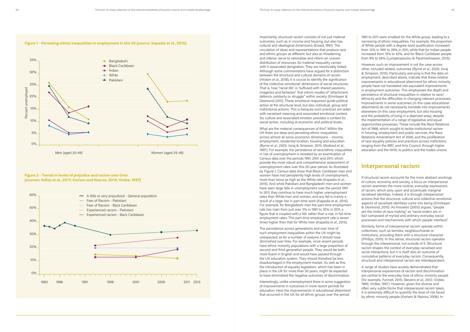Importantly, structural racism consists of not just material outcomes, such as in income and housing, but also has cultural and ideological dimensions (Essed, 1991). The circulation of ideas and representations that produce race and ethnic groups as different, but also as threatening and inferior, serve to rationalise and inform an uneven distribution of resources. So material inequality carries with it associated denigration. They are inextricably linked. Although some commentators have argued for a distinction between the structural and cultural domains of racism (Hicken *et al*., 2018), it is crucial to identify the significance of the 'collective-emotional' dimensions of social structures. That is, how "racial life" is "suffused with shared passions, imageries and fantasies" that inform modes of "attachment, defence, solidarity or struggle" within society (Emirbayer & Desmond 2015). These emotional responses guide political action at the structural level, but also individual, group and institutional actions. This is because such practices are laden with racialised meaning and associated emotional content. So, culture and associated emotion provides a context for social action, including at economic and political levels.

What are the material consequences of this? Within the UK there are deep and persisting ethnic inequalities across almost all socio-economic dimensions – income, employment, residential location, housing and education (Byrne *et al*., 2020; Jivraj & Simpson, 2015; Modood *et al*., 1997). For example, the persistence of race/ethnic inequalities in risk of unemployment is revealed by an examination of Census data over the periods 1991, 2001 and 2011, which provide the most robust and comprehensive assessment of unemployment rates over this 20-year period. As illustrated by Figure 1, Census data show that Black Caribbean men and women have had persistently high levels of unemployment, more than twice as high as the White rate (Kapadia *et al*., 2015). And while Pakistani and Bangladeshi men and women have seen large falls in unemployment over the period 1991 to 2011, they continue to have much higher unemployment rates than White men and women, and any fall is mainly a result of a large rise in part-time work (Kapadia *et al*., 2015). For example, for Bangladeshi men the part-time employment rate has risen from just over 3% in 1991 to 35% in 2011, a figure that is coupled with a fall, rather than a rise, in full-time employment rates. This part-time employment rate is seven times higher than that for White men (Kapadia *et al*., 2015).

The persistence across generations and over time of such employment inequalities within the UK might be unexpected, as for a number of reasons it should have diminished over time. For example, more recent periods have ethnic minority populations with a large proportion of second and third generation people. They would be both more fluent in English and would have passed through the UK education system. They should therefore be less disadvantaged in the employment market. As well as this the introduction of equality legislation, which has been in place in the UK for more than 50 years, might be expected to have diminished the negative outcomes of discrimination.

Interestingly, unlike unemployment there is some suggestion of improvements in outcomes in more recent periods for education. Here the improvements in educational attainment that occurred in the UK for all ethnic groups over the period

1991 to 2011 were smallest for the White group, leading to a narrowing of ethnic inequalities. For example, the proportion of White people with a degree-level qualification increased from 13% in 1991 to 26% in 2011, while that for Indian people increased from 15% to 42%, and for Black Caribbean people from 9% to 26% (Lymperopoulou & Parameshwaran, 2015).

However, such an improvement is not the case across other, included related, outcomes (Byrne *et al*., 2020; Jivraj & Simpson, 2015). Particularly worrying is that the data on employment, described above, indicate that these relative improvements in educational attainment for ethnic minority people have not translated into equivalent improvements in employment outcomes. This emphasises the depth and persistence of structural inequalities in relation to race/ ethnicity and the difficulties in changing relevant processes. Improvements in some outcomes (in this case educational attainment) do not necessarily translate into improvements elsewhere (in this case employment, but also housing and the probability of living in a deprived area), despite the implementation of a range of legislative and equal opportunities processes. These include the Race Relations Act of 1968, which sought to tackle institutional racism in housing, employment and public services, the Race Relations Amendment Act of 2000, and the proliferation of race equality policies and practices across institutions ranging from the BBC and Arts Council, through higher education and the NHS, to politics and the trades unions.

## **Interpersonal racism**

If structural racism accounts for the more abstract workings of culture, economy and society, a focus on interpersonal racism examines the more routine, everyday expressions of racism, which prey upon and accentuate marginal racialised identities. Indeed, it is through interpersonal actions that the structural, cultural and collective-emotional aspects of racialised identities come into being (Emirbayer & Desmond, 2015). As Knowles (2003) argues, "people are the motor of race making" as "racial orders are in fact composed of myriad and ordinary everyday social processes and mechanisms with which people interface".

Similarly, forms of interpersonal racism operate within collectives, such as families, neighbourhoods or institutions, providing them with a structural character (Phillips, 2010). In this sense, structural racism operates through the interpersonal, not outside of it. Structural racism shapes the context of everyday racialised and racist interactions, but it is itself also an outcome of cumulative patterns of everyday racism. Consequently, structural and interpersonal racism are interdependent.

A range of studies have acutely demonstrated that interpersonal experiences of racism and discrimination are central to the everyday lives of ethnic minority people (for example, Funnell, 2015; Stevens *et al*., 2012; Virdee, 1995; Virdee, 1997). However, given the diverse and often very subtle forms that interpersonal racism takes, it is extremely difficult to quantify the level of risk faced by ethnic minority people (Karlsen & Nazroo, 2006). In



#### **Figure 2 – Trends in levels of prejudice and racism over time (sources: Kelley et al., 2017; Karlsen and Nazroo, 2014; Virdee, 1997)**



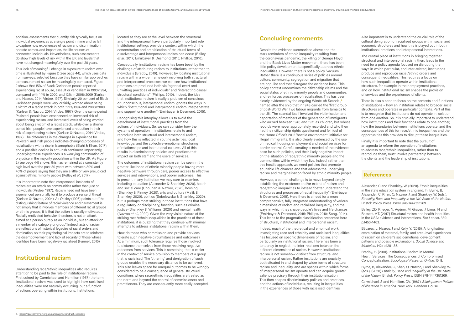addition, assessments that quantify risk typically focus on individual experiences at a single point in time and so fail to capture how experiences of racism and discrimination operate across, and impact on, the life courses of connected individuals. Nevertheless, such assessments do show high levels of risk within the UK and levels that have not changed meaningfully over the past 20 years.

This lack of meaningful change in exposure to racism over time is illustrated by Figure 2 (see page 44), which uses data from surveys, selected because they have similar approaches to measurement so can be meaningfully compared. Figure 2 shows that 15% of Black Caribbean people reported experiencing racist abuse, assault or vandalism in 1993/1994, compared with 14% in 2000, and 12% in 2008/2009 (Karlsen and Nazroo, 2014, Virdee, 1997). Similarly, 20 per cent of Black Caribbean people were very, or fairly, worried about being a victim of a racist attack in both 1993/1994 and 2008/2009 (Karlsen & Nazroo, 2014; Virdee, 1997). Over the same period Pakistani people have experienced an increased risk of experiencing racism, and increased levels of being worried about being a victim of a racist attack, while over a shorter period Irish people have experienced a reduction in their risk of experiencing racism (Karlsen & Nazroo, 2014; Virdee, 1997). The differences in the changes in experience for Pakistani and Irish people indicates changing processes of racialisation, with a rise in Islamophobia (Elahi & Khan, 2017), and a possible decline in anti-Irish sentiment. Importantly, underlying these experiences is a worrying continuation of prejudice in the majority population within the UK. As Figure 2 (see page 44) shows, this has remained at a consistently high level over the past 30 years with between 30% and 40% of people saying that they are a little or very prejudiced against ethnic minority people (Kelley *et al*., 2017).

It is important to note that interpersonal incidents of racism are an attack on communities rather than just on individuals (Virdee, 1997). Racism need not have been experienced personally for it to produce a sense of threat (Karlsen & Nazroo, 2004). As Oakley (1996) points out: "the distinguishing feature of racial violence and harassment is not simply that it involves members of different racial groups or ethnic groups; it is that the action is racially motivated… Racially motivated behavior, therefore, is not an attack aimed at a person purely as an individual, but an attack on a member of a category or group". Indeed, acts of racism are reflections of historical legacies of racial orders and domination, so their psychological impacts are to reinforce the disempowerment and lack of security of those whose identities have been negatively racialised (Funnell, 2015).

## **Institutional racism**

Understanding race/ethnic inequalities also requires attention to be paid to the role of institutional racism. First coined by Carmichael and Hamilton (1967) the term 'institutional racism' was used to highlight how racialised inequalities were not naturally occurring, but a function of actions operating within institutions. Institutions,

located as they are at the level between the structural and the interpersonal, have a particularly important role. Institutional settings provide a context within which the concentration and amplification of structural forms of disadvantage and interpersonal racism can occur (Bailey *et al*., 2017; Emirbayer & Desmond, 2015; Phillips, 2010).

Conceptually, institutional racism has been beset by the challenge of attributing racism to institutions, rather than to individuals (Bradby, 2010). However, by locating institutional racism within a wider framework involving both structural and interpersonal processes we can see how institutional practices are produced both via "agential overt and unwitting practices of individuals" and "interacting causal structural conditions" (Phillips, 2010). Indeed, the idea that institutional racism is really a problem of conscious, or unconscious, interpersonal racism ignores the ways in which "institutional and interpersonal racism interpenetrate and support one another" (Emirbayer & Desmond, 2015).

Recognising this interplay allows us to avoid the detachment of institutional practices from the actions of individuals. So, we can consider how the systems of operation in institutions relate to and reproduce both structural and interpersonal racism, and how this is reflected in routine activities, local knowledge, and the collective-emotional structuring of relationships and institutional cultures. All of this results in discriminatory policies and practices that impact on both staff and the users of services.

The outcomes of institutional racism can be seen in the greater likelihood of ethnic minority people having more negative pathways through care, poorer access to effective services and interventions, and poorer outcomes. This is present in any institution we may care to examine, including education (Alexander & Shankley, 2020), health and social care (Chouhan & Nazroo, 2020), housing (Shankley & Finney, 2020), arts and culture (Malik & Shankley, 2020), politics (Sobolewska & Shankley, 2020), but is perhaps most striking in those institutions that have a regulatory, or disciplinary, function, such as criminal justice (Shankley & Williams, 2020) and mental health (Nazroo *et al*., 2020). Given the very visible nature of the striking race/ethnic inequalities in the practices of these institutions, it is puzzling that they continue with minimal attempts to address institutional racism within them.

How do those who commission and provide services tolerate such negative circumstances and outcomes? At a minimum, such tolerance requires those involved to distance themselves from those receiving negative outcomes from services. This is something that is easier in the context of service provision to members of a group that is racialised. The 'othering' and denigration of such groups enables the necessary distance to be achieved. This also leaves space for unequal outcomes to be wrongly considered to be a consequence of general structural conditions where race/ethnic inequalities are treated as the norm and beyond the control of commissioners and practitioners. They are consequently more easily accepted.

## **Concluding comments**

Despite the evidence summarised above and the stark reminders of ethnic inequality resulting from the coronavirus pandemic, the killing of George Floyd and the Black Lives Matter movement, there has been little policy development to specifically address ethnic inequalities. However, there is not a policy 'vacuum'. Rather there is a continuous series of policies around culture, community, segregation and migration that are populist and that disregard the evidence base. This policy context undermines the citizenship claims and the social status of ethnic minority people and communities, and reinforces processes of racialisation. This has been clearly evidenced by the ongoing Windrush Scandal,**<sup>2</sup>** named after the ship that in 1948 carried the 'first' group of post-World War Two labour migrants from Jamaica to the UK. The scandal itself involved the victimisation and deportation of members of the generation of immigrants who arrived between 1948 and 1971 as children, but whose records were never appropriately recorded and who then had their citizenship rights questioned and fell foul of the Home Office's 2012 'hostile environment' initiative for illegal immigrants. It is also clearly evidenced by the use of medical, housing, employment and social services for border control. Careful scrutiny is needed of the evidence base for such policies, and their likely negative impact on the situation of race/ethnic minority people and the communities within which they live. Indeed, rather than this hostile approach, we need policies that promote equitable life chances and that address the underlying racism and marginalisation faced by ethnic minority people.

However, a central challenge is to move beyond simply establishing the existence and/or extent of racism and race/ethnic inequalities to instead "better understand the structures and processes of racial inequality" (Emirbayer & Desmond, 2015). Here there is a need for a more comprehensive, fully integrated understanding of various dimensions of racism and racialised inequality, and the ways in which they shape people's lives and life chances (Emirbayer & Desmond, 2015; Phillips, 2010; Song, 2014). This leads to the pragmatic classification presented here of structural, institutional and interpersonal racism.

Indeed, much of the theoretical and empirical work investigating race and ethnicity and racialised inequalities has focused on specific dimensions of racism, and particularly on institutional racism. There has been a tendency to neglect the inter-relations between the different dimensions of racism. However, institutional racism is not somehow distinct from structural and interpersonal racism. Rather institutions are crucially both situated in and shaped by wider forms of structural racism and inequality, and are spaces within which forms of interpersonal racism operate and can acquire greater salience precisely through their institutionalisation. This then shapes discriminatory policies and practices, and the actions of individuals, resulting in inequalities in the experiences of those with racialised identities.

Also important is to understand the crucial role of the cultural denigration of racialised groups within social and economic structures and how this is played out in both institutional practices and interpersonal interactions.

The central place of institutions in bringing together structural and interpersonal racism, then, leads to the need for a policy agenda focused on disrupting the ways in which particular, and inter-related, institutions produce and reproduce racial/ethnic orders and consequent inequalities. This requires a focus on how such inequalities operate within institutional structures, for example in their employment practices, and on how institutional racism shapes the provision of services and the experiences of clients.

There is also a need to focus on the contexts and functions of institutions – how an institution relates to broader social structures and operates in particular contexts. Part of this is to recognise that institutions do not operate in isolation from one another. So, it is crucially important to understand how institutions and their functions relate to one another, how the boundaries between institutions operate, and the consequences of this for race/ethnic inequalities and the opportunities this provides to disrupt these inequalities.

Finally it is important to note that the pursuit of an agenda to reform the operation of institutions to address race/ethnic inequalities, rather than to reproduce them, must involve partnership between the clients and the leadership of institutions.

### **References**

Alexander, C and Shankley, W. (2020). Ethnic inequalities in the state education system in England. In: Byrne, B, Alexander, C, Khan, O, Nazroo, J. and Shankley, W. (eds.). *Ethnicity, Race and Inequality in the UK: State of the Nation*. Bristol: Policy Press. ISBN 978-1447351269.

Bailey, ZD, Krieger, N, Agénor, M, Graves, J, Linos, N and Bassett, MT. (2017) Structural racism and health inequities in the USA: evidence and interventions. *The Lancet*, 389: p.1453-1463.

Bécares, L, Nazroo, J and Kelly, Y. (2015). A longitudinal examination of maternal, family, and area-level experiences of racism on children's socioemotional development: patterns and possible explanations. *Social Science and Medicine*, 142: p.128-135.

Bradby, H. (2010). Institutional Racism in Mental Health Services: The Consequences of Compromised Conceptualisation. *Sociological Research Online*, 15, 8.

Byrne, B, Alexander, C, Khan, O, Nazroo, J and Shankley, W. (eds.). (2020) *Ethnicity, Race and Inequality in the UK: State of the Nation*, Bristol: Policy Press. ISBN 978-1447351269.

Carmichael, S and Hamilton, CV. (1967). *Black power: Politics of liberation in America*. New York: Random House.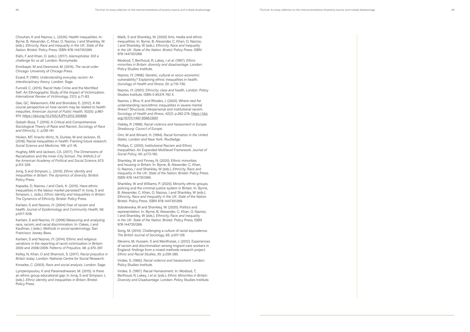Chouhan, K and Nazroo, L. (2020). Health inequalities. In: Byrne, B, Alexander, C, Khan, O, Nazroo, J and Shankley, W. (eds.). *Ethnicity, Race and Inequality in the UK: State of the Nation*. Bristol: Policy Press. ISBN 978-1447351269.

Elahi, F and Khan, O. (eds.). (2017). *Islamophobia: Still a challenge for us all*. London: Runnymede.

Emirbayer, M and Desmond, M. (2015). *The racial order.* Chicago: University of Chicago Press.

Essed, P. (1991). *Understanding everyday racism: An interdisciplinary theory*. London: Sage.

Funnell, C. (2015). Racist Hate Crime and the Mortified Self: An Ethnographic Study of the Impact of Victimization. *International Review of Victimology*, 21(1): p.71-83.

Gee, GC, Walsemann, KM and Brondolo, E. (2012). A life course perspective on how racism may be related to health inequities. *American Journal of Public Health*, 102(5): p.967- 974. https://doi.org/10.2105/AJPH.2012.300666

Golash-Boza, T. (2016). A Critical and Comprehensive Sociological Theory of Race and Racism. *Sociology of Race and Ethnicity*, 2: p.129-141.

Hicken, MT, Kravitz-Wirtz, N, Durkee, M and Jackson, JS. (2018). Racial inequalities in health: Framing future research. *Social Science and Medicine,* 199: p.11-18.

Hughey, MW and Jackson, CA. (2017). The Dimensions of Racialization and the Inner-City School. *The ANNALS of the American Academy of Political and Social Science*, 673: p.312-329.

Jivraj, S and Simpson, L. (2015). *Ethnic identity and inequalities in Britain: The dynamics of diversity*. Bristol: Policy Press.

Kapadia, D, Nazroo, J and Clark, K. (2015). Have ethnic inequalities in the labour market persisted? In Jivraj, S and Simpson, L. (eds.). *Ethnic Identity and Inequalities in Britain: The Dynamics of Ethnicity*. Bristol: Policy Press.

Karlsen, S and Nazroo, JY. (2004) Fear of racism and health. *Journal of Epidemiology and Community Health*, 58: p.1017-1018.

Karlsen, S and Nazroo, JY. (2006) Measuring and analyzing race, racism, and racial discrimination. In: Oakes, J and Kaufman, J (eds.). *Methods in social epidemiology.* San Francisco: Jossey-Bass.

Karlsen, S and Nazroo, JY. (2014). Ethnic and religious variations in the reporting of racist victimization in Britain: 2000 and 2008/2009. *Patterns of Prejudice*, 48: p.370-397.

Kelley, N, Khan, O and Sharrock, S. (2017). *Racial prejudice in Britain today*. London: National Centre for Social Research.

Knowles, C. (2003). *Race and social analysis*. London: Sage.

Lymperopoulou, K and Parameshwaran, M. (2015). Is there an ethnic group educational gap. In Jivraj, S and Simpson, L (eds.). *Ethnic identity and inequalities in Britain*. Bristol: Policy Press.

Malik, S and Shankley, W. (2020) Arts, media and ethnic inequalities. In: Byrne, B, Alexander, C, Khan, O, Nazroo, J and Shankley, W (eds.). *Ethnicity, Race and Inequality in the UK: State of the Nation. Bristol*: Policy Press. ISBN 978-1447351269.

Modood, T, Berthoud, R, Lakey, J *et al*. (1997). *Ethnic minorities in Britain: diversity and disadvantage.* London: Policy Studies Institute.

Nazroo, JY. (1998). Genetic, cultural or socio‐economic vulnerability? Explaining ethnic inequalities in health. *Sociology of Health and Illness*, 20: p.710-730.

Nazroo, JY. (2001). *Ethnicity, class and health*, London: Policy Studies Institute. ISBN 0 85374 792 X.

Nazroo, J, Bhui, K and Rhodes, J. (2020). Where next for understanding race/ethnic inequalities in severe mental illness? Structural, interpersonal and institutional racism. *Sociology of Health and Illness,* 42(2): p.262-276. https://doi. org/10.1111/1467-9566.13001

Oakley, R. (1996). *Racial violence and harassment in Europe. Strasbourg: Council of Europe.*

Omi, M and Winant, H. (1994). *Racial formation in the United States.* London and New York: Routledge.

Phillips, C. (2010). Institutional Racism and Ethnic Inequalities: An Expanded Multilevel Framework. *Journal of Social Policy*, 40: p.173-192.

Shankley, W and Finney, N. (2020). Ethnic minorities and housing in Britain. In: Byrne, B, Alexander, C, Khan, O, Nazroo, J and Shankley, W (eds.). *Ethnicity, Race and Inequality in the UK: State of the Nation*. Bristol: Policy Press. ISBN 978-1447351269.

Shankley, W and Williams, P. (2020). Minority ethnic groups, policing and the criminal justice system in Britain. In: Byrne, B, Alexander, C, Khan, O, Nazroo, J and Shankley, W (eds.). *Ethnicity, Race and Inequality in the UK: State of the Nation.* Bristol: Policy Press. ISBN 978-1447351269.

Sobolewska, M and Shankley, W. (2020). Politics and representation. In: Byrne, B, Alexander, C, Khan, O, Nazroo, J and Shankley, W (eds.). *Ethnicity, Race and Inequality in the UK: State of the Nation*. Bristol: Policy Press. ISBN 978-1447351269.

Song, M. (2014). Challenging a culture of racial equivalence. *The British Journal of Sociology*, 65: p.107-129.

Stevens, M, Hussein, S and Manthorpe, J. (2012). Experiences of racism and discrimination among migrant care workers in England: findings from a mixed-methods research project. *Ethnic and Racial Studies*, 35: p.259-280.

Virdee, S. (1995). *Racial violence and harassment*. London: Policy Studies Institute.

Virdee, S. (1997). Racial Harrassment. In: Modood, T, Berthoud, R, Lakey, J *et al*. (eds.). *Ethnic Minorities in Britain: Diversity and Disadvantage*. London: Policy Studies Institute.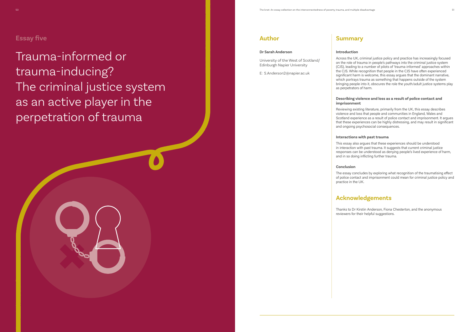Trauma-informed or trauma-inducing? The criminal justice system as an active player in the perpetration of trauma



#### **Introduction**

Across the UK, criminal justice policy and practice has increasingly focused on the role of trauma in people's pathways into the criminal justice system (CJS), leading to a number of pilots of 'trauma-informed' approaches within the CJS. While recognition that people in the CJS have often experienced significant harm is welcome, this essay argues that the dominant narrative, which portrays trauma as something that happens outside of the system bringing people into it, obscures the role the youth/adult justice systems play as perpetrators of harm.

### **Describing violence and loss as a result of police contact and imprisonment**

Reviewing existing literature, primarily from the UK, this essay describes violence and loss that people and communities in England, Wales and Scotland experience as a result of police contact and imprisonment. It argues that these experiences can be highly distressing, and may result in significant and ongoing psychosocial consequences.

### **Interactions with past trauma**

This essay also argues that these experiences should be understood in interaction with past trauma. It suggests that current criminal justice responses can be understood as denying people's lived experience of harm, and in so doing inflicting further trauma.

#### **Conclusion**

The essay concludes by exploring what recognition of the traumatising effect of police contact and imprisonment could mean for criminal justice policy and

practice in the UK.

## **Acknowledgements**

- Thanks to Dr Kirstin Anderson, Fiona Chesterton, and the anonymous
- reviewers for their helpful suggestions.

## **Author**

#### **Dr Sarah Anderson**

University of the West of Scotland/ Edinburgh Napier University

E: S.Anderson2@napier.ac.uk

## **Essay five**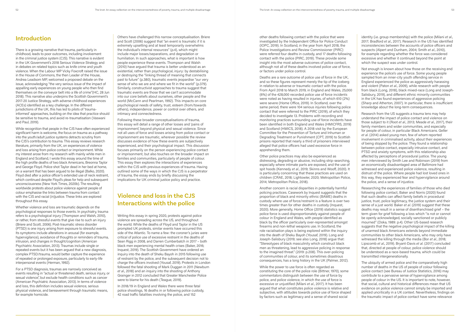## **Introduction**

There is a growing narrative that trauma, particularly in childhood, leads to poor outcomes, including involvement in the criminal justice system (CJS). This narrative is evident in the UK Government's 2018 Serious Violence Strategy and in debates on related topics such as knife crime and youth violence. When the Labour MP Vicky Foxcroft raised the issue in the House of Commons, the then Leader of the House, Andrea Leadsom MP, welcomed a proposed debate on the issue, acknowledging "the very serious issue of the impact of appalling early experiences on young people who then find themselves on the conveyor belt into a life of crime"(HC, 28 Jun 2018). This narrative also underpins the Scottish Government's 2017-20 Justice Strategy, with adverse childhood experiences (ACEs) identified as a key challenge. In the different jurisdictions of the UK, this has led to pilots of 'traumainformed' approaches, building on the idea that practice should be sensitive to trauma, and avoid re-traumatisation (Vaswani and Paul, 2019).

While recognition that people in the CJS have often experienced significant harm is welcome, the focus on trauma as a pathway into the youth/adult justice systems detracts scrutiny from the CJS's contribution to trauma. This essay reviews research literature, primarily from the UK, on experiences of violence and loss arising from police contact or imprisonment. While my interest arose from my research with mainly white men in England and Scotland, I wrote this essay around the time of the high profile deaths of two black Americans, Breonna Taylor and George Floyd. Police shot Taylor dead in her bed at home, on a warrant that has been argued to be illegal (Balko, 2020). Floyd died after a police officer's extended use of neck restraint, which continued despite Floyd's pleas for help and subsequent unconsciousness (New York Times, 2020b). The resulting worldwide protests about police violence against people of colour emphasise the links between trauma from contact with the CJS and racial (in)justice. These links are explored throughout this essay.

Whether violence and loss are traumatic depends on the psychological responses to those events. In psychiatry, trauma refers to a psychological injury (Thompson and Walsh, 2010), or rather, from stressful events that give rise to such an injury (Briere and Scott, 2006). Post-traumatic stress disorder (PTSD) is one injury arising from exposure to stressful events. Its symptoms include alterations in arousal (for example, hypervigilance), avoidance of thoughts or reminders of trauma, intrusion, and changes in thought/cognition (American Psychiatric Association, 2013). Traumas include single or repeated events but it has been argued that a new diagnosis, complex PTSD/trauma, would better capture the experience of repeated or prolonged exposure, particularly to early-life interpersonal events (Herman, 1992).

For a PTSD diagnosis, traumas are narrowly conceived as events resulting in "actual or threatened death, serious injury, or sexual violence", but exclude health conditions such as cancer (American Psychiatric Association, 2013). In terms of violence and loss, this definition includes sexual violence, serious physical violence, and bereavement through traumatic means, for example homicide.

Others have challenged this narrow conceptualisation. Briere and Scott (2006) suggest that "an event is traumatic if it is extremely upsetting and at least temporarily overwhelms the individual's internal resources" (p.4), which might include major losses/separations, and degradation or humiliation. In such approaches, what is important is how people experience these events. Thompson and Walsh (2010) have argued that trauma is better understood as an existential, rather than psychological, injury: by destabilising or destroying the "linking thread of meaning that connects past to future" (p.380), traumatic events jeopardise "our very sense of who we are and where we fit in the world" (p.379). Similarly, constructivist approaches to trauma suggest that traumatic events are those that we can't accommodate into our core beliefs about ourselves, other people and the world (McCann and Pearlman, 1992). This impacts on core psychological needs of safety, trust, esteem (from/towards others), independence, power or control over others, and intimacy and connectedness.

Following these broader conceptualisations of trauma, this essay will detail a range of other losses and 'pains of imprisonment', beyond physical and sexual violence. Since not all uses of force and losses arising from police contact or imprisonment are traumatic, wherever possible the review discusses evidence of how these events are subjectively experienced, and their psychological impact. This discussion focuses primarily on the person experiencing police contact or imprisonment, but also touches on the broader impact on families and communities, particularly of people of colour. This essay then explores the interactions of experiences within the CJS with previous experiences of trauma. Having outlined some of the ways in which the CJS is a perpetrator of trauma, the essay ends by briefly discussing the implications for UK criminal justice policy and practice.

## **Violence and loss in the CJS Interactions with the police**

Writing this essay in spring 2020, protests against police violence are spreading across the US, and throughout the world. While the deaths of Floyd and Taylor in the US prompted UK protests, similar events have occurred this side of the Atlantic. To name a few: the coroner's juries were critical of police use of excessive restraint in the deaths of Sean Rigg in 2008, and Darren Cumberbatch in 2017 – both black men experiencing mental health crises (Baker, 2016; Inquest, 2019). The Scottish Government have ordered an inquiry into the death of Sheku Bayoh in 2015 following use of restraint by the police, and the subsequent decision not to charge the officers involved (Yousaf, 2019). Protests in London followed the fatal shooting of Mark Duggan in 2011 (Newburn *et al*., 2018) and an inquiry into the shooting of Anthony Grainger in 2012 concluded that Greater Manchester Police were to blame for his death (Teague, 2019).

In 2018/19 in England and Wales there were three fatal police shootings, 16 deaths in or following police custody, 42 road traffic fatalities involving the police, and 152

other deaths following contact with the police that were investigated by the Independent Office for Police Conduct (IOPC, 2019). In Scotland, in the year from April 2018, the Police Investigations and Review Commissioner (PIRC) were referred four deaths in custody, and 17 deaths following contact with the police (PIRC, 2019). These provide some insight into the most adverse outcomes of police contact, although not all of these deaths involved police use of force, or factors under police control.

Deaths are a rare outcome of police use of force in the UK, and so these figures represent merely the tip of the iceberg in relation to adverse or traumatic contact with the police. From April 2018 to March 2019, in England and Wales, 25,000 (6%) of the 428,000 recorded police use of force incidents were noted as having resulted in injuries, of which 610 (2%) were severe (Home Office, 2019). In Scotland, over the same period, there were 104 serious injuries following police contact that were referred to the PIRC (2019), of which they decided to investigate 13. Problems with recording and monitoring practices surrounding use of force incidents have been identified in both England and Wales (HMICFRS, 2019) and Scotland (HMICS, 2018). A 2018 visit by the European Committee for the Prevention of Torture and Inhuman or Degrading Treatment or Punishment (CPT, 2019) to Scottish prisons reported that nearly a third of prisoners interviewed alleged that police officers had used excessive force in apprehending them.

Other police practices may also be experienced as distressing, degrading or abusive, including strip-searching, especially where intimate parts are exposed, and the use of spit hoods (Kennedy *et al*., 2019; Skinns and Wooff, 2020). It is particularly concerning that these practices are used on children (CRAE, 2018; Lightowler, 2020; Metropolitan Police, 2014; Metropolitan Police, 2018).

Another concern is racial disparities in potentially harmful policing practices. Casework by Inquest suggests that the proportion of black and minority ethnic (BAME) deaths in custody where use of force/restraint is a feature is over two times greater than for other deaths in custody (Inquest, 2020). More generally, Home Office (2019) statistics suggest police force is used disproportionately against people of colour in England and Wales, with people identified as black by the officer particularly over-represented amongst firearms and non-lethal weapons use. In Scotland, the role racialisation plays is being explored within the inquiry into the death of Sheku Bayoh (Yousaf, 2019). Long and Joseph-Salisbury (2019; see also Long, 2018) argue that: "Stereotypes of black masculinity which construct black men as threatening, lead to aggressive policing in response to the imagined threat." (2019: p.208). This over-policing of communities of colour, and its sometimes disastrous consequences, has a long history in the UK (Palmer, 2012).

While the power to use force is often regarded as constituting the core of the police role (Bittner, 1970), some commentators distinguish between the use of force by police, and police violence, in which the use of force is excessive or unjustified (Milani *et al*., 2017). It has been argued that what constitutes police violence is relative and subjective, with attitudes towards police use of force shaped by factors such as legitimacy and a sense of shared social

identity (i.e. group membership) with the police (Milani *et al*., 2017; Bradford *et al*., 2017). Research in the US has identified inconsistencies between the accounts of police officers and suspects (Alpert and Dunham, 2004; Smith *et al*., 2010), for example regarding whether the force was considered excessive and whether it continued beyond the point at which the suspect was under control.

Not enough is known about how those on the receiving end experience the police's use of force. Some young people sampled from an inner-city youth offending service in England experienced the police as aggressively harassing and violent (Paton *et al*., 2009), while research with people from black (Long, 2018), black mixed-race (Long and Joseph-Salisbury, 2019), and different ethnic minority communities in the UK has found experiences of aggressive policing (Sharp and Atherton, 2007). In particular, there is insufficient knowledge about the long-term consequences.

Research from the US suggests a trauma lens may help understand the impact of police contact and violence on those subject to it (Root *et al*., 2013; Meade *et al*., 2017), their family members and wider communities, and especially for people of colour, in particular Black Americans. Geller *et al*. (2014) asked young men, few of whom reported involvement in criminalised activity, about their experiences of being stopped by the police. They found a relationship between police contact, especially intrusive contact, and PTSD and anxiety symptoms, with this relationship also affected by perceptions of procedural justice. The young men interviewed by Smith Lee and Robinson (2019) from an economically disadvantaged area of Baltimore had witnessed and experienced police violence, resulting in distrust of the police. Where people had lost loved ones in this way, they experienced fear and hypervigilance around the police, and a sense of injustice.

Researching the experiences of families of those who died following police contact, Baker and Norris (2020) found that such deaths can affect family beliefs in procedural justice, trust, police legitimacy, the justice system and their sense of a just world. Baker *et al*. (2019) suggest that these deaths may result in a sense of disenfranchised grief – the term given for grief following a loss which "is not or cannot be openly acknowledged, socially sanctioned or publicly mourned" (Doka, 1989: p.4). Other US-based research suggests that the negative psychological impact of the killing of unarmed black Americans extends beyond immediate communities to other black Americans, who may only have witnessed the killing through the media (Bor *et al*., 2018; Lipscomb *et al*., 2019). Bryant-Davis *et al*. (2017) concluded that, directed at people of colour, police violence should be understood as a race-based trauma, which could be transmitted intergenerationally.

The ubiquity of armed police and the comparatively high number of deaths in the US of people of colour following police contact (see Bureau of Justice Statistics, 2016) may contribute to a pervasive sense of hypervigilance among people of colour in the US. It is important to note, however, that social, cultural and historical differences mean that US evidence on police violence cannot simply be imported and applied uncritically in a UK context. Nevertheless, findings on the traumatic impact of police contact have some relevance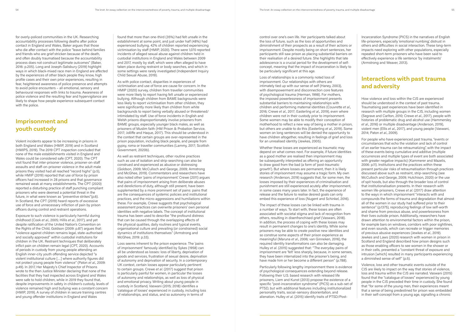for overly-policed communities in the UK. Researching accountability processes following deaths after police contact in England and Wales, Baker argues that those who die after contact with the police "leave behind families and friends who are grief stricken because of the death, and often doubly traumatised because the accountability process does not construct legitimate outcomes" (Baker, 2016: p.205). Long and Joseph-Salisbury (2019) highlight ways in which black-mixed race men in England are affected by the experiences of other black people they know, high profile cases and their own prior experiences, resulting in fear, heightened awareness of police presence and attempts to avoid police encounters – all emotional, sensory and behavioural responses with links to trauma. Awareness of police violence and the resulting fear and hypervigilance are likely to shape how people experience subsequent contact with the police.

## **Imprisonment and youth custody**

Violent incidents appear to be increasing in prisons in both England and Wales (HMIP, 2019) and in Scotland (HMIPS, 2019). The 2019 CPT inspection concluded that none of the male establishments visited in England and Wales could be considered safe (CPT, 2020). The CPT visit found that inter-prisoner violence, prisoner-on-staff assaults and staff-on-prisoner violence in the adult male prisons they visited had all reached "record highs" (p.5), while HMIP (2019) reported that use of force by prison officers had increased in 28 prisons and that governance remained weak at many establishments. The CPT (2020) reported a disturbing practice of staff punching compliant prisoners who were deemed a potential threat in the future, in what were known as "preventive strikes"(p.6). In Scotland, the CPT (2019) heard reports of excessive use of force and unnecessary infliction of pain by prison officers during control and restraint operations.

Exposure to such violence is particularly harmful during childhood (Cook *et al*., 2005; Hillis *et al*., 2017), and yet despite ratification of the United Nation's Convention on the Rights of the Child, Goldson (2009: p.87) argues that: "violence against children remains legal, state-authorised and socially approved" within custodial institutions for children in the UK. Restraint techniques that deliberately inflict pain on children remain legal (CPT, 2020). Accounts of periods in custody from young people attending an English inner-city youth offending service depicted "a violent institutional culture […] where authority figures did not protect young people from violence" (Paton *et al*., 2009: p.49). In 2017, Her Majesty's Chief Inspector of Prisons wrote to the then Justice Minister declaring that none of the facilities that they had inspected across England and Wales were safe to hold children, while in 2019 they found that, despite improvements in safety in children's custody, levels of violence remained high and bullying was a constant concern (HMIP, 2019). A survey of children in secure training centres and young offender institutions in England and Wales

found that more than one-third (35%) had felt unsafe in the establishment at some point, and just under half (48%) had experienced bullying. 42% of children reported experiencing victimisation by staff (HMIP, 2020). There were 1,070 reported incidents of alleged sexual abuse against children held in custodial institutions in England and Wales between 2009 and 2017, mostly by staff, which were often alleged to have taken place during restraint or body searches, and which in some settings were rarely investigated (Independent Inquiry Child Sexual Abuse, 2019).

As with police contact, disparities in experiences of victimisation and use of force are cause for concern. In the HMIP (2020) survey, children from traveller communities were more likely to report having felt unsafe or experienced bullying. Although children from BAME backgrounds were less likely to report victimisation from other children, they were significantly more likely than children from white backgrounds to report being verbally abused or threatened/ intimidated by staff. Use of force incidents in English and Welsh prisons disproportionately involve prisoners from BAME groups, especially younger black males, as well as prisoners of Muslim faith (HM Prison & Probation Service, 2017; Jolliffe and Haque, 2017). This should be understood in the context that certain groups are over-represented in the prison population, including black people, and people from gypsy, roma or traveller communities (Lammy, 2017; Scottish Government, 2020b).

As well as restraint techniques, other routine practices such as use of isolation and strip-searching can also be construed and experienced as abusive or distressing (Goldson, 2009; McCulloch and George, 2009; Armstrong and McGhee, 2019). Commentators and researchers have also noted other 'pains of imprisonment'. Crewe (2011) argues that pains of imprisonment arising from deliberate abuses and derelictions of duty, although still present, have been supplemented by a more prominent set of pains: pains that are the consequences of systemic policies and institutional practices, and the micro-aggressions and humiliations within these. For example, Crewe suggests that psychological assessment practices can overwrite prisoners' own personal identities with negative labels. The concept of institutional trauma has been used to describe "the profound distress that can be caused through the overlapping effects of the physical qualities, daily routines and typical events, organisational culture and prevailing (or constrained) social dynamics of institutions themselves" (Armstrong and McGhee, 2019: p.33).

Loss seems inherent to the prison experience. The 'pains of imprisonment' famously identified by Sykes (1958) can all be understood as losses: loss of liberty, deprivation of goods and services, frustration of sexual desire, deprivation of autonomy and deprivation of security. In a contemporary UK context, certain losses appear particularly pertinent to certain groups. Crewe *et al*. (2017) suggest that prison is particularly painful for women, in particular the losses of autonomy and relationships, as well as loss of physical and emotional privacy. Writing about young people in custody in Scotland, Vaswani (2015; 2018) identifies a 'catalogue of losses' experienced in custody, including loss of relationships, and status, and so autonomy in terms of

control over one's own life. Her participants talked about the loss of future, such as the loss of opportunities and diminishment of their prospects as a result of their actions or imprisonment. Despite mostly being on short sentences, her participants still saw prison as placing substantial barriers on their realisation of a desired future. She highlights that late adolescence is a crucial period for the development of selfconcept, meaning that the impact of incarceration is likely to be particularly significant at this age.

Loss of relationships is a commonly noted loss of imprisonment. Our relationships with others are intimately tied up with our sense of self (Haney, 2003), with disempowerment and disconnection core features of psychological trauma (Herman, 1998). For mothers, the imposed powerlessness of imprisonment presents substantial barriers to maintaining relationships with children and performing maternal identities (Couvrette *et al*., 2016; Crewe *et al*., 2017; Easterling *et al*., 2019), even where children were not in their custody prior to imprisonment. Some women may be able to modify their conception of motherhood to reflect a new way of being a mother in prison, but others are unable to do this (Easterling *et al*., 2019). Some women on long sentences will be denied the opportunity to have children altogether, resulting in feelings of grief and loss for an unrealised identity (Jewkes, 2005).

Whether these losses are experienced as traumatic may depend on what comes next. For example, if future identities as a good mother are realised then imprisonment may be subsequently interpreted as offering an opportunity to draw good from the bad (a form of 'post-traumatic growth'). But where losses are permanent, then it is likely stories of imprisonment may assume a tragic form. My own research (Anderson, 2019) suggests that, for some men, the losses imposed by their experiences of criminalisation and punishment are still experienced acutely after imprisonment, in some cases many years later. In fact, the experience of release and the failure to realise desired goals can only embed this experience of loss (Nugent and Schinkel, 2016).

The impact of these losses can be linked with trauma in a number of ways. To start with, these losses are often associated with societal stigma and lack of recognition from others, resulting in disenfranchised grief (Vaswani, 2018). In addition, the process of coping with these losses may result in permanent changes to one's identity. While some prisoners may be able to create positive new identities and so construe some aspects of their prison experience as meaningful (Maruna *et al*., 2006; van Ginneken, 2016), the required identity transformations can also be damaging. Hulley *et al*. (2015) suggested that: "The everyday pains of imprisonment are 'felt' less sharply, because, in some senses, they have been internalized into the prisoner's being, and have made him or her become a different person" (p.788).

Particularly following lengthy imprisonment there is evidence of psychological consequences extending beyond release. Following their U.S. based research with released life prisoners, Liem and Kunst (2013) propose the existence of a specific "post-incarceration syndrome" (PICS) as a sub-set of PTSD, but with additional features including institutionalized personality traits, social–sensory disorientation, and alienation. Hulley *et al*. (2015) identify traits of PTSD/Post-

Incarceration Syndrome (PICS) in the narratives of English life-prisoners, especially 'emotional numbing', distrust in others and difficulties in social interaction. These long-term impacts need exploring with other populations, especially repeated short-term prisoners who have been said to effectively experience a life sentence 'by instalments' (Armstrong and Weaver, 2013).

## **Interactions with past trauma and adversity**

How violence and loss within the CJS are experienced should be understood in the context of past trauma. Traumatising past experiences have been identified in research with multiple groups in the CJS, including women (Segrave and Carlton, 2010; Crewe *et al*., 2017), people with histories of problematic drug and alcohol use (Hammersley *et al*., 2016) or multiple disadvantage (Anderson, 2019), violent men (Ellis *et al*., 2017), and young people (Vaswani, 2014; Paton *et al*., 2009).

For people who have experienced past trauma, "events or circumstances that echo the violation and lack of control of an earlier trauma can be retraumatizing", with the impact of these events being cumulative and additive (multiple occurrences and multiple types of event are both associated with greater negative impacts) (Kammerer and Mazelis, 2006: p.11). Institutions and the practices within these present particular risks of retraumatisation through practices discussed above such as restraint, strip-searching (see McCulloch and George, 2009; Hutchison, 2020) or the use of spit hoods, but also through the broader loss of control that institutionalisation presents. In their research with women life-prisoners, Crewe *et al*. (2017) draw attention to the ways in which imprisonment "interacts with and compounds the forms of trauma and degradation that almost all of the women in our study had suffered prior to their sentence" (p.1375), reproducing feelings of low self-worth and shame from previous abuse, and powerlessness from their lives outside prison. Additionally, researchers have drawn attention to environmental factors within the prison, for example bars on windows, corridors with poor sightlines, and even sounds, which can recreate or trigger memories of previous abusive experiences (Jewkes *et al*., 2019). Jewkes and Laws (2020) research with women in prison in Scotland and England described how prison designs such as those enabling officers to see women in the shower or in their cells, presented a "constant threat of exposure and intrusion [which] resulted in many participants experiencing a diminished sense of self" (p.5).

Violence, loss and other traumatic events outside of the CJS are likely to impact on the way that stories of violence, loss and trauma within the CJS are narrated. Vaswani (2015) found that the "catalogue of losses" experienced by young people in the CJS preceded their time in custody. She found that "for some of the young men, their experiences meant that a sense of being predestined for prison was embedded in their self-concept from a young age, signalling a chronic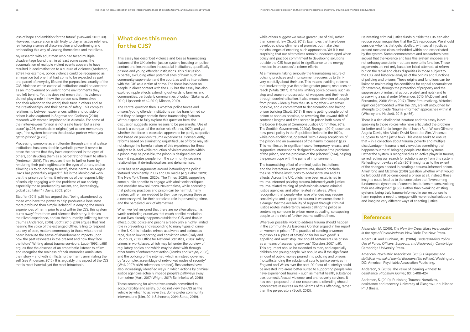loss of hope and ambition for the future" (Vaswani, 2015: 30). However, incarceration is still likely to play an active role here, reinforcing a sense of disconnection and confirming and embedding this way of viewing themselves and their lives.

My research with adult men who had faced multiple disadvantage found that, in at least some cases, the accumulation of multiple violent events appears to have resulted in acclimatisation to a culture of violence (Anderson, 2019). For example, police violence could be recognised as an injustice but one that had come to be expected as part and parcel of everyday life and the purposeless cruelty of the CJS. Violence within custodial institutions could be accepted as an improvement on violent home environments they had left behind. Yet this does not mean that this violence did not play a role in how the person saw themselves and their relation to the world, their trust in others and so their relationships, and their sense of safety. This complex relationship between experiences within and outside of prison is also captured in Segrave and Carlton's (2010) research with women imprisoned in Australia. For some of their interviewees "prison is not a safe haven but a safer place" (p.295, emphasis in original) yet as one memorably says, "the system becomes the abusive partner when you get to prison" (p.296).

Processing someone as an offender through criminal justice institutions has considerable symbolic power. It serves to erase the harms that they have experienced in the eyes of others, constructing them as a perpetrator of harm to others (Anderson, 2019). This exposes them to further harm by rendering their pain legitimate in the eyes of others, and so allowing us to do nothing to rectify these harms. As Angela Davis has powerfully argued: "This is the ideological work that the prison performs; it relieves us of the responsibility of seriously engaging with the problems of our society, especially those produced by racism, and, increasingly, global capitalism" (Davis, 2003: p.16).

Stauffer (2015: p.5) has argued that "being abandoned by those who have the power to help produces a loneliness more profound than simple isolation". In denying the men's experiences of harm, prior to and within the CJS, this system 'turns away' from them and silences their story. It denies their lived experience, and so their humanity, inflicting further trauma (Anderson, 2016). Scott (2015: p.19) argues that "not hearing the voice of the estranged Other, failing to respond to a cry of pain, matters enormously to those who are not heard because the sense of abandonment impacts upon how the past resonates in the present and how they face the future". Writing about trauma survivors, Laub (1992: p.68) argues that the absence of an empathetic listener to affirm and recognise the realness of their memories annihilates their story – and with it inflicts further harm, annihilating the self (see Anderson, 2016). It is arguably this aspect of the CJS that is most harmful, yet the most intractable.

## **What does this mean for the CJS?**

This essay has described violence and loss as traumatising features of the UK criminal justice system, focusing on police contact and incarceration in custodial institutions, specifically prisons and young offender institutions. This discussion is partial, excluding other potential sites of harm such as community supervision and the court, as well as interactions with the CJS as a victim of crime. The focus has been on people in direct contact with the CJS, but the essay has also explored ripple effects extending outwards to families and communities, particularly communities of colour (Baker *et al*., 2019; Lipscomb *et al*., 2019; Minson, 2019).

The central question then is whether police forces and prisons/young offender institutions can be transformed so that they no longer contain these traumatising features. Without space to fully explore this question here, the discussion suggests some reasons to be pessimistic. Use of force is a core part of the police role (Bittner, 1970), and yet whether that force is excessive appears to be partly subjective and based on previous trauma experiences. Consequently, reforms based on eliminating unjustified use of force may still not change the harmful nature of this experience for those subject to it. And while reduction of violent assaults within a prison may be possible, the prison is designed around loss – it separates people from the community, severing relationships; it de-individualises and dehumanises.

2020 has seen arguments around 'defunding the police' featured prominently in US and UK media (e.g. Bakar, 2020; The New York Times, 2020a; The Times, 2020), suggesting some public appetite to engage with abolitionist critiques and consider new solutions. Nevertheless, while accepting that policing practices and prison can be harmful, many readers will remain wedded to their use, regarding these as a necessary evil, for their perceived role in preventing crime, and the perceived lack of alternatives.

There is a rich abolitionist literature and this essay is not speaking to those voices who have articulated the problem far better and for far longer than I have (Ruth Wilson Gilmore, Angela Davis, Alex Vitale, David Scott, Joe Sim, Vincenzo Ruggiero to name just a few). This essay seeks to ensure that – in a collection about trauma, poverty and multiple disadvantage – trauma is not viewed as something that happens 'out there' bringing people into these systems. Rather the system is recognised as an active player in trauma, so redirecting our search for solutions away from this system. Reflecting on Jewkes *et al*.'s (2019) insights as to the extent of the changes needed in creating a trauma-informed prison, Armstrong and McGhee (2019) question whether what would be left could still be considered a prison at all. Instead, these insights could lead us to the conclusion that "overcoming fundamental dynamics of carceral institutions means avoiding their use altogether" (p.36). Rather than tweaking existing systems, being truly trauma-informed in our responses to harm requires a need to engage with more radical solutions and imagine very different ways of enacting justice.

When we feel resigned that there are no alternatives, it is worth reminding ourselves that much conflict resolution in our lives already happens outside the CJS, and that, in effect, public police and prisons already play a highly limited role in preventing and responding to many types of crime. In the UK, this includes crimes as diverse and serious as rape, due to low reporting and conviction rates (Daly and Bouhours, 2010; Office for National Statistics, 2018); safety crimes in workplaces, which may fall under the purview of regulatory bodies and which may be dealt with through other forms of enforcement action (Tombs and Whyte, 2008); and the policing of the internet, which is instead governed by "a complex assemblage of networked nodes of security" (Wall, 2007: p.189 references omitted). Researchers have also increasingly identified ways in which actions by criminal justice agencies actually impede people's pathways away from crime (Hart, 2017; Wright, 2017; Schinkel *et al*., 2018).

Those searching for alternatives remain committed to accountability and safety, but do not view the CJS as the vehicle by which to achieve this. Some prefer community interventions (Kim, 2011; Schenwar, 2014; Sered, 2019),

while others suggest we make greater use of civil, rather than criminal, law (Scott, 2013). Examples that have been developed show glimmers of promise, but make clear the challenges of enacting such approaches. Yet it is not surprising that our alternatives remain underdeveloped when policy and practice commitment to developing solutions outside the CJS have paled in significance to the energy invested in unsuccessful reform efforts.

At a minimum, taking seriously the traumatising nature of policing practices and imprisonment requires us to think very carefully about their use. This means avoiding reforms that inadvertently give the police greater power, resources or reach (Vitale, 2017). It means limiting police powers, such as stop and search or possession of weapons, and their reach through decriminalisation. It also means diversion of people from prison – ideally from the CJS altogether – wherever possible, and a commitment to decarceration and halting prison building (Scott, 2013). It means getting people out of prison as soon as possible, so reversing the upward drift of sentence lengths and time served in prison both sides of the border (House of Commons Justice Committee, 2019; The Scottish Government, 2020a). Brangan (2019) describes how penal policy in the Republic of Ireland in the 1970s, while non-abolitionist, operated "with a deep scepticism of the prison and an awareness of the harms it causes" (p.2). This manifested in significant use of temporary release, and supportive interventions designed to address "the problems of the prison, not the problems of the prisoner" (p.14), helping the person cope with the pains of imprisonment.

The traumatising effect of criminal justice institutions, and the interaction with past trauma, should preclude the use of these institutions to address trauma and its effects. Across the UK, pilots have been established in trauma-informed policing, trauma-informed youth justice, trauma-related training of professionals across criminal justice agencies, and other related initiatives. While recognition that people who have offended may require sensitivity to and support for trauma is welcome, there is a danger that the availability of support through criminal justice routes inadvertently makes calling the police or sentencing someone to prison more appealing, so exposing people to the risks of further trauma outlined here.

Wherever possible, work to address trauma should happen in the community. As Baroness Corston argued in her report on women in prison: "The practice of sending a woman to prison as a 'place of safety' or 'for her own good' is appalling and must stop. Nor should sentencers use prison as a means of accessing services" (Corston, 2007: p.9). This argument should be extended to men, and especially children and young people. We should ask if the significant amount of public money poured into policing and prisons (notwithstanding the substantial cuts to justice services in England and Wales over the post-2010 era of austerity) could be invested into areas better suited to supporting people who have experienced trauma – such as mental health, substance use, domestic/sexual violence, and anti-poverty services. It has been proposed that our responses to offending should concentrate resources on the victims of this offending, rather than the perpetrators (Scott, 2013).

Reinvesting criminal justice funds outside the CJS can also reduce social inequalities that the CJS reproduces. We should consider who it is that gets labelled, with social injustices around race and class embedded within and exacerbated by the system. Some commentators and researchers have argued that the violence and loss this system imposes are not unhappy accidents – but are core to its function. These arguments are not only based on failed attempts at reform, but on the racial and class disparities in those subject to the CJS, and historical analysis of the origins and functions of policing and prisons. These origins and functions can be linked to maintaining the conditions for capital accumulation (for example, through the protection of property and the suppression of industrial action, protest and riots) and to preserving a racial order (Alexander, 2010; McDowell and Fernandez, 2018; Vitale, 2017). These "traumatizing, historical injustices", embedded within the CJS, are left untouched by attempts to provide "trauma-informed" approaches within it (Whalley and Hackett, 2017: p.456).

### **References**

Alexander, M. (2010). *The New Jim Crow: Mass Incarceration in the Age of Colorblindness*. New York: The New Press.

Alpert, GP and Dunham, RG. (2004). *Understanding Police Use of Force: Officers, Suspects, and Reciprocity.* Cambridge: Cambridge University Press.

American Psychiatric Association. (2013). *Diagnostic and statistical manual of mental disorders (5th edition)*. Washington, DC: American Psychiatric Association Publishing.

Anderson, S. (2016). The value of 'bearing witness' to desistance. *Probation Journal*, 63: p.408-424.

Anderson, S. (2019). Punishing Trauma: Narratives, desistance and recovery. University of Glasgow, unpublished PhD thesis.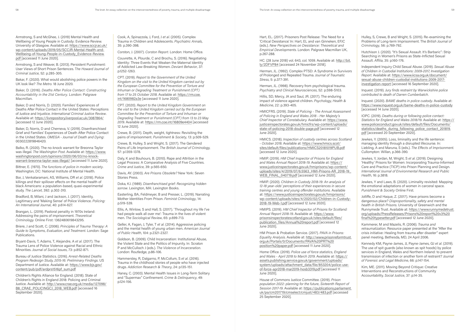Armstrong, S and McGhee, J. (2019) Mental Health and Wellbeing of Young People in Custody: Evidence Review. University of Glasgow. Available at: https://www.sccjr.ac.uk/ wp-content/uploads/2019/05/SCCJR-Mental-Health-and-Wellbeing-of-Young-People-in-Custody\_Evidence-Review. pdf [accessed 11 June 2020].

Armstrong, S and Weaver, B. (2013). Persistent Punishment: User Views of Short Prison Sentences. T*he Howard Journal of Criminal Justice*, 52: p.285-305.

Bakar, F. (2020). What would abolishing police powers in the UK look like? *The Metro*. 18 June 2020.

Baker, D. (2016). *Deaths After Police Contact: Constructing Accountability in the 21st Century*. London: Palgrave Macmillan.

Baker, D and Norris, D. (2020). Families' Experiences of Deaths After Police Contact in the United States: Perceptions of Justice and Injustice. *International Criminal Justice Review*. Available at: https://livrepository.liverpool.ac.uk/3087864/ [accessed 12 June 2020].

Baker, D, Norris, D and Cherneva, V. (2019). Disenfranchised Grief and Families' Experiences of Death After Police Contact in the United States. *OMEGA - Journal of Death and Dying*: 0030222819846420.

Balko, R. (2020). The no-knock warrant for Breonna Taylor was illegal. *The Washington Post*. Available at: https://www. washingtonpost.com/opinions/2020/06/03/no-knockwarrant-breonna-taylor-was-illegal/ [accessed 11 June 2020].

Bittner, E. (1970). *The functions of police in modern society*. Washington, DC: National Institute of Mental Health.

Bor, J, Venkataramani, AS, Williams, DR *et al*. (2018). Police killings and their spillover effects on the mental health of black Americans: a population-based, quasi-experimental study. *The Lancet*, 392: p.302-310.

Bradford, B, Milani, J and Jackson, J. (2017). Identity, Legitimacy and 'Making Sense' of Police Violence. *Policing: An International Journal*, 40: p.614-627.

Brangan, L. (2019). Pastoral penality in 1970s Ireland: Addressing the pains of imprisonment. *Theoretical Criminology.* Online First: 1362480619843295.

Briere, J and Scott, C. (2006). *Principles of Trauma Therapy: A Guide to Symptoms, Evaluation, and Treatment*. London: Sage Publications.

Bryant-Davis, T, Adams, T, Alejandre, A *et al*. (2017). The Trauma Lens of Police Violence against Racial and Ethnic Minorities. *Journal of Social Issues*, 73: p.852-871.

Bureau of Justice Statistics. (2016). *Arrest-Related Deaths Program Redesign Study, 2015-16: Preliminary Findings*. US Department of Justice. Available at: https://www.bjs.gov/ content/pub/pdf/ardprs1516pf\_sum.pdf

Children's Rights Alliance for England. (2018). State of Children's Rights in England 2018: Policing and Criminal Justice. Available at: http://www.crae.org.uk/media/127098/ B8\_CRAE\_POLICINGCJ\_2018\_WEB.pdf [accessed 16 September 2020].

Cook, A, Spinazzola, J, Ford, J *et al*. (2005). Complex Trauma in Children and Adolescents. *Psychiatric Annals*, 35: p.390-398.

Corston, J. (2007). *Corston Report*. London: Home Office.

Couvrette, A, Plourde, C and Brochu, S. (2016). Negotiating Identity: Three Events that Weaken the Maternal Identity of Addicted Law-Breaking Women. *Deviant Behavior*, 37: p.1252-1263.

> HMIP. (2019). *HM Chief Inspector of Prisons for England and Wales Annual Report 2018-19*. Available at: https:// www.justiceinspectorates.gov.uk/hmiprisons/wp-content/ uploads/sites/4/2019/07/6.5563\_HMI-Prisons-AR\_2018-19\_ WEB\_FINAL\_040719.pdf [accessed 12 June 2020].

CPT. (2019). *Report to the Government of the United Kingdom on the visit to the United Kingdom carried out by the European Committee for the Prevention of Torture and Inhuman or Degrading Treatment or Punishment (CPT) from 17 to 25 October 2018*. Available at: https://rm.coe. int/1680982a3e [accessed 11 June 2020].

CPT. (2020). *Report to the United Kingdom Government on the visit to the United Kingdom carried out by the European Committee for the Prevention of Torture and Inhuman or Degrading Treatment or Punishment (CPT) from 13 to 23 May 2019*. Available at: https://rm.coe.int/16809e4404 [accessed 12 June 2020].

Crewe, B. (2011). Depth, weight, tightness: Revisiting the pains of imprisonment. *Punishment & Society*, 13: p.509-529.

Crewe, B, Hulley, S and Wright, S. (2017). The Gendered Pains of Life Imprisonment. *The British Journal of Criminology,* 57: p.1359-1378.

Daly, K and Bouhours, B. (2010). Rape and Attrition in the Legal Process: A Comparative Analysis of Five Countries. *Crime and Justice*, 39: p.565-650.

Davis, AY. (2003). *Are Prisons Obsolete?* New York: Seven Stories Press.

Doka, KJ. (1989). *Disenfranchised grief: Recognizing hidden sorrow*. Lexington, MA: Lexington Books.

Easterling, BA, Feldmeyer, B and Presser, L. (2019). Narrating Mother Identities From Prison. *Feminist Criminology*, 14: p.519-539.

Ellis, A, Winlow, S and Hall, S. (2017). 'Throughout my life I've had people walk all over me': Trauma in the lives of violent men. *The Sociological Review*, 65: p.699-713.

Geller, A, Fagan, J, Tyler, T *et al*. (2014). Aggressive policing and the mental health of young urban men. *American Journal of Public Health*, 104: p.2321-2327.

Goldson, B. (2009). Child Incarceration: Institutional Abuse, the Violent State and the Politics of Impunity. In: Scraton P and McCulloch J (eds.). *The Violence of Incarceration*. London: Routledge, p.86-106.

Hammersley, R, Dalgarno, P, McCollum, S *et al*. (2016). Trauma in the childhood stories of people who have injected drugs. *Addiction Research & Theory*, 24: p.135-151.

Haney, C. (2003). Mental Health Issues in Long-Term Solitary and "Supermax" Confinement. *Crime & Delinquency*, 49: p.124-156.

Hart, EL. (2017). Prisoners Post Release: The Need for a 'Critical Desistance'. In: Hart, EL and van Ginneken, EFJC (eds.). *New Perspectives on Desistance: Theoretical and Empirical Developments*. London: Palgrave Macmillan UK, p.267-288.

HC. (28 June 2018) vol. 643, col. 1059. Available at: http://bit. ly/2DFVP84 [accessed 24 November 2018].

Herman, JL. (1992). Complex PTSD: A Syndrome in Survivors of Prolonged and Repeated Trauma. *Journal of Traumatic Stress*, 5: p.377-391.

Herman, JL. (1998). Recovery from psychological trauma. *Psychiatry and Clinical Neurosciences*, 52: p.S98-S103.

Hillis, SD, Mercy, JA and Saul, JR. (2017). The enduring impact of violence against children. *Psychology, Health & Medicine*, 22: p.393-405.

HMICFRS. (2019). *State of Policing - The Annual Assessment of Policing in England and Wales 2018 - Her Majesty's Chief Inspector of Constabulary.* Available at: https://www. justiceinspectorates.gov.uk/hmicfrs/wp-content/uploads/ state-of-policing-2018-double-page.pdf [accessed 12 June 2020].

HMICS. (2018). *Inspection of custody centres across Scotland - October 2018*. Available at: https://www.hmics.scot/ sites/default/files/publications/HMICS20181019PUB.pdf [accessed 12 June 2020].

HMIP. (2020). *Children in Custody 2018-19: An analysis of 12-18 year-olds' perceptions of their experiences in secure training centres and young offender institutions.* Available at: https://www.justiceinspectorates.gov.uk/hmiprisons/ wp-content/uploads/sites/4/2020/02/Children-in-Custody-2018-19-Web-1.pdf [accessed 12 June 2020].

HMIPS. (2019). *HM Chief Inspector of Prisons for Scotland: Annual Report 2018-19*. Available at: https://www. prisonsinspectoratescotland.gov.uk/sites/default/files/ publication\_files/Annual%20report.pdf [accessed 12 June 2020].

HM Prison & Probation Service. (2017). *PAVA in Prisons: Equality Analysis*. Available at: http://www.prisonreformtrust. org.uk/Portals/0/Documents/PAVA%20PRT%20 position%20paper.pdf [accessed 11 June 2020].

Home Office. (2019). *Police use of force statistics, England and Wales - April 2018 to March 2019*. Available at: https:// assets.publishing.service.gov.uk/government/uploads/ system/uploads/attachment\_data/file/853204/police-useof-force-apr2018-mar2019-hosb3319.pdf [accessed 11 June 2020].

House of Commons Justice Committee. (2019). *Prison population 2022: planning for the future, Sixteenth Report of Session 2017-19*. Available at: https://publications.parliament. uk/pa/cm201719/cmselect/cmjust/483/483.pdf [accessed 25 September 2020].

Hulley, S, Crewe, B and Wright, S. (2015). Re-examining the Problems of Long-term Imprisonment. The *British Journal of Criminology*, 56: p.769-792.

Hutchison J. (2020). "It's Sexual Assault. It's Barbaric": Strip Searching in Women's Prisons as State-Inflicted Sexual Assault. *Affilia*, 35: p.160-176.

Independent Inquiry Child Sexual Abuse. (2019). *Sexual Abuse of Children in Custodial Institutions: 2009-2017, Investigation Report.* Available at: https://www.iicsa.org.uk/document/ sexual-abuse-children-custodial-institutions-2009-2017 investigation-report [accessed 16 September 2020].

Inquest. (2019). *Jury finds restraint by Warwickshire police contributed to death of Darren Cumberbatch*.

Inquest. (2020). *BAME deaths in police custody*. Available at: https://www.inquest.org.uk/bame-deaths-in-police-custody [accessed 14 June 2020].

IOPC. (2019). *Deaths during or following police contact: Statistics for England and Wales 2018/19*. Available at: https:// www.policeconduct.gov.uk/sites/default/files/Documents/ statistics/deaths\_during\_following\_police\_contact\_201819. pdf [accessed 20 September 2020].

Jewkes, Y. (2005). Loss, liminality and the life sentence: managing identity through a disrupted lifecourse. In: Liebling, A and Maruna, S (eds.). *The Effects of Imprisonment*. Cullompton: Willan, p.366-390.

Jewkes, Y, Jordan, M, Wright, S *et al*. (2019). Designing 'Healthy' Prisons for Women: Incorporating Trauma-Informed Care and Practice (TICP) into Prison Planning and Design. *International Journal of Environmental Research and Public Health*, 16: p.3818.

Jewkes, Y and Laws, B. (2020). Liminality revisited: Mapping the emotional adaptations of women in carceral space. *Punishment & Society* Online First.

Jolliffe, D and Haque, Z. (2017). Have prisons become a dangerous place? *Disproportionality, safety and mental health in British Prisons*. University of Greenwich and the Runnymede Trust. Available at: https://www.runnymedetrust. org/uploads/PressReleases/Prisons%20report%20v3%20 final%20typesetter.pdf [accessed 12 June 2020].

Kammerer, M and Mazelis, R. (2006). *Trauma and retraumatization*. Resource paper presented at the "After the crisis initiative: Healing from trauma after disaster" expert panel meeting, Bethesda, MD, 24 April 2006.

Kennedy KM, Payne-James, JJ, Payne-James, GJ *et al*. (2019). The use of spit guards (also known as spit hoods) by police services in England, Wales and Northern Ireland: to prevent transmission of infection or another form of restraint? *Journal of Forensic and Legal Medicine*, 66: p.147-154.

Kim, ME. (2011). Moving Beyond Critique: Creative Interventions and Reconstructions of Community Accountability. *Social Justice*, 37: p.14-35.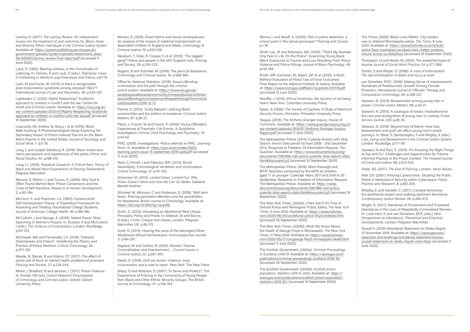Lammy, D. (2017). *The Lammy Review: An independent review into the treatment of, and outcomes for, Black, Asian and Minority Ethnic individuals in the Criminal Justice System*. Available at: https://assets.publishing.service.gov.uk/ government/uploads/system/uploads/attachment\_data/ file/643001/lammy-review-final-report.pdf [accessed 11 June 2020].

Laub, D. (1992). Bearing witness, or the Vicissitudes of Listening. In: Felman, S and Laub, D (eds.). *Testimony: crises of witnessing in literature, psychoanalysis and history*, p.57-74.

Liem, M and Kunst, M. (2013). Is there a recognizable post-incarceration syndrome among released "lifers"? *International Journal of Law and Psychiatry*, 36: p.333-337.

Lightowler, C. (2020). *Rights Respecting? Scotland's approach to children in conflict with the law*. Centre for Youth and Criminal Justice. Available at: https://cycj.org.uk/ wp-content/uploads/2020/01/Rights-Respecting-Scotlandsapproach-to-children-in-conflict-with-the-law.pdf [accessed 16 September 2020].

Lipscomb, AE, Emeka, M, Bracy, I *et al*. (2019). Black Male Hunting! A Phenomenological Study Exploring the Secondary Impact of Police Induced Trauma on the Black Man's Psyche in the United States. *Journal of Sociology and Social Work*, 7: p.11-18.

Long, L and Joseph-Salisbury, R. (2019). Black mixed-race men's perceptions and experiences of the police. *Ethnic and Racial Studies*, 42: p.198-215.

Long, LJ. (2018). *Perpetual Suspects: A Critical Race Theory of Black and Mixed-Race Experiences of Policing.* Switzerland: Palgrave Macmillan

Maruna, S, Wilson, L and Curran, K. (2006). Why God Is Often Found Behind Bars: Prison Conversions and the Crisis of Self-Narrative. *Research in Human Development*, 3: p.161-184.

McCann, IL and Pearlman, LA. (1992). Constructivist Self-Development Theory: A Theoretical Framework for Assessing and Treating Traumatized College Students. *Journal of American College Health*, 40: p.189-196.

McCulloch, J and George, A. (2009). Naked Power; Strip Searching in Women's Prisons. In: Scraton, P and McCulloch, J (eds.). T*he Violence of Incarceration*. London: Routledge, p.107-123.

McDowell, MG and Fernandez, LA. (2018). 'Disband, Disempower, and Disarm': Amplifying the Theory and Practice of Police Abolition. *Critical Criminology*, 26: p.373-391.

Meade, B, Steiner, B and Klahm, CF. (2017). The effect of police use of force on mental health problems of prisoners. *Policing and Society*, 27: p.229-244.

Milani, J, Bradford, B and Jackson, J. (2017). Police Violence. In: Pontell, HN (ed.). *Oxford Research Encyclopedia of Criminology and Criminal Justice*. Oxford: Oxford University Press.

Minson, S. (2019). Direct harms and social consequences: An analysis of the impact of maternal imprisonment on dependent children in England and Wales. *Criminology & Criminal Justice*, 19: p.519-536.

Newburn, T, Diski, R, Cooper, K et al. (2018). 'The biggest gang'? Police and people in the 2011 England riots. *Policing and Society*, 28: p.205-222.

Nugent, B and Schinkel, M. (2016). The pains of desistance. *Criminology and Criminal Justice*, 16: p.568-584.

Office for National Statistics. (2018). *Sexual offending: victimisation and the path through the criminal justice system*. Available at: https://www.ons.gov.uk/ peoplepopulationandcommunity/crimeandjustice/articles/ sexualoffendingvictimisationandthepaththroughthecriminal justicesystem/2018-12-13

Palmer, S. (2012). 'Dutty Babylon': policing Black communities and the politics of resistance. *Criminal Justice Matters*, 87: p.26-27.

Paton, J, Crouch, W and Camic, P. (2009). Young Offenders' Experiences of Traumatic Life Events: A Qualitative Investigation. *Clinical Child Psychology and Psychiatry*, 14: p.43-62.

PIRC. (2019). Investigations: Police referrals to PIRC. *Learning Point*, 15. Available at: https://pirc.scot/media/5025/ learning-point-issue-15-september-2019-web.pdf [accessed 11 June 2020].

Root, C, Ferrell, J and Palacios, WR. (2013). Brutal Serendipity: Criminological Verstehen and Victimization. *Critical Criminology*, 21: p.141-155.

Schenwar, M. (2014). *Locked Down, Locked Out: Why Prison Doesn't Work and How We Can Do Better.* Oakland: Berrett-Koehler.

Schinkel, M, Atkinson, C and Anderson, S. (2018). 'Well-kent faces': Policing persistent offenders and the possibilities for desistance. *British Journal of Criminology*. Available at: https://doi.org/10.1093/bjc/azy050

Scott,, D. (2013). Visualising an Abolitionist Real Utopia: Principles, Policy and Praxis. In: Malloch, M and Munro, B (eds.). *Crime, Critique and Utopia.* London: Palgrave Macmillan UK, p.90-113.

Scott, D. (2015). Hearing the voice of the estranged Other: Abolitionist ethical hermeneutics. *Kriminologisches Journal*, 3: p.184-201.

Segrave, M and Carlton, B. (2010). Women, Trauma, Criminalisation and Imprisonment…. *Current Issues in Criminal Justice*, 22: p.287-305.

Sered, D. (2019). *Until we reckon: Violence, mass incarceration, and a road to repair*. New York: The New Press.

Sharp, D and Atherton, S. (2007). To Serve and Protect?: The Experiences of Policing in the Community of Young People from Black and Other Ethnic Minority Groups. *The British Journal of Criminology*, 47: p.746-763.

Skinns, L and Wooff, A. (2020)/ Pain in police detention: a critical point in the 'penal painscape'? *Policing and Society*: p.1-18.

Smith Lee, JR and Robinson, MA. (2019). "That's My Number One Fear in Life. It's the Police": Examining Young Black Men's Exposures to Trauma and Loss Resulting From Police Violence and Police Killings. *Journal of Black Psychology*, 45: p.143-184.

Smith, MR, Kaminski, RJ, Alpert, GP et al. (2010). A Multi-Method Evaluation of Police Use of Force Outcomes: Final Report to the National Institute of Justice. Available at: https://www.ncjrs.gov/pdffiles1/nij/grants/231176.pdf [accessed 12 June 2020].

Stauffer, J. (2015). *Ethical loneliness: the injustice of not being heard*. New York: Columbia University Press.

Sykes, G. (1958). *The Society of Captives: A Study of Maximum Security Prisons. Princeton*: Princeton University Press.

Teague. (2019). *The Anthony Grainger Inquiry*. House of Commons. Available at: https://www.graingerinquiry.org.uk/ wp-content/uploads/2019/07/Anthony-Grainger-Inquiry-Report.pdf [accessed 11 June 2020].

The Metropolitan Police. (2014). Custody Arrests with Strip Search: Arrest Date period 1st April 2008 - 31st December 2013, Response to Freedom Of Information Request. *The Guardian*. Available at: https://www.documentcloud.org/ documents/1087990-met-police-juvenile-strip-search-stats. html#document/p5 [accessed 16 September 2020].

The Metropolitan Police. (2018). More thorough and MTIP Searches conducted by the MPS on children aged 17 or younger: Calendar Years 2017 and 2018 to 30 September, Response to Freedom of Information Request. The Metropolitan Police. Available at: https://www. documentcloud.org/documents/1087990-met-policejuvenile-strip-search-stats.html#document/p5 [accessed 16 September 2020].

The New York Times. (2020a). Cities Ask if It's Time to Defund Police and 'Reimagine' Public Safety. *The New York Times*, 5 June 2020. Available at: https://www.nytimes. com/2020/06/05/us/defund-police-floyd-protests.html [accessed 25 September 2020].

The New York Times. (2020b). What We Know About the Death of George Floyd in Minneapolis. *The New York Times*, 27 May 2020. Available at: https://www.nytimes. com/2020/05/27/us/george-floyd-minneapolis-death.html [accessed 11 June 2020].

The Scottish Government. (2020a). *Criminal Proceedings in Scotland, 2018-19*. Available at: https://www.gov.scot/ publications/criminal-proceedings-scotland-2018-19/ [accessed 25 September 2020].

The Scottish Government. (2020b). *Scottish prison population: statistics 2019 to 2020*. Available at: https:// www.gov.scot/publications/scottish-prison-populationstatistics-2019-20/ [accessed 16 September 2020].

The Times. (2020). Black Lives Matter: City leaders vow to disband Minneapolis police. *The Times*, 8 June 2020. Available at: https://www.thetimes.co.uk/article/ police-face-crackdown-as-black-lives-matter-protestsmount-across-us-f0sk2lwsx [accessed 25 September 2020].

Thompson, N and Walsh, M. (2010). The existential basis of trauma. *Journal of Social Work Practice*, 24: p.377-389.

Tombs, S and Whyte, D. (2008). *A crisis of enforcement: The decriminalisation of death and injury at work*.

van Ginneken, EFJC. (2016). Making Sense of Imprisonment: Narratives of Posttraumatic Growth Among Female Prisoners. *International Journal of Offender Therapy and Comparative Criminology*, 60: p.208-227.

Vaswani, N. (2014). Bereavement among young men in prison. *Criminal Justice Matters*, 98: p.20-21.

Vaswani, N. (2015). A catalogue of losses: Implications for the care and reintegration of young men in custody. *Prison Service Journal*, 220: p.26-35.

Vaswani, N. (2018). Beyond loss of liberty: How loss, bereavement and grief can affect young men's prison journeys. In: Read, S, Santatzoglou, S and Wrigley, A (eds.). *Loss, Dying and Bereavement in the Criminal Justice System*. London: Routledge, p.177-187.

Vaswani, N and Paul, S. (2019). 'It's Knowing the Right Things to Say and Do': Challenges and Opportunities for Traumainformed Practice in the Prison Context. *The Howard Journal of Crime and Justice*, 58: p.513-534.

Vitale, AS. (2017). *The End of Policing*. London: Verso Books.

Wall, DS. (2007). Policing Cybercrimes: Situating the Public Police in Networks of Security within Cyberspace. *Police Practice and Research*, 8: p.183-205.

Whalley, E and Hackett, C. (2017). Carceral feminisms: the abolitionist project and undoing dominant feminisms. *Contemporary Justice Review*, 20: p.456-473.

Wright, S. (2017). Narratives of Punishment and Frustrated Desistance in the Lives of Repeatedly Criminalised Women. In: Luise Hart, E and van Ginneken, EFJC (eds.). *New Perspectives on Desistance: Theoretical and Empirical Developments*. London: Palgrave Macmillan.

Yousaf H. (2019). Ministerial Statement on Sheku Bayoh, 12 November 2019. Available at: https://news.gov.scot/ speeches-and-briefings/ministerial-statement-humzayousaf-statement-on-sheku-bayoh-next-steps [accessed 11 June 2020].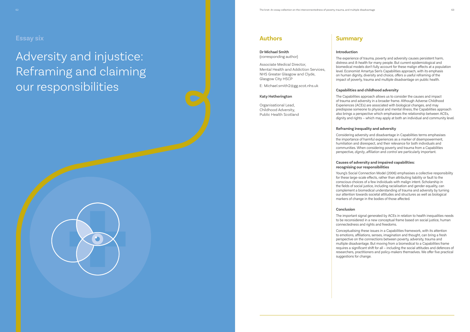Adversity and injustice: Reframing and claiming our responsibilities



#### **Introduction**

The experience of trauma, poverty and adversity causes persistent harm, distress and ill-health for many people. But current epidemiological and biomedical models don't fully account for these malign effects at a population level. Economist Amartya Sen's Capabilities approach, with its emphasis on human dignity, diversity and choice, offers a useful reframing of the impact of poverty, trauma and multiple disadvantage on public health.

### **Capabilities and childhood adversity**

The Capabilities approach allows us to consider the causes and impact of trauma and adversity in a broader frame. Although Adverse Childhood Experiences (ACEs) are associated with biological changes, and may predispose someone to physical and mental illness, the Capabilities approach also brings a perspective which emphasises the relationship between ACEs, dignity and rights – which may apply at both an individual and community level.

### **Reframing inequality and adversity**

Considering adversity and disadvantage in Capabilities terms emphasises the importance of harmful experiences as a marker of disempowerment, humiliation and disrespect, and their relevance for both individuals and communities. When considering poverty and trauma from a Capabilities perspective, *dignity*, *affiliation* and *control* are particularly important.

### **Causes of adversity and impaired capabilities: recognising our responsibilities**

Young's Social Connection Model (2006) emphasises a collective responsibility for these large-scale effects, rather than attributing liability or fault to the conscious choices of a few individuals with malign intent. Scholarship in the fields of social justice, including racialisation and gender equality, can complement a biomedical understanding of trauma and adversity by turning our attention towards societal attitudes and structures as well as biological markers of change in the bodies of those affected.

#### **Conclusion**

The important signal generated by ACEs in relation to health inequalities needs to be reconsidered in a new conceptual frame based on social justice, human connectedness and rights and freedoms.

Conceptualising these issues in a Capabilities framework, with its attention to emotions, affiliations, senses, imagination and thought, can bring a fresh perspective on the connections between poverty, adversity, trauma and multiple disadvantage. But moving from a biomedical to a Capabilities frame requires a significant shift for all – including the social attitudes and defences of researchers, practitioners and policy-makers themselves. We offer five practical

suggestions for change.





**Dr Michael Smith** (corresponding author)

Associate Medical Director, Mental Health and Addiction Services, NHS Greater Glasgow and Clyde, Glasgow City HSCP

E: Michael.smith2@gg.scot.nhs.uk

#### **Katy Hetherington**

Organisational Lead, Childhood Adversity, Public Health Scotland

## **Essay six**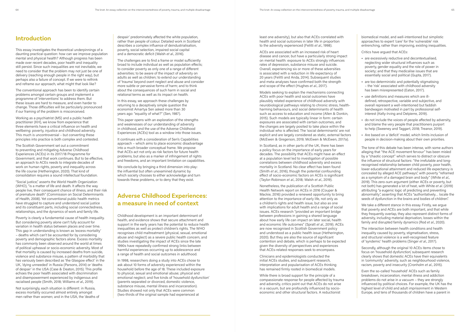## **Introduction**

This essay investigates the theoretical underpinnings of a daunting practical question: how can we improve population mental and physical health? Although progress has been made over recent decades, poor health and inequality still persist. Since such inequalities are not inevitable, we need to consider that the problem may not just be one of delivery (reaching enough people in the right way), but perhaps also a failure of concept. If we were to rethink and reframe our approach, what might that look like?

The conventional approach has been to identify certain problems amongst certain groups and implement a programme of 'interventions' to address them. But these issues are hard to measure, and even harder to change. Those difficulties will be particularly pronounced if our framing of the problem is misconceived.

Working as a psychiatrist (MS) and a public health practitioner (KH), we know from experience that three elements have a critical influence on health and wellbeing: poverty, injustice and childhood adversity. This much is uncontroversial – but converting these principles into practice is both complex and contested.

The Scottish Government set out a commitment to preventing and mitigating Adverse Childhood Experiences (ACEs) in its 2017/18 Programme for Government, and that work continues. But to be effective, an approach to ACEs needs to integrate decades of work on human rights, poverty and inequality across the life course (Hetherington, 2020). That kind of consolidation requires a sound intellectual foundation.

"Social justice," asserts the World Health Organization (WHO), "is a matter of life and death. It affects the way people live, their consequent chance of illness, and their risk of premature death" (Commission on Social Determinants of Health, 2008). Yet conventional public health metrics have struggled to capture and understand social justice and its constituent parts, including social connectedness, relationships, and the dynamics of work and family life.

Poverty is clearly a fundamental cause of health inequality. But considering poverty alone can't fully account for variation in health status between places and over time. This gap in understanding is known as 'excess mortality' – deaths which can't be accounted for by considering poverty and demographic factors alone. Excess mortality has commonly been observed around the world at times of political upheaval or socio-economic adversity. Most of that mortality is caused by increased deaths from suicide, violence and substance misuse, a pattern of morbidity that has variously been described as 'the Glasgow effect' in the UK, 'dying unneeded' in Russia (Parsons, 2014) or 'deaths of despair' in the USA (Case & Deaton, 2015). This profile echoes the poor health associated with discrimination and disempowerment experienced by indigenous and racialised people (Smith, 2018; Williams *et al*., 2019).

Not surprisingly, each situation is different: in Russia, excess mortality occurred almost entirely amongst men rather than women; and in the USA, the 'deaths of

despair' predominately affected the white population, rather than people of colour. Detailed work in Scotland describes a complex influence of deindustrialisation, poverty, social selection, impaired social capital and a democratic deficit (Walsh *et al*., 2016).

The challenges are to find a frame or model sufficiently broad to include individual as well as population effects; to consider poverty as only one of a range of different adversities; to be aware of the impact of adversity on adults as well as children; to extend our understanding of 'trauma' beyond overt neglect and abuse and consider more subtle or pervasive forms of harm; and to think about the consequences of such harm in social and relational terms as well as its impact on health.

In this essay, we approach these challenges by returning to a deceptively simple question the economist Amartya Sen asked more than 30 years ago: "equality of what?" (Sen, 1987).

This paper opens with an exploration of the strengths and weaknesses of our understanding of adversity in childhood, and the use of the Adverse Childhood Experiences (ACEs) tool as a window into those issues.

It continues with a consideration of Sen's Capabilities approach – which aims to place economic disadvantage into a much broader conceptual frame. We propose that ACEs act not only as risk factors for future health problems, but also as a marker of infringement of rights and freedoms, and an important limitation on capabilities.

We conclude by bringing a third dimension into play: the influential but often unexamined dynamic by which society chooses to either acknowledge and turn towards these problems, or to deny that they exist.

## **Adverse Childhood Experiences: a measure in need of context**

Childhood development is an important determinant of health, and evidence shows that secure attachment and support in the early years has the potential to reduce health inequalities as well as protect children's rights. The WHO recognises child maltreatment (physical, sexual, emotional abuse and neglect) as a severe public health concern, and studies investigating the impact of ACEs since the late 1990s have repeatedly confirmed strong links between harmful experiences occurring up to adolescence and a range of health and social outcomes in adulthood.

In 1998, researchers doing a study into ACEs chose to ask about 10 forms of adversity experienced within the household before the age of 18. These included exposure to physical, sexual and emotional abuse; physical and emotional neglect; and five kinds of 'household dysfunction' (parents separated or divorced, domestic violence, substance misuse, mental illness and incarceration). Studies showed not only that ACEs were common (two-thirds of the original sample had experienced at

least one adversity), but also that ACEs correlated with health and social outcomes in later life in proportion to the adversity experienced (Felitti *et al*., 1998).

ACEs are associated with an increased risk of heart disease and cancer, but have a particularly strong impact on mental health: exposure to ACEs strongly influences rates of depression, substance misuse and suicide. Overall, experiencing six or more of these adversities is associated with a reduction in life expectancy of 20 years (Felitti and Anda, 2014). Subsequent studies and meta-analyses have confirmed both the strength and scope of the effect (Hughes *et al*., 2017).

Models seeking to explain the mechanisms connecting ACEs with poor health and social outcomes have plausibly related experience of childhood adversity with neurobiological pathways relating to chronic stress, healthharming behaviours, and social determinants of health such as access to education and income (Allen & Donkin, 2015). Such models are typically linear in form: certain exposures are associated with certain outcomes, and the changes are largely posited to take place within the individual who is affected. The 'social determinants' are not explicit and are largely considered as static, external factors (McEwen & Gregerson, 2019; McEwen & McEwen, 2017a).

In Scotland, as in other parts of the UK, there has been a policy focus on the importance of early years for decades. The possibility that ACEs might have an effect at a population level led to investigation of possible correlations between childhood adversity and excess mortality in Scotland. No clear effect has been found (Smith *et al*., 2016), though the potential confounding effect of socio-economic factors on ACEs is significant (Taylor-Robinson *et al*., 2018; Walsh *et al*., 2019).

Nonetheless, the publication of a Scottish Public Health Network report on ACEs in 2016 (Couper & Mackie, 2016) provided a renewed opportunity to bring attention to the importance of early life, not only as a children's rights and health issue, but also as one with implications for adult health and a range of social issues. ACEs research "provided an important bridge between professions in gaining a shared language about how early life can impact on later social, health and economic life outcomes" (Spratt *et al*., 2019). ACEs are now recognised in Scottish Government policy and understood as a public health issue (Hetherington, 2020). But they are also the source of significant contention and debate, which is perhaps to be expected given the diversity of perspectives and experiences that ACEs-related responses seek to encompass.

Clinicians and epidemiologists conducted the initial ACEs studies, and subsequent research, interpretation and popularisation of ACEs thinking has remained firmly rooted in biomedical models.

While there is broad support for the principle of a compassionate response for people affected by trauma and adversity, critics point out that ACEs do not arise in a vacuum, but are profoundly influenced by socioeconomic and other structural factors. A reductionist

biomedical model, and well-intentioned but simplistic approaches to expert 'care' for the 'vulnerable' risk entrenching, rather than improving, existing inequalities.

Critics have argued that ACEs:

- **•** are excessively reductive and decontextualised, neglecting wider structural influences such as poverty, gender equality and the role of power in society; and that they medicalise issues that are essentially social and political (Gupta, 2017).
- **•** are too deterministic and potentially stigmatising – the 'risk' associated with childhood adversity has been misrepresented (Eaton, 2017).
- **•** use definitions and measures which are illdefined, retrospective, variable and subjective, and overall represent a well-intentioned but faddish bandwagon motivated in part by professional selfinterest (Kelly-Irving and Delpierre, 2019).
- **•** do not include the voices of people affected by adversity, and blame the very people that practitioners purport to help (Sweeney and Taggart, 2018; Treanor, 2019).
- **•** Are based on a 'deficit' model, which limits inclusion of people in decision-making about their own priorities.

The tone of this debate has been intense, with some authors alleging that "the ACE movement fervour" has been misled by a "chaotic concept" which serves to distract or obscure the influence of structural factors: "the irrefutable and longrecognised relationship between child poverty, poor health, lower educational attainment and reduced life expectancy is concealed by alleged ACE pathways", with poverty "reframed as a symptom of a damaged brain and body" (White *et al*., 2019). This zero-sum argument (either ACEs or poverty, but not both) has generated a lot of heat, with White *et al*. (2019) attributing "a eugenic logic of predicting and preventing abnormality", asserting that ACEs "authoritatively… locate the seeds of dysfunction in the brains and bodies of children".

We take a different stance in this essay. Firstly, we argue that poverty and ACEs are both important, and that while they frequently overlap, they also represent distinct forms of adversity, including material deprivation, losses within the family and disrupted family dynamics (Rod *et al*., 2020).

The interaction between health conditions and health inequality caused by poverty, stigmatisation, stress, and structural violence is a well-recognised feature of 'syndemic' health problems (Singer *et al*., 2017).

Secondly, although the original 10 ACEs items chose to focus on 'household dysfunction', subsequent research clearly shows that domestic ACEs have their equivalents in 'community' adversity, such as neighbourhood violence, racism, poverty and insecurity (Cronholm *et al*., 2015).

Even the so-called 'household' ACEs such as family breakdown, incarceration, mental illness and addiction problems do not arise in a vacuum – they are strongly influenced by political choices. For example, the UK has the highest level of child and adult imprisonment in Western Europe, and tens of thousands of children have a parent in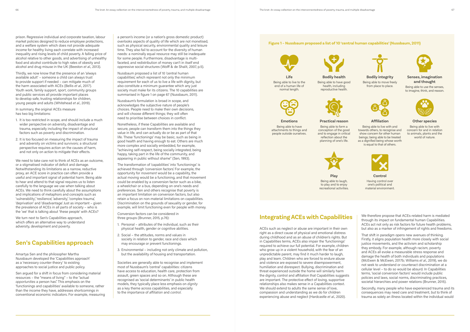prison. Regressive individual and corporate taxation, labour market policies designed to reduce employee protections, and a welfare system which does not provide adequate income for healthy living each correlate with increased inequality and rising levels of child poverty. A falling price of alcohol relative to other goods, and advertising of unhealthy food and alcohol contribute to high rates of obesity and alcohol and drug misuse in the UK (Beeston *et al*., 2013).

Thirdly, we now know that the presence of an 'always available adult' – someone a child can always trust to provide support if needed – can mitigate much of the harm associated with ACEs (Bellis *et al*., 2017). Youth work, family support, sport, community groups and public services all provide important places to develop safe, trusting relationships for children, young people and adults (Whitehead *et al*., 2019).

In summary, the original ACEs measure has two big limitations:

We need to take care not to think of ACEs as an outcome, or a stigmatised indicator of deficit and damage. Notwithstanding its limitations as a narrow, reductive proxy, an ACE score in practice can often provide a useful and important signal of potential harm. Being able to hear and attend to that signal requires us to listen carefully to the language we use when talking about ACEs. We need to think carefully about the assumptions and implications of metaphors and concepts such as 'vulnerability', 'resilience', 'adversity', 'complex trauma', 'deprivation' and 'disadvantage'. Just as important – given the prevalence of ACEs in all parts of society – who is the 'we' that is talking about 'these people' with ACEs?

We turn next to Sen's Capabilities approach, which offers an alternative way to understand adversity, development and poverty.

- 1. It is too restricted in scope, and should include a much wider perspective on adversity, disadvantage and trauma, especially including the impact of structural factors such as poverty and discrimination.
- 2. It is too focused on measuring the impact of trauma and adversity on victims and survivors; a structural perspective requires action on the causes of harm, and not only on action to mitigate their effects.

## **Sen's Capabilities approach**

Amartya Sen and the philosopher Martha Nussbaum developed the 'Capabilities approach' as a 'necessary counter-theory' to existing approaches to social justice and public policy.

Sen argued for a shift in focus from considering material resources – the "means of living" – to the "actual *opportunities* a person has". This emphasis on the 'functionings and capabilities' available to someone, rather than the income they have, addresses shortcomings in conventional economic indicators. For example, measuring

a person's income (or a nation's gross domestic product) overlooks aspects of quality of life which are not monetised, such as physical security, environmental quality and leisure time. They also fail to account for the diversity of human needs: a nominally equal resource may still be inadequate for some people. Furthermore, disadvantage is multifaceted, and redistribution of money can't in itself end oppressive social structures (Wolff & de Shalit, 2007, p.5).

Nussbaum proposed a list of 10 'central human capabilities', which represent not only the minimum requirement for each of us to live a life with dignity, but also constitute a minimum guarantee which any just society must make for its citizens. The 10 capabilities are summarised in figure 1 on page 67 (Nussbaum, 2011).

Nussbaum's formulation is broad in scope, and acknowledges the subjective nature of people's choices. People need to make their own decisions, and will choose different things; they will often need to prioritise between choices in conflict.

**Bodily integrity** Being able to move freely from place to place.



Nonetheless, if these Capabilities are available and secure, people can transform them into the things they value in life, and can actually do or be as part of that life. These 'functionings' may be basic, such as being in good health and having enough to eat. Others are much more complex and socially embedded, for example, "achieving self-respect, being socially integrated, being happy, taking part in the life of the community, and appearing in public without shame" (Sen, 1993).

The transformation of 'capabilities' into 'functionings' is achieved through 'conversion factors'. For example, the opportunity for *movement* would be a capability, the actual moving would be a functioning, and that movement could be enabled by a conversion factor such as a bike, a wheelchair or a bus, depending on one's needs and preferences. Sen and others recognise that poverty is an important limitation on conversion factors, but also retain a focus on non-material limitations on capabilities. Discrimination on the grounds of sexuality or gender, for example, will limit functioning even for people with money.

Conversion factors can be considered in three groups (Brunner, 2015, p.76):

- 1. Personal attributes of the individual, such as their physical health, gender or cognitive abilities.
- 2. Social the attitudes, norms and values in society in relation to gender, race and class which may encourage or prevent functionings.
- 3. Environmental including not only climate and pollution, but the availability of housing and transportation.

Societies are generally able to recognise and implement most of Nussbaum's 'central' capabilities: citizens have access to education, health care, protection from assault, green spaces and so on. Although these are recognised as 'social determinants' in public health models, they typically place less emphasis on *dignity* as a key theme across capabilities, and especially to the importance of *affiliation* and *control*.



## **Integrating ACEs with Capabilities**

ACEs such as neglect or abuse are important in their own right as a direct cause of physical and emotional distress during childhood and as an abuse of children's rights. But in Capabilities terms, ACEs also impair the 'functionings' required to achieve our full potential. For example, children who grow up in a violent household, with the fear of an unpredictable parent, may find it much harder to laugh, play and learn. Children who are forced to endure abuse and violence are exposed to severe disempowerment, humiliation and disrespect. Bullying, discrimination and threat experienced outside the home will similarly harm the dignity, control and affiliation that Capabilities suggests are important. The protective effect of loving, supportive relationships also makes sense in a Capabilities context. We should extend to adults the same sense of love, compassion and understanding as we do for children experiencing abuse and neglect (Hardcastle *et al*., 2020).

We therefore propose that ACEs-related harm is mediated through its impact on fundamental human Capabilities. ACEs act not only as risk factors for future health problems, but also as a marker of infringement of rights and freedoms.

That shift in paradigm opens new avenues of thinking. Firstly, it aligns population health more closely with social justice movements, and the activism and scholarship they embody. For example, although racism, poverty and ACEs all evoke a measurable stress response and damage the health of both individuals and populations (McEwen & McEwen, 2017b; Williams *et al*., 2019), we do not seek to understand or counteract discrimination at a cellular level – to do so would be absurd. In Capabilities terms, 'social conversion factors' would include public policies and laws, social norms, discriminating practices, societal hierarchies and power relations (Brunner, 2015).

Secondly, many people who have experienced trauma and its consequences may need care and treatment, but to think of trauma as solely an illness located within the individual would

### **Figure 1 – Nussbaum proposed a list of 10 'central human capabilities' (Nussbaum, 2011)**





**Life** Being able to live to the end of a human life of normal length.

**Bodily health** Being able to have good health, including reproductive health.



#### **Senses, imagination and thought**

Being able to use the senses, to imagine, think, and reason.



**Emotions** Being able to have attachments to things and people outside ourselves.

**Practical reason**

Being able to form a conception of the good and to engage in critical reflection about the planning of one's life.



**Play** Being able to laugh, to play and to enjoy recreational activities.

#### **Affiliation**

Being able to live with and towards others, to recognise and show concern for other human beings; being able to be treated as a dignified being whose worth is equal to that of others.



**Control**



Having control over one's political and material environment.

#### **Other species**

Being able to live with concern for and in relation to animals, plants and the world of nature.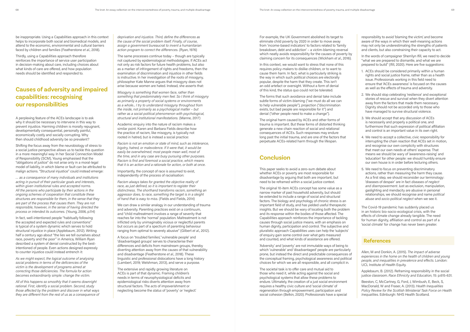be inappropriate. Using a Capabilities approach in this context helps to incorporate both social and biomedical models, and attend to the economic, environmental and cultural barriers faced by children and families (Featherstone *et al*., 2018).

Thirdly, using a Capabilities approach therefore reinforces the importance of service user participation in decision-making about care, including choices about what kinds of care are offered, and how population needs should be identified and responded to.

## **Causes of adversity and impaired capabilities: recognising our responsibilities**

A perplexing feature of the ACEs landscape is to ask why it should be necessary to intervene in this way to prevent injustice. Harming children is morally repugnant, developmentally consequential, personally painful, economically costly and socially corrupting. Why then should childhood adversity be so prevalent?

Shifting the focus away from the neurobiology of stress to a social justice perspective allows us to tackle this question in a more meaningful way. In her Social Connection Model of Responsibility (SCM), Young emphasised that the "obligations of justice" do not arise only in a moral-legal model of liability, in which blame or fault can be attributed to malign actions. "Structural injustice" could instead emerge:

*… as a consequence of many individuals and institutions acting in pursuit of their particular goals and interests, within given institutional rules and accepted norms. All the persons who participate by their actions in the ongoing schemes of cooperation that constitute these structures are responsible for them, in the sense that they are part of the process that causes them. They are not responsible, however, in the sense of having directed the process or intended its outcomes.* (Young, 2006, p.114)

In fact, well-intentioned people "habitually following the accepted and expected rules and conventions" is typical of a system dynamic which serves to hold structural injustice in place (Applebaum, 2012). Writing half a century ago about "the lies we tell ourselves about race, poverty and the poor" in America, William Ryan described a system of denial constructed by the bestintentioned of people. Even actions designed expressly to counter injustice could instead entrench it:

*As we might expect, the logical outcome of analysing social problems in terms of the deficiencies of the victim is the development of programs aimed at correcting those deficiencies. The formula for action becomes extraordinarily simple: change the victim.* 

*All of this happens so smoothly that it seems downright rational. First, identify a social problem. Second, study those affected by the problem and discover in what ways they are different from the rest of us as a consequence of*  *deprivation and injustice. Third, define the differences as the cause of the social problem itself. Finally, of course, assign a government bureaucrat to invent a humanitarian action program to correct the differences.* (Ryan, 1976)

The same processes continue today – though are typically not captured by epidemiological methodologies. If ACEs act not only as risk factors for future health problems, but also as a marker of infringement of rights and freedoms, then the examination of discrimination and injustice in other fields is instructive. In her investigation of the roots of misogyny, philosopher Kate Manne argues that misogyny does not arise because women are hated. Instead, she asserts that:

*Misogyny is something that women face, rather than something that predominately men feel. So I think of misogyny as primarily a property of social systems or environments as a whole... I try to understand misogyny throughout from the inside, not primarily as a psychological matter – but rather as a social-political phenomenon with psychological, structural and institutional manifestations.* (Manne, 2017)

Academic enquiry into the nature of racism makes a similar point. Karen and Barbara Fields describe how the practice of racism, like misogyny, is typically not rooted in hatred, but is instead a social practice:

*Racism is not an emotion or state of mind, such as intolerance, bigotry, hatred, or malevolence. If it were that, it would be easily be overwhelmed; most people mean well, most of the time, and in any case are busy pursuing other purposes. Racism is first and foremost a social practice, which means that it is an action and a rationale for action, or both at once.*

In the words of campaigner Sherrilyn Ifill, we need to decide "what we are prepared to dismantle, and what we are prepared to build" (Ifill, 2020). Here are five suggestions:

Importantly, the concept of race is assumed to exist, independently of the process of racialisation:

*Racism always takes for granted the objective reality of race, as just defined, so it is important to register their distinctness. The shorthand transforms racism, something an aggressor does, to race, something the target is in a sleight of hand that is easy to miss.* (Fields and Fields, 2014)

We can draw a similar analogy in our understanding of trauma and adversity. Parenting practices exist on a continuum, and "child maltreatment involves a range of severity that reaches far into the 'normal' population. Maltreatment is not inflicted only by unimaginably vicious or neglectful parents but occurs as part of a spectrum of parenting behaviour ranging from optimal to severely abusive" (Gilbert *et al*., 2012).

A focus on 'troubled families', 'vulnerable people' and 'disadvantaged groups' serves to characterise their differences and deficits from mainstream groups, thereby diverting attention away from the *causes* of that vulnerability and disadvantage (Featherstone *et al*., 2018). These linguistic and professional dislocations have a long history (Lambert, 2019; Welshman, 2013), and serve a purpose.

The extensive and rapidly growing literature on ACEs is part of that dynamic. Framing children's needs in terms of neurophysiological deficits and epidemiological risks diverts attention away from structural factors. The *acts* of impoverishment or neglecting become the *status* of 'poverty' or 'neglect'. For example, the UK Government abolished its target to eliminate child poverty by 2020 in order to move away from 'income-based indicators' to factors related to 'family breakdown, debt and addiction' – a victim-blaming reversal which neatly avoids responsibility for the causes of poverty by claiming concern for its consequences (Wickham *et al*., 2016).

In this context, we would want to stress that none of this requires policy-makers to dislike children, or to want to cause them harm. In fact, what is particularly striking is the way in which such political choices are electorally popular, despite the harm that they create. This isn't an odd artefact or oversight. Without a form of denial of this kind, the status quo could not be tolerated.

The forms that such avoidance and denial take include subtle forms of victim-blaming ("we must do all we can to help vulnerable people"), projection ("discrimination exists, but bad people are responsible for it") and denial ("other people need to make a change").

The original harm caused by ACEs and other forms of trauma is important. But these forms of distorted thinking generate a new chain reaction of social and relational consequences of ACEs. Such responses may endure long past the initial trauma, and are one of the factors that perpetuate ACEs-related harm through the lifespan.

## **Conclusion**

This paper seeks to avoid a zero-sum debate about whether ACEs or poverty are most responsible for disadvantage by arguing that both are important, but need to be reframed within a social justice context.

The original 10-item ACEs concept has some value as a narrow marker of past household adversity, but should be extended to include a range of social and structural factors. The biology and psychology of chronic stress is an important field of study, and has yielded useful therapeutic insights. But we should be wary of locating both the problem and its response within the bodies of those affected. The Capabilities approach reinforces the importance of tackling causes through social justice means, with an emphasis on human dignity, participation and control. The subjective and pluralistic approach Capabilities uses can help the 'subjects' of enquiry gain some control over what gets measured and counted, and what kinds of assistance are offered.

'Adversity' and 'poverty' are not immutable ways of being to which 'vulnerable' and 'disadvantaged' people are particularly prone, but instead the direct and predictable consequences of the conceptual framing, psychological awareness and political choices for which we are all responsible, and all complicit in.

The societal task is to offer care and mutual aid to those who need it, while acting against the social and psychological systems that allow these problems to endure. Ultimately, the creation of a just social environment requires a healthy civic culture and 'social climate' of regeneration through empowerment, participation and social cohesion (Belkin, 2020). Professionals have a special

responsibility to avoid 'blaming the victim', and become aware of the ways in which their well-meaning actions may not only be underestimating the strengths of patients and clients, but also constraining their capacity to act.

- 1. ACEs should be considered primarily within a human rights and social justice frame, rather than as a health issue. Professionals working in this field need to ensure that 'ACEs awareness' is focused on the causes as well as the effects of trauma and adversity.
- 2. We should stop celebrating 'resilience' and exceptional stories of rescue and survival when they divert attention away from the factors that made them necessary. Dignity should not be accorded only to those who have managed to survive structural violence.
- 3. We should accept that any discussion of ACEs is necessarily and properly a political one, and furthermore that such expression of political affiliation and control is an important value in its own right.
- 4. We need to accept a collective, civic responsibility for interrupting the chain reaction that ACEs set in motion, and recognise our own complicity with structures that meet our own needs at others' expense. That means we should be wary of 'awareness-raising' and 'education' for other people: we should humbly ensure our own house is in order before lecturing others.
- 5. We need to focus on preventing discriminatory actions, rather than measuring the harm they cause. As a first step, we should reconsider our terminology: 'diseases of despair' are in fact *diseases of neglect and disempowerment*. Just as exclusion, manipulation, gaslighting and mendacity are abusive in personal relationships, we should recognise and name *political abuse* and *socio-political neglect* when we see it.

The Covid-19 pandemic has suddenly placed us in an historic bio-socio-ecological crisis, with the effects of climate change already tangible. The need for human dignity, affiliation and control as part of a 'social climate' for change has never been greater.

### **References**

Allen, M and Donkin, A. (2015). *The impact of adverse experiences in the home on the health of children and young people, and inequalities in prevalence and effects*. London: UCL Institute of Health Equity.

Applebaum, B. (2012). Reframing responsibility in the social justice classroom. *Race Ethnicity and Education*, 15: p.615-631.

Beeston, C, McCartney, G, Ford, J, Wimbush, E, Beck, S, MacDonald, W and Fraser, A. (2013). *Health Inequalities Policy Review for the Scottish Ministerial Task Force on Health Inequalities*. Edinburgh: NHS Health Scotland.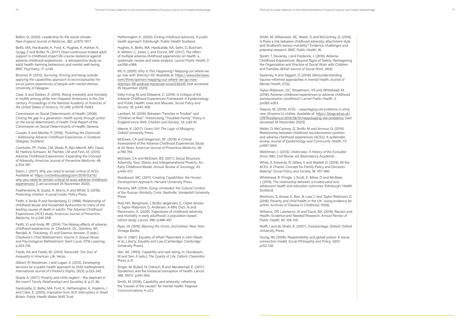Belkin, G. (2020). Leadership for the social climate. *New England Journal of Medicine*, 382: p.1975-1977.

Bellis, MA, Hardcastle, K, Ford, K, Hughes, K, Ashton, K, Quigg, Z and Butler, N. (2017). Does continuous trusted adult support in childhood impart life-course resilience against adverse childhood experiences - a retrospective study on adult health-harming behaviours and mental well-being. *BMC Psychiatry*, 17: p.140.

Brunner, R. (2015). *Surviving, thriving and being outside: applying the capabilities approach to reconceptualise the social justice experiences of people with mental distress*. University of Glasgow.

Case, A and Deaton, A. (2015). Rising morbidity and mortality in midlife among white non-Hispanic Americans in the 21st century. *Proceedings of the National Academy of Sciences of the United States of America*, 112 (49): p.15078-15083.

Commission on Social Determinants of Health. (2008). *Closing the gap in a generation: health equity through action on the social determinants of health*. Final Report of the Commission on Social Determinants of Health. Geneva.

Couper, S and Mackie, P. (2016). *'Polishing the Diamonds' - Addressing Adverse Childhood Experiences in Scotland*. Glasgow, Scotland.

Cronholm, PF, Forke, CM, Wade, R, Bair-Merritt, MH, Davis, M, Harkins-Schwarz, M, Pachter, LM and Fein, JA. (2015). Adverse Childhood Experiences: Expanding the Concept of Adversity. *American Journal of Preventive Medicine*, 49: p.354-361.

Eaton, J. (2017). *Why you need to remain critical of ACEs*. Available at: https://victimfocusblog.com/2019/03/15/ why-you-need-to-remain-critical-of-aces-adverse-childhoodexperiences/ [Last accessed 25 November 2020].

Featherstone, B, Gupta, A, Morris, K and White, S. (2018). *Protecting children: A social model*. Policy Press.

Felitti, V, Anda, R and Nordenberg, D. (1998). Relationship of childhood abuse and household dysfunction to many of the leading causes of death in adults: The Adverse Childhood Experiences (ACE) study. *American Journal of Preventive Medicine*, 14: p.245-258.

Felitti, VJ and Anda, RF. (2014). The lifelong effects of adverse childhood experiences. In: Chadwick, DL, Giardino, AP, Randell, A, Thackeray, JD and Esernio-Jenssen, D (eds.) *Chadwick's Child Maltreatment, Volume 2: Sexual Abuse and Psychological Maltreatment*. Saint Louis: STM Learning, p.203-216.

Fields, KA and Fields, BJ. (2014). *Racecraft: The Soul of Inequality in American Life*. Verso.

Gilbert, R, Woodman, J and Logan, S. (2012). Developing services for a public health approach to child maltreatment. *International Journal of Children's Rights*, 20(3): p.323-342.

Gupta, A. (2017). Poverty and child neglect – the elephant in the room? *Family Relationships and Societies*, 6: p.21-36.

Hardcastle, K, Bellis, MA, Ford, K, Hetherington, K, Hopkins, J and Clark, E. (2020). *Inspiration from ACE Interrupters in Great Britain*. Public Health Wales NHS Trust.

Hetherington, K. (2020). *Ending childhood adversity. A public health approach*. Edinburgh: Public Health Scotland.

Hughes, K, Bellis, MA, Hardcastle, KA, Sethi, D, Butchart, A, Mikton, C, Jones, L and Dunne, MP. (2017). The effect of multiple adverse childhood experiences on health: a systematic review and meta-analysis. *Lancet Public Health*, 2: p.e356-e366.

Ifill, S. (2020). *Why Is This Happening? Mapping out where we go now with Sherrilyn Ifill*. Available at: https://www.nbcnews. com/think/opinion/mapping-out-where-we-go-nowsherrilyn-ifill-podcast-transcript-ncna1236345 [last accessed 25 November 2020].

Kelly-Irving, M and Delpierre, C. (2019). A Critique of the Adverse Childhood Experiences Framework in Epidemiology and Public Health: Uses and Misuses. *Social Policy and Society*, 18: p.445-456.

Lambert, M. (2019). Between "Families in Trouble" and "Children at Risk": Historicising "Troubled Family" Policy in England since 1945. *Children and Society*, 33: p.82-91.

Manne, K. (2017). *Down Girl: The Logic of Misogyny*. Oxford University Press.

McEwen, CA and Gregerson, SF. (2019). A Critical Assessment of the Adverse Childhood Experiences Study at 20 Years. A*merican Journal of Preventive Medicine*, 56: p.790-794.

McEwen, CA and McEwen, BS. (2017). Social Structure, Adversity, Toxic Stress, and Intergenerational Poverty: An Early Childhood Model. *Annual Review of Sociology*, 43: p.445-472.

Nussbaum, MC. (2011). *Creating Capabilities: the Human Development Approach*. Harvard University Press.

Parsons, MA. (2014). *Dying Unneeded: the Cultural Context of the Russian Mortality Crisis*. Nashville: Vanderbilt University Press.

Rod, NH, Bengtsson, J, Budtz-Jørgensen, E, Clipet-Jensen, C, Taylor-Robinson, D, Andersen, A-MN, Dich, N and Rieckmann, A. (2020). Trajectories of childhood adversity and mortality in early adulthood: a population-based cohort study. *Lancet*, 396: p.489-497.

Ryan, W. (1976). *Blaming the Victim*, 2nd edition. New York: Vintage Books.

Sen A. (1987). Equality of What? Reprinted in John Rawls *et al*., *Liberty, Equality and Law* (Cambridge: Cambridge University Press).

Sen, AK. (1993). Capability and well-being. In: Nussbaum, M and Sen, A (eds.), *The Quality of Life*. Oxford: Clarendon Press, p.31.

Singer, M, Bulled, N, Ostrach, B and Mendenhall, E. (2017). Syndemics and the biosocial conception of health. *Lancet*, 389, 10072: p.941-950.

Smith, M. (2018). Capability and adversity: reframing the "causes of the causes" for mental health. *Palgrave Communications*, 4: p.13.

Smith, M, Williamson, AE, Walsh, D and McCartney, G. (2016). Is there a link between childhood adversity, attachment style and Scotland's excess mortality? Evidence, challenges and potential research. *BMC Public Health*, 16.

Spratt, T, Devaney, J and Frederick, J. (2019). Adverse Childhood Experiences: Beyond Signs of Safety; Reimagining the Organisation and Practice of Social Work with Children and Families. *British Journal of Social Work*, 24(4).

Sweeney, A and Taggart, D. (2018). (Mis)understanding trauma-informed approaches in mental health. *Journal of Mental Health*, 27(5).

Taylor-Robinson, DC, Straatmann, VS and Whitehead, M. (2018). Adverse childhood experiences or adverse childhood socioeconomic conditions? *Lancet Public Health*, 3: p.e262-e263.

Treanor, M. (2019). *ACEs – repackaging old problems in shiny new (Emperor's) clothes*. Available at: https://blogs.ed.ac.uk/ CRFRresilience/2019/08/01/repackaging-old-problems/ [last accessed 25 November 2020].

Walsh, D, McCartney, G, Smith, M and Armour, G. (2019). Relationship between childhood socioeconomic position and adverse childhood experiences (ACEs): A systematic review. *Journal of Epidemiology and Community Health*, 73: p.1087-1093.

Welshman, J. (2013). *Underclass: A History of the Excluded Since 1880*, 2nd Revise. ed. Bloomsbury Academic.

White, S, Edwards, R, Gillies, V and Wastell, D. (2019). All the ACEs: A Chaotic Concept for Family Policy and Decision-Making? *Social Policy and Society,* 18: 457-466.

Whitehead, R, Pringle, J, Scott, E, Milne, D and McAteer, J. (2019). *The relationship between a trusted adult and adolescent health and education outcomes*. Edinburgh: Health Scotland.

Wickham, S, Anwar, E, Barr, B, Law, C and Taylor-Robinson, D. (2016). Poverty and child health in the UK: Using evidence for action. *Archives of Disease in Childhood*, 101(8).

Williams, DR, Lawrence, JA and Davis, BA. (2019). Racism and Health: Evidence and Needed Research. *Annual Review of Public Health*, 40: 105-125.

Wolff, J and de Shalit, A. (2007). *Disadvantage*. Oxford: Oxford University Press.

Young, IM. (2006). Responsibility and global justice: A social connection model. *Social Philosophy and Policy*, 3(01): p.102-130.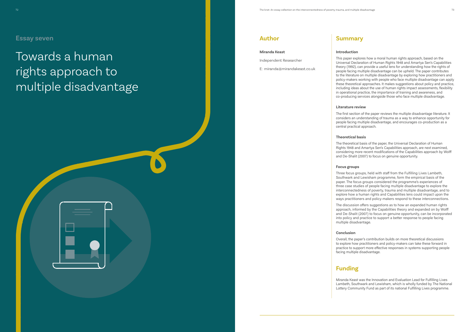# Towards a human rights approach to multiple disadvantage

## **Author**

#### **Miranda Keast**

Independent Researcher

E: miranda@mirandakeast.co.uk

## **Summary**

#### **Introduction**

This paper explores how a moral human rights approach, based on the Universal Declaration of Human Rights 1948 and Amartya Sen's Capabilities theory (1992), can provide a useful lens for understanding how the rights of people facing multiple disadvantage can be upheld. The paper contributes to the literature on multiple disadvantage by exploring how practitioners and policy-makers working with people who face multiple disadvantage can apply these theoretical approaches. It makes suggestions about policy and practice, including ideas about the use of human rights impact assessments, flexibility in operational practice, the importance of training and awareness, and co-producing services alongside those who face multiple disadvantage.

#### **Literature review**

The first section of the paper reviews the multiple disadvantage literature. It considers an understanding of trauma as a way to enhance opportunity for people facing multiple disadvantage, and encourages co-production as a central practical approach.

### **Theoretical basis**

The theoretical basis of the paper, the Universal Declaration of Human Rights 1948 and Amartya Sen's Capabilities approach, are next examined, considering more recent modifications of the Capabilities approach by Wolff and De-Shalit (2007) to focus on genuine opportunity.

#### **Focus groups**

Three focus groups, held with staff from the Fulfilling Lives Lambeth, Southwark and Lewisham programme, form the empirical basis of the paper. The focus groups considered the programme's experiences of three case studies of people facing multiple disadvantage to explore the interconnectedness of poverty, trauma and multiple disadvantage, and to explore how a human rights and Capabilities lens could impact upon the ways practitioners and policy-makers respond to these interconnections.

The discussion offers suggestions as to how an expanded human rights approach, informed by the Capabilities theory and expanded on by Wolff and De-Shalit (2007) to focus on genuine opportunity, can be incorporated into policy and practice to support a better response to people facing

multiple disadvantage.

### **Conclusion**

Overall, the paper's contribution builds on more theoretical discussions to explore how practitioners and policy-makers can take these forward in practice to support more effective responses in systems supporting people facing multiple disadvantage.

## **Funding**





Miranda Keast was the Innovation and Evaluation Lead for Fulfilling Lives Lambeth, Southwark and Lewisham, which is wholly funded by The National Lottery Community Fund as part of its national Fulfilling Lives programme.

## **Essay seven**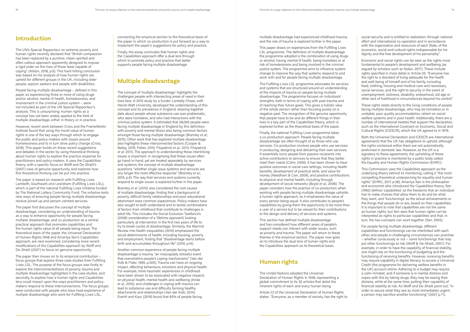## **Introduction**

The UN's Special Rapporteur on extreme poverty and human rights recently declared that "British compassion has been replaced by a punitive, mean-spirited and often callous approach apparently designed to impose a rigid order on the lives of those least capable of coping" (Alston, 2018, p.5). This hard-hitting conclusion was based on his analysis of how human rights are upheld for different groups in the UK, including older people, asylum seekers and people with disabilities.

People facing multiple disadvantage – defined in this paper as experiencing three or more of using drugs and/or alcohol, mental ill health, homelessness, and involvement in the criminal justice system – were not included as part of the UN Special Rapporteur's analysis. This is unsurprising: human rights as a concept has not been widely applied to the field of multiple disadvantage, either in theory or in practice.

However, recent work between Crisis and the FrameWorks Institute found that using the moral value of human rights is one of the key ways through which to engage the public and policy-makers with issues around homelessness and to in turn drive policy change (Crisis, 2018). This paper builds on these recent suggestions and debates in the sector by using theoretical thinking about human rights to explore the practice response for practitioners and policy-makers. It uses the Capabilities theory, with a specific focus on Wolff and De-Shalit's (2007) view of genuine opportunity, and explores how this theoretical thinking can be put into practice.

The paper is based on research with Fulfilling Lives Lambeth, Southwark and Lewisham (Fulfilling Lives LSL), which is part of the national Fulfilling Lives initiative funded by The National Lottery Community Fund. The initiative tests new ways of ensuring people facing multiple disadvantage receive joined-up and person-centred services.

The paper first discusses the concept of multiple disadvantage, considering an understanding of trauma as a way to enhance opportunity for people facing multiple disadvantage, and co-production as a central practical approach that promotes capabilities and the human rights value of all people being equal. The theoretical basis of the paper, the Universal Declaration of Human Rights 1948 and Amartya Sen's Capabilities approach, are next examined, considering more recent modifications of the Capabilities approach by Wolff and De-Shalit (2007) to focus on genuine opportunity.

The paper then moves on to its empirical contribution – focus groups that explore three case studies from Fulfilling Lives LSL. The purpose of the focus groups was firstly to explore the interconnectedness of poverty, trauma and multiple disadvantage highlighted in the case studies, and secondly, to explore how a human rights and Capabilities lens could impact upon the ways practitioners and policymakers respond to these interconnections. The focus groups were conducted with people who have lived experience of multiple disadvantage who work for Fulfilling Lives LSL,

connecting the empirical section to the theoretical basis of the paper in which co-production is put forward as a way to implement the paper's suggestions for policy and practice.

Finally, the essay concludes that human rights and the Capabilities approach offer a dual lens through which to promote policy and practice that better supports people facing multiple disadvantage.

## **Multiple disadvantage**

The concept of 'multiple disadvantage' highlights the challenges people with intersecting areas of need in their lives face. A 2015 study by a funder, Lankelly Chase, with Heriot-Watt University, developed the understanding of this concept and its prevalence in England, drawing together data about people whose substance use was problematic, who were homeless, and who had interactions with the criminal justice system. It estimated that 58,000 people were facing multiple disadvantage in England by this definition, with poverty and mental illness also being common factors amongst those facing multiple disadvantage (Bramley *et al*., 2015). Other work that has explored multiple disadvantage also highlights these interconnected factors (Cooper & Bailey, 2019; Fisher, 2015; Fitzpatrick *et al*., 2013; Fitzpatrick *et al*; 2011). The approach to understanding these interlinking issues is important: in recognising that these issues often go hand-in-hand, yet are treated separately by services and systems, the concept of multiple disadvantage questions "whether single issue systems and services are any longer the most effective response" (Bramley *et al*., 2015, p.4). The way that services and systems currently respond to single issues is explored further in the paper.

Bramley *et al*. (2015) also considered the root causes of multiple disadvantage, finding that a background of poverty, difficult family relationships and poor educational attainment were common experiences. Policy-makers have also sought to both understand and to tackle combinations of factors from childhood that contribute to challenges in adult life. This includes the Social Exclusion Taskforce's (2006) consideration of a 'lifetime approach', looking particularly at intervention in the first two years of life to try to break cycles of disadvantage. Similarly, the Marmot Review into health inequalities (2010) emphasised the social determinants of health, including housing, poverty and employment, finding that "disadvantage starts before birth and accumulates throughout life" (2010, p.14).

Another common experience of people facing multiple disadvantage is trauma, "an inescapably stressful event that overwhelms people's coping mechanisms" (Van der Kolk & Fisler, 1995, p.505). Trauma can have an ongoing impact, affecting behaviours, emotions and physical health. For example, more traumatic experiences in childhood have been shown to be associated with negative impacts on physical health, mental health and wellbeing (Anda *et al*., 2010), and challenges in coping with trauma can lead to substance use and difficulty forming healthy attachments and relationships (Van der Kolk, 2014). Everitt and Kaur (2019) found that 85% of people facing

multiple disadvantage had experienced childhood trauma, and the role of trauma is explored further in the paper.

This paper draws on experiences from the Fulfilling Lives LSL programme. The definition of multiple disadvantage the programme adopted is the combination of using drugs or alcohol, having mental ill health, being homeless or at risk of homelessness and being involved in the criminal justice system. The programme aims to influence system change to improve the way that systems respond to and work with and for people facing multiple disadvantage.

The Fulfilling Lives LSL programme advocates for services and systems that are structured around an understanding of the impacts of trauma on people facing multiple disadvantage. The programme focuses on individuals' strengths, both in terms of coping with past trauma and of reaching their future goals. This gives a holistic view of the whole person rather than focusing purely on a negative past. The recognition of the genuine opportunity that people have to be and do different things in their lives is a key part of the Capabilities theory, which is explored further as the theoretical basis of the paper.

Finally, the national Fulfilling Lives programme takes a co-production approach. People facing multiple disadvantage are often thought of as those who use services. Co-production involves people who use services in producing, designing and delivering their own services. It essentially turns people from passive recipients into active contributors to services to ensure that they better meet their needs (Cahn, 2000). It has been shown to have positive outcomes in social care settings, including health benefits, development of practical skills, and value for money (Needham & Carr, 2009), and positive contributions to physical and mental health, including through development of social networks (Boyle *et al*., 2006). The paper considers how the practice of co-production when working with people facing multiple disadvantage upholds a human rights approach, as it emphasises the value of every person being equal. It also contributes to people's capabilities by giving them the opportunity to be more than a user of a service but to be valued for their contributions to the design and delivery of services and systems.

This section has defined multiple disadvantage and has considered how different areas of people's support needs can interact with wider issues, such as poverty and trauma. The paper will return to these themes in the empirical section. The paper now goes on to introduce the dual lens of human rights and the Capabilities approach as its theoretical basis.

## **Human rights**

The United Nations adopted the Universal Declaration of Human Rights in 1948, representing a global commitment to its 30 articles that detail the inherent rights of each and every human being.

Article 22 of the Universal Declaration of Human Rights states: "Everyone, as a member of society, has the right to

social security and is entitled to realization, through national effort and international co-operation and in accordance with the organization and resources of each State, of the economic, social and cultural rights indispensable for his dignity and the free development of his personality."

Economic and social rights can be seen as the rights most fundamental to people's development and wellbeing (as argued by scholars such as Nolan, 2017). These include rights specified in more detail in Article 25: "Everyone has the right to a standard of living adequate for the health and well-being of himself and of his family, including food, clothing, housing and medical care and necessary social services, and the right to security in the event of unemployment, sickness, disability, widowhood, old age or other lack of livelihood in circumstances beyond his control."

These rights relate directly to the living conditions of people facing multiple disadvantage, who may be homeless or in unstable, poor quality accommodation, reliant on social welfare systems and in poor health. Additionally, there are a number of international treaties that support the declaration, such as the International Covenant on Economic, Social and Cultural Rights (ICESCR), which the UK agreed to in 1976.

Both the Universal Declaration and ICESCR are international agreements that the UK has obligations to uphold, although the rights contained within them are not automatically enshrined in domestic law. However, as the UK is a signatory to these agreements, the upholding of these rights in practice is monitored by a public body called the Equality and Human Rights Commission (EHRC).

This Commission uses the Capabilities approach as the underlying theory behind its monitoring, calling it "the most compelling theoretical underpinning for equality and human rights" (EHRC, 2017, p.38). Amartya Sen is the philosopher and economist who introduced the Capabilities theory. Sen (1992) defines 'capabilities' as the freedoms that an individual has to make choices that allow them to do and be what they want, and 'functionings' as the actual achievements or the things that people do or are, based on their capabilities. It is important to note that capabilities are not the same as human rights, but Sen sees that human rights can be interpreted as rights to particular capabilities and that, in turn, the two concepts can work together (Sen, 2005).

For people facing multiple disadvantage, different capabilities and functionings can be interlinked with each other, and people in challenging circumstances can prioritise – whether consciously or not – some functionings that may put other functionings at risk (Wolff & De-Shalit, 2007). For example, in order to have the capability of financial stability, one might rely on the functioning of budgeting and the functioning of receiving benefits. However, receiving benefits may require capability in digital literacy, to access a Universal Credit (the programme for delivering welfare benefits in the UK) account online. Adhering to a budget may require a calm mindset, and if someone is in mental distress and copes with this by taking drugs, they may be easing their distress, while at the same time, putting their capability of financial stability at risk. As Wolff and De-Shalit point out, "in order to secure what they see as most immediately urgent, a person may sacrifice another functioning" (2007, p.71).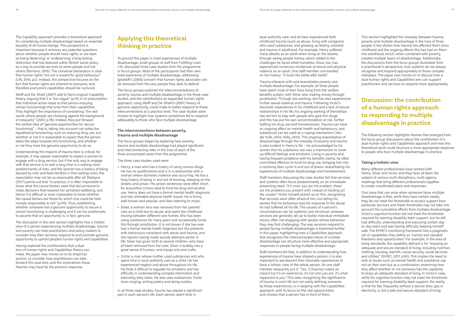The Capability approach provides a theoretical approach for considering multiple disadvantage based on essential equality of all human beings. This perspective is important because it removes any potential questions about whether people should have rights, or are seen as being 'deserving' or 'undeserving', a long-lasting distinction that has featured within British social policy as a way to provide services to some people and not others (Romano, 2015). The Universal Declaration is clear that human rights "are not a reward for good behaviour" (UN, 2015, p.v). Instead, this perspective focuses on the fact that human rights are inherent to everyone, and therefore everyone's capabilities should be nurtured.

Wolff and De-Shalit (2007) add to Sen's original Capability theory, arguing that it is "too vague" (p.74) in its presumption that individual action leads to that person enjoying certain functionings that arise from their capabilities. They highlight the importance of considering "the real world, where people are choosing against the background of inequality" (2007, p.78). Instead, they put forward the central idea of "genuine opportunities for secure functioning" – that is, taking into account not solely the hypothetical functioning, such as reducing drug use, but whether or not it is reasonable to expect that the person takes the steps towards this functioning, and whether or not they have the genuine opportunity to do so.

Understanding the impacts of trauma here is critical: for example, it may appear reasonable to expect a woman to engage with a drug service, but if the only way to engage with that service is to wait a long time in a waiting room predominantly of men, and the woman has a history of being abused by men and feels terrified in that waiting room, the expectation may not be so reasonable after all. Robeyns (2017) points out that "in practice, it is often impossible to know what the causal factors were that led someone to make decisions that lowered her achieved wellbeing, and hence it is difficult or even impossible to know whether the causal factors are those for which one could be held morally responsible or not" (p.110). Thus, establishing whether someone has a genuine opportunity to secure a certain functioning is challenging and it can be problematic to assume that an opportunity is, in fact, genuine.

The discussion in the next section highlights how a holistic view of a person experiencing multiple disadvantage, trauma and poverty can help practitioners and policy-makers to consider how their services respond to and promote genuine opportunity to uphold people's human rights and capabilities.

Having explored the contributions that a dual lens of human rights and Capabilities theory can make, the paper now moves on to its empirical section, to consider how practitioners can take forward this dual lens, and the implications these theories may have for the practice response.

## **Applying this theoretical thinking in practice**

To ground this paper in lived experiences of multiple disadvantage, small groups of staff from Fulfilling Lives LSL discussed three case studies from the programme in focus groups. Most of the participants had their own lived experience of multiple disadvantage, addressing Ignatieff's (2000) concern that human rights advocates can be removed from the very people they seek to defend.

The focus groups explored the interconnectedness of poverty, trauma and multiple disadvantage in the three case studies, and the contributions an expanded human rights approach, using Wolff and De-Shalit's (2007) theory of genuine opportunity, could make to better respond to these interconnections at a practice level. The case studies were chosen to highlight how systems sometimes fail to respond adequately to those who face multiple disadvantage.

#### **The interconnections between poverty, trauma and multiple disadvantage**

The focus groups began by exploring how poverty, trauma and multiple disadvantage had played significant and interconnecting roles in the lives of each of the three anonymised cases from the programme.

The three case studies used were:

- **•** Henry, a man who has a history of using various drugs. He has no qualifications and is in a relationship with a woman where domestic violence was occurring. He has a long history of being in and out of housing, sleeping on the streets, and prison. His prison sentences were often short, for acquisitive crimes used to fund his drug and alcohol use. Henry does not have a formal mental health diagnosis and has untreated physical health issues. He is funny, well-known and popular, and likes listening to music.
- **•** Silver, a woman who was removed from her parents' care as a child due to abuse, and spent her childhood moving between different care homes. She has been using substances for many years and occasionally funds this through prostitution. It is not known if she has ever had a formal mental health diagnosis but she presents with behaviours consistent with abuse and trauma, and she reports having made suicide attempts earlier in life. Silver has given birth to several children, who have all been removed from her care. Silver is bubbly, has a great sense of humour, and enjoys arts and crafts.
- **•** Victor, a man whose mother used substances and who spent time in local authority care as a child. He has experienced neglect and abuse throughout his life. He finds it difficult to regulate his emotions and has difficulty in understanding complex information and executing daily tasks. He also uses substances. Victor loves singing, writing poetry and doing sudoku.

In all three case studies, trauma has played a significant part in each person's life. Each person spent time in

local authority care, and all have experienced both childhood trauma (such as abuse, living with caregivers who used substances, and growing up feeling unloved) and trauma in adulthood. For example, Henry suffered many attacks as an adult when living on the streets, through owing people money, which added to the challenges he faced while homeless. Silver, too, has experienced numerous incidences of sexual and physical violence as an adult. One staff member commented on her history: *"It looks like battle after battle".*

Trauma interacts with and exacerbates poverty and multiple disadvantage. For example, all three people have spent most of their lives living from the welfare benefits system, with Silver also making money through prostitution. Through sex-working, she has also experienced further sexual violence and trauma. Following Victor's traumatic experiences in his childhood and a lack of secure relationships in his life, his ongoing seeking of friendships has led him to stay with people who give him drugs and this has put his own accommodation at risk, further fuelling his drug use and homelessness. Trauma can have an ongoing effect on mental health and behaviours, and substances can be used as a coping mechanism (Van der Kolk, 2014; Holly, 2013). This ongoing exacerbation of disadvantage through the interplay of poverty and trauma is also evident in Henry's life – he acknowledged to his worker that his substance use was a mechanism to cover up difficult feelings and emotions. Living in poverty and having frequent problems with his benefits claims, he often committed offences to fund his drug use, bringing him into a revolving door cycle in and out of prison, exacerbating his experiences of multiple disadvantage and homelessness.

Staff members discussing the case studies felt that services and systems often focus predominantly on an immediate presenting need: *"It's more 'you are the problem, these are the problems you present with', instead of [looking at] the causes."* Victor himself picked up on this, recognising that services were often afraid of him, but telling his worker that his behaviour was his response to the abuse he had suffered all his life. The causes of a person's circumstances can be systemic and structural, whereas services are generally set up to tackle individual immediate issues, often not engaging with people whose behaviour they may find challenging. The way services respond to people facing multiple disadvantage is examined further in this paper, highlighting how a Capabilities approach that recognises the interconnected nature of multiple disadvantage can structure more effective and appropriate responses to people facing multiple disadvantage.

Staff members felt that, in addition to understanding how experiences of trauma have shaped a person, it is also important to see beyond their traumatic experiences to have a holistic view of the whole person. As one staff member eloquently put it: *"Yes, it [trauma] makes an impact but it's an experience, it's not who you are, it's what happened to you."* This view, recognising the significance of trauma in one's life but not solely defining someone by those experiences, is in keeping with the Capabilities approach, with its focus on the real opportunities and choices that a person has in front of them.

This section highlighted the interplay between trauma, poverty and multiple disadvantage in the lives of three people. It has shown how trauma has affected them since childhood and the ongoing effects this has had on them into adulthood, which, when combined with poverty, created multiple layers of disadvantage. Additionally, the discussions from the focus groups illustrated, from a practitioner's perspective, how systems do not always recognise and respond appropriately to these complex interplays. The paper now moves on to discuss how a dual human rights and Capabilities lens can support practitioners and services to respond more appropriately.

## **Discussion: the contribution of a human rights approach to responding to multiple disadvantage in practice**

The following section highlights themes that emerged from the focus group discussions about the contribution of a dual human rights and Capabilities approach and how this theoretical work could structure a more appropriate response to people who face multiple disadvantage in practice.

#### **Taking a holistic view**

Many different professionals have worked with Henry, Silver and Victor, and they have all been the subject of various multi-disciplinary, multi-agency meetings that bring different professionals together to create coordinated plans and responses.

One issue that can arise when someone faces multiple disadvantage is that, while they have certain needs, they do not meet the thresholds to access support from particular services and these thresholds may not take into account the cumulative effects from multiple disadvantage. Victor's cognitive function did not meet the thresholds required for learning disability team support, but he still had difficulty understanding and executing certain dayto-day tasks and was having difficulty keeping himself safe. The EHRC's monitoring framework lists a pragmatic set of capabilities they define as "central and valuable freedoms and opportunities". For example, in the area of living standards, the capability defined is for "enjoying an adequate and secure standard of living, including nutrition, clothing, housing, warmth, social security, social services and utilities" (EHRC, 2017, p.95). This implies the need to look at issues such as mental health and substance use not on their own but as a combination, examining how they affect whether or not someone has the capability to enjoy an adequate standard of living. In Victor's case, while his cognitive function may not meet the thresholds required for learning disability team support, the reality is that his flat, frequently without a secure door, gas or electricity, is not a safe and secure standard of living.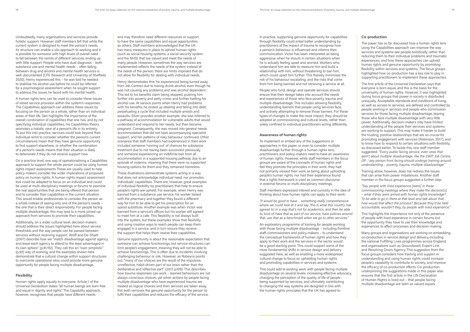Undoubtedly, many organisations and services provide holistic support. However staff members felt that while the current system is designed to meet the person's needs, its structure can enable a silo approach to working and it is possible for someone with high levels of overall need to fall between the remits of different services, ending up with little support. People who have dual diagnosis – both substance use and mental health needs – often falling between drug and alcohol and mental health services is well-documented (CFE Research and University of Sheffield, 2020). Henry experienced this – he was told he needed to stabilise his alcohol use before he could be referred for a psychological assessment when he sought support to address the issues he faced with his mental health.

A human rights lens can be used to consider these issues of siloed service provision within the system's responses. The Capabilities approach can address these issues by focusing on the person as a whole, rather than on individual areas of their life. Sen highlights the importance of the overall *combination* of capabilities that one has, and by not specifying individual capabilities, his Capabilities theory promotes a holistic view of a person's life in its entirety. To put this into practice, services could look beyond their individual remit to consider whether the person's current circumstances mean that they have genuine opportunity to find support elsewhere, or whether the combination of a person's needs means that their situation is likely to deteriorate if they do not receive support now.

On a practice level, one way of operationalising a Capabilities approach to support the whole person could be using human rights impact assessments These are usually used to help policy-makers consider the wider implications of proposed policy on human rights. A human rights impact assessment tool could be adapted to focus on an individual and could be used at multi-disciplinary meetings or forums to examine the real opportunities that are being offered that person and to consider their capabilities in the current situation. This would enable professionals to consider the person as a whole instead of seeing only one of the person's needs – the one that is their direct responsibility. For people facing multiple disadvantage, this may lead to a more joined-up approach from services to promote their capabilities.

Additionally, on a wider cultural level, decision-makers should address the issues highlighted here about service thresholds and the way people can be passed between services without receiving support. Wolff and De-Shalit (2007) describe how we "match disadvantage against agency and leave each agency to attend to the least advantaged in its own sphere" (p.91/92). They call this an "over-simplistic" (p.92) way of working, and the examples shown here demonstrate that a cultural change within support structures to overcome operational silos could provide more genuine opportunity for people facing multiple disadvantage.

#### **Flexibility**

Human rights apply equally to everyone: Article 1 of the Universal Declaration states "all human beings are born free and equal in dignity and rights". The Capability approach, however, recognises that people have different needs

and may therefore need different resources or support to have the same capabilities and equal opportunities as others. Staff members acknowledged that the UK has many measures in place to uphold human rights (such as social housing systems, a social security system and the NHS) that are valued and meet the needs of many people. However, sometimes the way services are implemented reflects the needs of the system instead of the needs of the person; there are limits imposed that do not allow for flexibility for dealing with individual needs.

Henry demonstrates this: he experienced being turned away from Job Centres due to having drunk alcohol, even though he was not causing any problems and was alcohol dependent. This led to his benefits claim being stopped, pushing him further into poverty and petty crime, and further fuelling his alcohol use. At various points when Henry had problems with his benefits, he ended up stealing and falling into debt, perpetuating a cycle that included multiple arrests and assaults. Silver provides another example: she was referred to a pathway of accommodation for vulnerable adults that would understand and respond to her needs, but then became pregnant. Consequently, she was moved into general needs accommodation that did not have accompanying specialist support, and her patterns of risky behaviour continued. Other scenarios that staff members had experienced in their work included someone 'running out' of chances for substance treatment due to not having been successful previously, and someone experiencing an indefinite ban from all accommodation in a supported housing pathway due to an episode of violence, meaning that there were no supported housing options for them and they remained homeless.

These illustrations demonstrate systems acting in a way that does not acknowledge individual need, nor promotes individuals' capabilities. There are, however, great examples of individual flexibility by practitioners that help to ensure people's rights are upheld. For example, when Henry was banned from a substance use service, his worker liaised with the pharmacy and together they found a different way for him to be able to get his prescription for an opioid substitute. Another example was when Victor was banned from a service's offices but his worker still agreed to meet him at a cafe. This flexibility is not always built into the system, but these examples show that flexibility and using creative ways to reach people can keep them engaged in a service, and in turn ensure they receive the support that helps them realise their capabilities.

Training alone, however, does not redress the issues that can arise from power imbalances. Another staff member in the focus groups suggested a further step:

Genuine opportunity is about the reasonable expectation that someone can achieve functionings, but service structures can limit people's engagement, meaning they will not be able to achieve functionings. This is often due to incidents involving challenging behaviour or risk. However, as Robeyns points out, "many of our choices are the result of the impulsive, unreflective, habit-driven part of our brain rather than the deliberative and reflective part" (2017, p.109). This describes how trauma responses can work – learned behaviours are not always conscious choices, yet when actions by people facing multiple disadvantage who have experienced trauma are treated as logical choices and then services are taken away, this both removes the genuine opportunity for the person to fulfil their capabilities and reduces the efficacy of the service.

In practice, supporting genuine opportunity for capabilities through flexibility could entail better understanding by practitioners of the impact of trauma to recognise how a person's behaviour is influenced and informs their communication. Victor has been interpreted as being aggressive when he shouts in certain situations when he is actually feeling upset and worried. Workers who understand him are able to reassure him and build a relationship with him, without threatening to ban him, which could upset him further. This thereby minimises the risk of his behaviour escalating, and the risks that come from him being banned and not receiving a service at all.

People who fund, design and operate services should ensure that their design takes into account the needs and experiences of those who face poverty, trauma and multiple disadvantage. This includes allowing flexibility, understanding barriers that people using services face, and actively attempting to remove those barriers. For these types of changes to make the most impact, they should be adopted at commissioning and cultural levels, rather than solely confined to individual practitioners acting differently.

#### **Awareness of human rights**

To implement or embed any of the suggestions or approaches in this paper, or even to consider multiple disadvantage further through a human rights lens, practitioners and policy-makers need to have an awareness of human rights. However, while staff members in the focus groups are aware of the concepts of human rights and feel they promote the principles in their work, they had not primarily viewed their work as being about upholding people's human rights, nor had their experience found that a rights framework is used as common discourse in external forums or multi-disciplinary meetings.

Staff members expressed interest and curiosity in the idea of thinking about how human rights can apply to their work:

*"It would be good to have… something really comprehensive where we could look at it and say 'this is what this country has agreed to', in a way that's not for academics, and then be able to, kind of, have that as part of our service, have policies around that, use that as a benchmark when we go to other services."*

An exploratory programme of training for people working with those facing multiple disadvantage – including frontline staff, commissioners and policy-makers – to understand the conceptual frameworks of human rights and how they apply to their work and the services in the sector would be a good starting point. This could support some of the more fundamental shifts in service design and delivery suggested here, as well as enabling a more widespread cultural change to focus on upholding human rights and promoting capabilities in services and systems.

This could add to existing work with people facing multiple disadvantage on several levels: increasing effective advocacy, changing the perception of the quality of life of people being supported by services, and ultimately contributing to changing the way systems are designed in line with the human rights principles that the UK has agreed to.

#### **Co-production**

The paper has so far discussed how a human rights lens using the Capabilities approach can improve the way services and systems see people holistically, rather than reducing them to their individual problems and traumatic experiences, and how these approaches can uphold human rights and genuine opportunity by promoting flexibility within services and systems. The focus groups highlighted how co-production has a key role to play in supporting practitioners to implement these approaches.

The first article of the Universal Declaration says that everyone is born equal, and this is the basis for the universality of human rights. However, it was highlighted during focus groups that power in society is distributed unequally. Acceptable standards and conditions of living, as well as access to services, are defined and controlled by people working in services and people who commission services for those facing multiple disadvantage, leaving those who face multiple disadvantage with very little power. Additionally, decision-makers may have limited understanding of the people their services and systems are working to support. This may make it harder to build the trusting, positive relationships that are so crucial for promoting engagement with services (Robinson, 2017), and to know how to respond to certain situations with flexibility, as discussed earlier. To tackle this, one staff member suggested: *"Every public facing service, even ones that aren't about multiple disadvantage, like the DWP, Job Centre, GP… any person front facing should undergo training around understanding… poverty, trauma, multiple disadvantage."*

*"Say people with lived experience [were] in those commissioning meetings where they make the decision[s] – what if they were armed with human rights knowledge? To be able to go in there at that level and talk about that, how would that affect the process? Because they'd be held accountable, wouldn't they, by people with lived experience."*

This highlights the importance not only of the presence of people with lived experience in certain forums but the opportunity they have to use their knowledge and experiences to affect processes and decision-making.

Many groups and organisations are working on embedding co-production in service design and delivery, including the national Fulfilling Lives programmes across England, and organisations such as Groundswell, Expert Link and Revolving Doors Agency. This suggestion from the focus groups considers how training and support in understanding and using human rights could increase people's capability to contribute to society, and improve the efficacy of co-production efforts. Co-production underpinning the suggestions made in this paper also ensures that the first article in the UN Declaration of Human Rights is lived out – that people facing multiple disadvantage are seen as valued equals.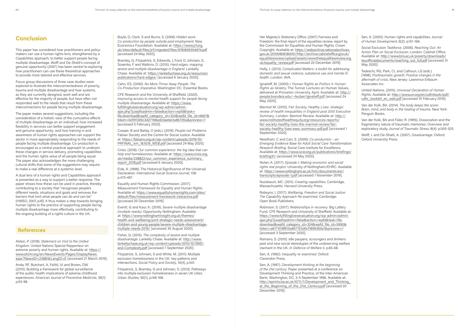## **Conclusion**

This paper has considered how practitioners and policymakers can use a human rights lens, strengthened by a Capabilities approach, to better support people facing multiple disadvantage. Wolff and De-Shalit's concept of genuine opportunity (2007) has been central to exploring how practitioners can use these theoretical approaches to provide more tailored and effective services.

Focus group discussions of three case studies were explored to illustrate the interconnectedness of poverty, trauma and multiple disadvantage and how systems, as they are currently designed, work well and are effective for the majority of people, but have often not responded well to the needs that result from these interconnections for people facing multiple disadvantage.

The paper makes several suggestions, including the consideration of a holistic view of the cumulative effects of multiple disadvantage on an individual; how increased flexibility in services can better support engagement and genuine opportunity; and how training in and awareness of human rights approaches can support the sector in more appropriately responding to the needs of people facing multiple disadvantage. Co-production is encouraged as a central practical approach to underpin these changes in service delivery, promoting capabilities and the human rights value of all people being equal. The paper also acknowledges the more challenging cultural shifts that some of the suggestions may require to make a real difference at a systemic level.

Cooper, B and Bailey, O (eds.). (2019). *People not Problems*. Fabian Society and the Centre for Social Justice. Available at: https://fabians.org.uk/wp-content/uploads/2019/10/ PRFINAL\_km\_18.10.19\_WEB.pdf [accessed 24 May 2020].

A dual lens of a human rights and Capabilities approach is presented as a way to support a better response. The paper shows how these can be used in practice, thereby contributing to a society that "recognises people's different needs, situations and goals and removes the barriers that limit what people can do and can be" (HMSO, 2007, p.16). It thus makes a step towards bringing human rights to the practice of supporting people facing multiple disadvantage more effectively, contributing to the ongoing building of a rights culture in the UK.

### **References**

Alston, P. (2018). *Statement on Visit to the United Kingdom*. United Nations Special Rapporteur on extreme poverty and human rights. Available at: https:// www.ohchr.org/en/NewsEvents/Pages/DisplayNews. aspx?NewsID=23881&LangID=E [accessed 21 March 2019].

Anda, RF, Butchart, A, Felitti, VJ and Brown, DW. (2010). Building a framework for global surveillance of the public health implications of adverse childhood experiences. *American Journal of Preventive Medicine*, 39(1): p.93-98.

Boyle, D, Clark, S and Burns, S. (2006) *Hidden work: Co-production by people outside paid employment*. New Economics Foundation. Available at: https://www.jrf.org. uk/sites/default/files/jrf/migrated/files/9781859354674.pdf [accessed 24 May 2020].

Bramley, G, Fitzpatrick, S, Edwards, J, Ford, D, Johnsen, S, Sosenko, F and Watkins, D. (2015). *Hard edges: mapping severe and multiple disadvantage in England*. Lankelly Chase. Available at: https://lankellychase.org.uk/resources/ publications/hard-edges/ [accessed 6 January 2020].

Cahn, ES. (2000). *No More Throw Away People: The Co-Production Imperative*. Washington DC: Essential Books.

CFE Research and the University of Sheffield. (2020). *Improving access to mental health support for people facing multiple disadvantage*. Available at: https://www. fulfillinglivesevaluation.org/wp-admin/adminajax.php?juwpfisadmin=false&action=wpfd&task= file.download&wpfd\_category\_id=324&wpfd\_file\_id=6607& token=bd191326c3d27168ad2daebe3a8b7d5a&preview=1 [accessed 5 February 2020].

Crisis. (2018). *Our common experience: the big idea that can help end homelessness*. Available at: https://www.crisis.org. uk/media/238822/our\_common\_experience\_summary report\_2018.pdf [accessed 6 January 2020].

Eide, A. (1998). The Historical Significance of the Universal Declaration. *International Social Science Journal*, 158: p.475-497.

United Nations. (2015). *Universal Declaration of Human Rights*. Available at: http://www.un.org/en/udhrbook/pdf/ udhr\_booklet\_en\_web.pdf [accessed 10 February 2019].

Equality and Human Rights Commission. (2017). *Measurement Framework for Equality and Human Rights*. Available at: https://www.equalityhumanrights.com/sites/ default/files/measurement-framework-interactive.pdf [accessed 20 December 2019].

Everitt, G and Kaur, K. (2019). *Severe multiple disadvantage (multiple needs)*. Opportunity Nottingham. Available at: https://www.nottinghaminsight.org.uk/themes/ health-and-wellbeing/joint-strategic-needs-assessment/ children-and-young-people/severe-multiple-disadvantagemultiple-needs-2019/ [accessed 30 August 2020].

Fisher, G. (2015). *The complexity of severe and multiple disadvantage*. Lankelly Chase. Available at: http://www. lankellychase.org.uk/wp-content/uploads/2015/10/SMDand-Complexity.pdf [accessed 7 September 2020].

Fitzpatrick, S, Johnsen, S and White, M. (2011). Multiple exclusion homelessness in the UK: key patterns and intersections. *Social Policy and Society*, 10(4), p.501.

Fitzpatrick, S, Bramley, G and Johnsen, S. (2013). Pathways into multiple exclusion homelessness in seven UK cities. *Urban Studies*, 50(1), p.148-168.

Her Majesty's Stationery Office. (2007) Fairness and Freedom: the final report of the equalities review, report by the Commission for Equalities and Human Rights, Crown Copyright. Available at: https://webarchive.nationalarchives. gov.uk/20100806180051/http://archive.cabinetoffice.gov.uk/ equalitiesreview/upload/assets/www.theequalitiesreview.org. uk/equality\_review.pdf [accessed 20 December 2019].

Holly, J. (2013). *Complicated Matters: a toolkit for addressing domestic and sexual violence, substance use and mental illhealth*. London: AVA.

Ignatieff, M. (2000) *I. Human Rights as Politics II. Human Rights as Idolatry*. The Tunner Lectures on Human Values, delivered at Princeton University, April. Available at: http:// people.brandeis.edu/~teuber/Ignatieff.pdf [accessed 24 May 2020].

Marmot M. (2010). *Fair Society, Healthy Lives: strategic review of health inequalities in England post 2010 Executive Summary*. London: Marmot Review. Available at: http:// www.instituteofhealthequity.org/resources-reports/ fair-society-healthy-lives-the-marmot-review/fairsociety-healthy-lives-exec-summary-pdf.pdf [accessed 1 September 2020].

Needham, C and Carr, S. (2009). *Co-production – an Emerging Evidence Base for Adult Social Care Transformation: Research Briefing*. Social Care Institute for Excellence. Available at: https://www.scie.org.uk/publications/briefings/ briefing31/ [accessed 24 May 2020].

Nolan, A. (2017). *Episode 1, Making economic and social rights real project*. University of Nottingham/EHRC. Available at: https://www.nottingham.ac.uk/hrlc/documents/esr/ transcripts/episode-1.pdf [accessed 1 November 2019].

Nussbaum, MC. (2011). *Creating capabilities*. Cambridge, Massachusetts: Harvard University Press.

Robeyns, I. (2017). *Wellbeing, Freedom and Social Justice: The Capability Approach Re-examined*. Cambridge: Open Book Publishers.

Robinson, S. (2017). *Relationships in recovery*. Big Lottery Fund, CFE Research and University of Sheffield. Available at: https://www.fulfillinglivesevaluation.org/wp-admin/adminajax.php?juwpfisadmin=false&action=wpfd&task=file. download&wpfd\_category\_id=324&wpfd\_file\_id=5950& token=a6171018f615a807153d0cf1899360e1&preview=1 [accessed 3 September 2020].

Romano, S. (2015). Idle paupers, scroungers and shirkers: past and new social stereotypes of the undeserving welfare claimant in the UK. *In Defence of Welfare II,* p.65-68.

Sen, A. (1992). *Inequality re-examined*. Oxford: Clarendon Press.

Sen, A. (1997). *Development thinking at the beginning of the 21st century*. Paper presented at a conference on Development Thinking and Practice, of the Inter-American Bank, Washington, DC, 3-5 September 1996. Available at: http://eprints.lse.ac.uk/6711/1/Development\_and\_Thinking\_ at\_the\_Beginning\_of\_the\_21st\_Century.pdf [accessed 20 December 2019].

Sen, A. (2005). Human rights and capabilities. *Journal of Human Development*, 6(2): p.151-166.

Social Exclusion Taskforce. (2006). *Reaching Out: An Action Plan on Social Exclusion*. London: Cabinet Office. Available at: http://www.bris.ac.uk/poverty/downloads/ keyofficialdocuments/reaching\_out\_full.pdf [accessed 31 May 2020].

Tedeschi, RG, Park, CL and Calhoun, LG (eds.). (1998). *Posttraumatic growth: Positive changes in the aftermath of crisis*. New Jersey: Lawrence Erlbaum Associates Inc.

Van der Kolk, BA. (2014). *The body keeps the score: Brain, mind, and body in the healing of trauma*. New York: Penguin Books.

Van der Kolk, BA and Fisler, R. (1995). Dissociation and the fragmentary nature of traumatic memories: Overview and exploratory study. *Journal of Traumatic Stress*, 8(4): p.505-525.

Wolff, J. and De-Shalit, A. (2007). *Disadvantage*. Oxford: Oxford University Press.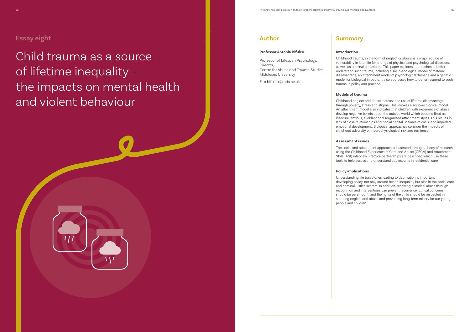Child trauma as a source of lifetime inequality – the impacts on mental health and violent behaviour



## **Author**

#### **Professor Antonia Bifulco**

Professor of Lifespan Psychology, Director, Centre for Abuse and Trauma Studies, Middlesex University

E: a.bifulco@mdx.ac.uk

## **Summary**

### **Introduction**

Childhood trauma, in the form of neglect or abuse, is a major source of vulnerability in later life for a range of physical and psychological disorders, as well as criminal behaviours. This paper explores approaches to better understand such trauma, including a socio-ecological model of material disadvantage, an attachment model of psychological damage and a genetic model for biological impacts. It also addresses how to better respond to such trauma in policy and practice.

#### **Models of trauma**

Childhood neglect and abuse increase the risk of lifetime disadvantage through poverty, stress and stigma. This invokes a socio-ecological model. An attachment model also indicates that children with experience of abuse develop negative beliefs about the outside world which become fixed as insecure, anxious, avoidant or disorganised attachment styles. This results in lack of close relationships and 'social capital' in times of crisis, and impeded emotional development. Biological approaches consider the impacts of childhood adversity on neurophysiological risk and resilience.

#### **Assessment issues**

The social and attachment approach is illustrated through a body of research using the Childhood Experience of Care and Abuse (CECA) and Attachment Style (ASI) interview. Practice partnerships are described which use these tools to help assess and understand adolescents in residential care.

### **Policy implications**

Understanding life trajectories leading to deprivation is important in developing policy, not only around health inequality but also in the social care and criminal justice sectors. In addition, resolving historical abuse through recognition and interventions can prevent recurrence. Ethical concerns should be paramount, and the rights of the child should be respected in stopping neglect and abuse and preventing long-term misery for our young

people and children.



## **Essay eight**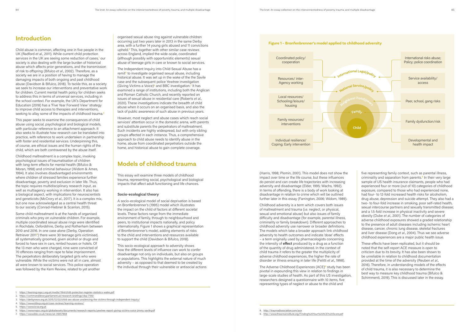## **Introduction**

Child abuse is common, affecting one in five people in the UK (Radford *et al*., 2011). While current child protection services in the UK are seeing some reduction of cases,<sup>1</sup> our society is also dealing with the large burden of historical abuse which affects prior generations, and the transmission of risk to offspring (Bifulco *et al*., 2002). Therefore, as a society we are in a position of having to manage the damaging impacts of both ongoing and past childhood abuse (Davidson & Bifulco, 2018). To tackle this, as a society we seek to increase our interventions and preventative work for children. Current mental health policy for children seeks to address this in terms of universal services, including in the school context. For example, the UK's Department for Education (2018) has a 'Five Year Forward View' strategy to improve child access to therapies and interventions, seeking to allay some of the impacts of childhood trauma.**<sup>2</sup>**

This paper seeks to examine the consequences of child abuse using social, psychological and biological models, with particular reference to an attachment approach. It also seeks to illustrate how research can be translated into practice, with reference to work undertaken in partnership with foster and residential services. Underpinning this, of course, are ethical issues and the human rights of the child, which are both contravened by the abuse itself.

Childhood maltreatment is a complex topic, invoking psychological issues of traumatisation of children with long-term effects for mental health (Bifulco & Moran, 1998) and criminal behaviour (Widom & Ames, 1994). It also involves disadvantaged environments where children of stressed families experience further disadvantage, poverty and exclusion in later life. Thus, the topic requires multidisciplinary research input, as well as multiagency working in intervention. It also has a biological aspect, with implications for neuroscientists and geneticists (McCrory *et al*., 2017). It is a complex mix, but one now acknowledged as a central health threat to our society (Conrad-Hiebner & Scanlon, 2015).

Some child maltreatment is at the hands of organised criminals who prey on vulnerable children. For example, multiple coordinated sexual abuse rings were identified in Rochdale, Oxfordshire, Derby and Rotherham between 2010 and 2016. In one case alone (Derby, Operation Retriever 2011**3**) there were 30 teenage girls victimised, all systematically groomed, given alcohol or drugs and forced to have sex in cars, rented houses or hotels. Of the 13 men who were charged, nine were convicted of 70 offences ranging from rape to false imprisonment. The perpetrators deliberately targeted girls who were vulnerable. While the victims were not all in care, almost all were known to social services. This police operation was followed by the Kern Review, related to yet another

organised sexual abuse ring against vulnerable children occurring just two years later in 2013 in the same Derby area, with a further 14 young girls abused and 11 convictions upheld.**4** This, together with other similar case reviews across England, implied the wide-scale, coordinated (although possibly with opportunistic elements) sexual abuse of teenage girls in care or known to social services.

The Independent Inquiry into Child Sexual Abuse has a remit**<sup>5</sup>** to investigate organised sexual abuse, including historical abuse. It was set up in the wake of the the Savile case and the subsequent police Yewtree investigation (Giving Victims a Voice)**6** and BBC investigation.**<sup>7</sup>** It has examined a range of institutions, including both the Anglican and Roman Catholic Church, and recently reported on issues of sexual abuse in residential care (Roberts *et al*., 2020). These investigations indicate the breadth of child abuse when it occurs on an organised basis, and also the lack of public awareness of such abuse in previous years.

However, most neglect and abuse cases which reach social services' attention occur in the domestic arena, with parents and substitute parents the perpetrators of maltreatment. Such incidents are highly widespread, but with only sibling groups affected in each instance. Thus, a comprehensive approach to child abuse needs to identify abuse in the home, abuse from coordinated perpetrators outside the home, and historical abuse to gain complete coverage.

## **Models of childhood trauma**

This essay will examine three models of childhood trauma, representing social, psychological and biological impacts that affect adult functioning and life chances.

#### **Socio-ecological theory**

A socio-ecological model of social deprivation is based on Bronfenbrenner's (1995) model which illustrates the impact on the child of factors at different societal levels. These factors range from the immediate environment of family, through to neighbourhood and peers, to institutional impacts nationally, and policy internationally. Figure 1 shows a graphical representation of Bronfenbrenner's model, adding elements of risks to the child and interventions and resources available to support the child (Davidson & Bifulco, 2018).

This socio-ecological approach to adversity shows how the different levels of influence can work to confer disadvantage not only on individuals, but also on groups or populations. This highlights the external nature of much adversity – as opposed to that deemed to be created by the individual through their vulnerable or antisocial actions (Harris, 1998; Plomin, 2001). This model does not show the impact over time or the life course, but these influences do persist and can create life trajectories with increasing adversity and disadvantage (Elder, 1995; Wachs, 1992). In terms of offending, there is a body of work looking at disadvantage in relation to crime which will be outlined further later in this essay (Farrington, 2006; Widom, 1989).

Childhood adversity is a term which covers both issues of maltreatment and trauma (i.e. neglect, or physical, sexual and emotional abuse) but also issues of family difficulty and disadvantage (for example, parental illness, criminality or family breakdown). Different approaches to childhood adversity use narrower or broader definitions. The models which take a broader approach link childhood adversity to health outcomes and indicate 'dose' effects – a term originally used by pharmacologists concerning the intensity of **effect** produced by a drug as a function of the quantity of drug administered. In the context of child trauma it refers to the greater the multiplicity of adverse childhood experiences, the higher the rate of disorder or illness ensuing in later life (Felitti *et al*., 1998).

The Adverse Childhood Experiences (ACE)**8** study has been pivotal in expounding this view in relation to findings in large-scale studies of health. As part of this US investigation, researchers designed a questionnaire with 10 items, five representing types of neglect or abuse to the child and

five representing family context, such as parental illness, criminality and separation from parents.**9** In their very large sample of US health insurance claimants, people who had experienced four or more (out of 10) categories of childhood exposure, compared to those who had experienced none, had four- to 12-fold increased health risks for alcoholism, drug abuse, depression and suicide attempt. They also had a two- to four-fold increase in smoking, poor self-rated health, sexual intercourse partners and sexually transmitted disease; and a 1.5-fold increase in physical inactivity and severe obesity (Dube *et al*., 2001). The number of categories of adverse childhood exposures showed a graded relationship to the presence of adult diseases including ischemic heart disease, cancer, chronic lung disease, skeletal fractures and liver disease (Dong *et al*., 2004). Thus we see adverse childhood experiences are a major public health issue.

These effects have been replicated, but it should be noted that the self-report ACE measure is open to criticism due to its brevity. It has also been shown to be unreliable in relation to childhood documentation provided at the time of the adversity (Reuben *et al*., 2016). Therefore, in understanding models of the effects of child trauma, it is also necessary to determine the best way to measure key childhood trauma (Bifulco & Schimmenti, 2019). This is discussed later in the essay.



1. https://learning.nspcc.org.uk/media/1184/child-protection-register-statistics-wales.pdf

- 2. https://commonslibrary.parliament.uk/research-briefings/cbp-7196/
- 3. https://derbynews.org.uk/2015/12/02/child-sex-abuse-unsilencing-the-victims-through-independent-inquiry/
- 4. https://www.ddscp.org.uk/case-reviews/learning-reviews/
- 5. https://www.iicsa.org.uk
- 6. https://www.nspcc.org.uk/globalassets/documents/research-reports/yewtree-report-giving-victims-voice-jimmy-savile.pdf
- 7. https://www.bbc.co.uk/news/uk-35657868

9. http://www.theannainstitute.org/Finding%20Your%20ACE%20Score.pdf

<sup>8.</sup> http://traumadissociation.com/ace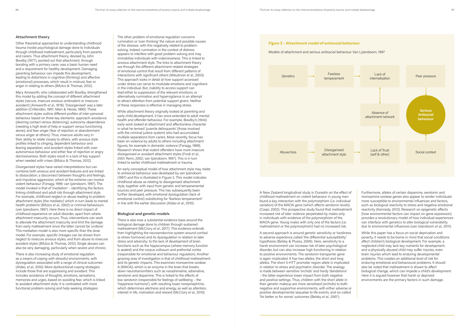#### **Attachment theory**

Other theoretical approaches to understanding childhood trauma invoke psychological damage done to individuals through childhood maltreatment, particularly from parents and carers. Thus attachment theory, devised by John Bowlby (1977), pointed out that attachment, through bonding with a primary carer, was a basic human need and a requirement for healthy development. Damaging parenting behaviour can impede this development, leading to distortions in cognitive (thinking) and affective (emotional) processes, which result in mistrust, fear or anger in relating to others (Bifulco & Thomas, 2012).

Mary Ainsworth, who collaborated with Bowlby, strengthened this model by adding the concept of different attachment styles (secure, insecure anxious-ambivalent or insecureavoidant) (Ainsworth *et al*., 1978). 'Disorganised' was a later addition (Crittenden, 1997; Main & Hesse, 1990). These attachment styles outline different profiles of inter-personal behaviour based on three key elements: approach-avoidance (desiring contact versus distancing); autonomy-dependence (needing a high level of help or support versus functioning alone); and fear-anger (fear of rejection or abandonment versus anger at others). Thus, insecure adults vary in their ability to relate closely to others, with anxious style profiles linked to clinging, dependent behaviour and fearing separation; and avoidant styles linked with overautonomous behaviour and either fear of rejection or angry dismissiveness. Both styles result in a lack of key support when needed with crises (Bifulco & Thomas, 2012).

Disorganised styles have varied interpretations but can combine both anxious and avoidant features and are linked to dissociation, a disconnect between thoughts and feelings, and impulsive aggression, which at the extreme can involve violent behaviour (Fonagy, 1999; van Ijzendoorn, 1997). The model invoked is that of 'mediation' – identifying the factors linking childhood and adult risk through attachment style. For example, childhood neglect or abuse leading to problem attachment styles (the mediator) which in turn leads to mental health problems (Bifulco *et al*., 2002) or criminal behaviours (van Ijzendoorn, 1997). Here there is no direct impact of childhood experience on adult disorder, apart from where attachment insecurity occurs. Thus, interventions can work to alleviate the attachment insecurity and limit the damage from early maltreatment since the latter cannot be 'undone'. This mediation model is also more specific than the dose model. For example, specific linkages can be shown from neglect to insecure anxious styles, and from abuse to insecure avoidant styles (Bifulco & Thomas, 2012). Single abuses can also be very damaging, particularly when severe and chronic.

There is also increasing study of emotional regulation as a means of coping with stressful environments, with dysregulation associated with a range of clinical outcomes (Aldao, *et al*., 2010). More dysfunctional coping strategies include those that are suppressing and avoidant. This includes avoidance of thoughts, emotions, sensations, memories and urges, based on avoiding fear, which is linked to avoidant attachment style. It is contrasted with more functional problem-solving and help-seeking strategies.

The other problem of emotional regulation concerns rumination or 'over thinking' the nature and possible causes of the stressor, with this negatively related to problemsolving. Indeed, rumination in the context of distress appears to interfere with good problem-solving and may immobilise individuals with indecisiveness. This is linked to anxious attachment style. The links to attachment theory are through the different attachment-related strategies of emotional control that result from different patterns of interactions with significant others (Mikulincer *et al*., 2003). This approach looks in detail at how support accessed under stress can serve to modulate emotions and cognitions in the individual. But, inability to access support can lead either to suppression of the relevant emotions, or alternatively rumination and hypervigilance in an attempt to attract attention from potential support givers. Neither of these responses is effective in managing stress.

While attachment theory originally looked at parenting and early child development, it has since extended to adult mental health and offender behaviour. For example, Bowlby's (1944) early work looked at attachment and affectionless character in what he termed 'juvenile delinquents' (those involved with the criminal justice system) who had accumulated multiple separations from carers. More recently, focus has been on violence by adults to others including attachment figures, for example in domestic violence (Fonagy, 1999). Research shows that violent offenders have more insecure disorganised or avoidant attachment styles (Frodi *et al*., 2001; Renn, 2002; van Ijzendoorn, 1997). This is in turn linked to earlier childhood maltreatment or trauma.

An early conceptual model of how attachment style may relate to antisocial behaviour was developed by van Ijzendoorn (1997) and this is illustrated in Figure 2. This model indicates childhood abuse as relating to disorganised attachment style, together with input from genetic and temperamental sources and peer pressure. This has subsequently been further developed, with emotional dysregulation (lack of emotional control) substituting for 'fearless temperament' in line with the earlier discussion (Aldao *et al*., 2010).

#### **Biological and genetic models**

There is also now a substantial evidence base around the biological damage done to children through sustained maltreatment (McCrory *et al*., 2017). This evidence extends from highlighting the neuroendocrine system around cortisol (a stress hormone) and its dysregulation in relation to later stress and adversity; to the lack of development of brain functions such as the hippocampus (where memory function is seated) and the corpus collosum and prefrontal cortex (responsible for emotional and behaviour regulation). Another growing area of investigation is that of childhood maltreatment and its genetic impacts. This examines monoamine oxidase A (MAOA), which is an enzyme in the brain that breaks down neurotransmitters such as noradrenaline, adrenaline, serotonin and dopamine. This is linked to the effects of low serotonin (responsible for feelings of wellbeing – the 'happiness hormone'), with resulting lower norepinephrine, which determines alertness and energy, as well as attention, interest in life, motivation and reward (McCrory *et al*., 2010).

A New Zealand longitudinal study in Dunedin on the effect of childhood maltreatment on violent behaviour in young men found a key interaction with the polymorphism (i.e. individual variation) of the MAOA gene (which affects serotonin levels) (Caspi, 2002). This prospective study found that maltreatment increased risk of later violence perpetrated by males only in individuals with evidence of the polymorphism of the MAOA gene. Young males with only one of the factors (i.e. maltreatment or the polymorphism) had no increased risk.

A second approach is around genetic sensitivity or hardiness to adverse experience called 'the differential susceptibility' hypothesis (Belsky & Pluess, 2009). Here, sensitivity to a harsh environment can increase risk of later psychological disorder, but can also increase high functioning in relation to positive environments. The serotonin transporter gene is again implicated. It has two alleles, the short and long alleles. The short 5-HTT promoter region allele is implicated in relation to stress and psychiatric disorder. The analogy is made between sensitive 'orchids' and hardy 'dandelions' – the latter experience lower impact from both negative and positive settings. Thus, children with the short allele in their genetic makeup are more sensitised (orchids) to both negative and supportive environments, with either adverse or positive developmental sequelae to life events, and so-called 'for better or for worse' outcomes (Belsky *et al*., 2007).

Furthermore, alleles of certain dopamine, serotonin and monoamine oxidase genes also appear to render individuals more susceptible to environmental influences and factors, such as biological reactivity to stress and negative emotional reactivity (Kennedy, 2013). Research on epigenetic effects (how environmental factors can impact on gene expression) provides a revolutionary model of how individual experiences can interface with genetics to alter biological vulnerability due to environmental influences (van IJzendoorn *et al*., 2011).

While this paper has a focus on social deprivation and poverty, it needs to be borne in mind that social conditions affect children's biological development. For example, a neglected child may lack key nutrients for development, and a physically abused child may suffer injuries, even brain injuries which lead to enduring developmental problems. This creates an additional level of risk for enduring emotional and behavioural problems. It should also be noted that maltreatment is shown to affect biological change, which can impede a child's development. Here it is argued however that harsh or deprived environments are the primary factors in such damage.



Models of attachment and serious antisocial behaviour Van Ljzendoorn, 1997

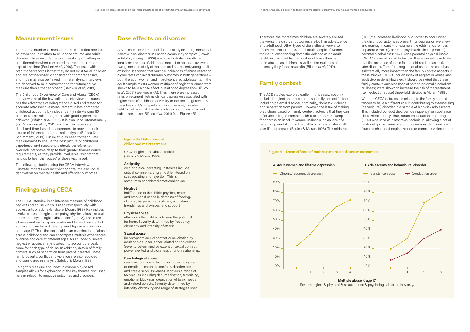## **Measurement issues**

There are a number of measurement issues that need to be examined in relation to childhood trauma and adult disorder. These include the poor reliability of self-report questionnaires when compared to practitioner records kept at the time (Reuben *et al*., 2016). The issue with practitioner records is that they do not exist for all children and are not necessarily consistent or comprehensive, and thus may also be flawed. In metanalysis, interviews are observed to be a somewhat better retrospective measure than either approach (Baldwin *et al*., 2019).

The Childhood Experience of Care and Abuse (CECA) interview, one of the few validated interview measures, has the advantage of being standardised and tested for accurate retrospective measurement. It has compared childhood accounts by independently interviewing 80 pairs of sisters raised together with good agreement achieved (Bifulco *et al*., 1997). It is also used internationally (e.g. Gianonne *et al*., 2011) and has the necessary detail and time-based measurement to provide a rich source of information for causal analyses (Bifulco & Schimmenti, 2019). Future studies need to triangulate measurement to ensure the best picture of childhood experience, and researchers should therefore not overlook interviews despite their greater time-resource requirements, as they provide invaluable insights that help us to hear the 'voices' of those victimised.

The following studies using the CECA interview illustrate impacts around childhood trauma and social deprivation on mental health and offender outcomes.

## **Findings using CECA**

The CECA interview is an intensive measure of childhood neglect and abuse which is used retrospectively with adolescents or adults (Bifulco & Moran, 1998). Key indices involve scales of neglect, antipathy, physical abuse, sexual abuse and psychological abuse (see figure 3). These are all measured on four-point scales and for each incident of abuse and care from different parent figures in childhood, up to age 17. Thus, the tool enables an examination of abuse across childhood and can encompass multiple experiences of abuse and care at different ages. As an index of severe neglect or abuse, analysis takes into account the peak score for each type of abuse. In addition, details of family context, such as separation from parent, parental illness, family poverty, conflict and violence are also recorded and considered in analysis (Bifulco & Moran, 1998).

Using this measure and index in community-based samples allows for exploration of the key themes discussed here in relation to negative outcomes and disorders.

## **Dose effects on disorder**

A Medical Research Council-funded study on intergenerational risk of clinical disorder in London community samples (Brown & Bifulco, ending in 2000) was able to study in depth the long-term impacts of childhood neglect or abuse. It involved a two-generation study of mothers and adolescent/young adult offspring. It showed that multiple incidences of abuse related to higher rates of clinical disorder outcomes in both generations – both the adult women and mixed-gendered adolescents. In the adult sample of 303 women, multiples of neglect or abuse were shown to have a dose effect in relation to depression (Bifulco *et al*., 2003) (see Figure 4A). Thus, there were increased rates of recurrent lifetime clinical depression associated with higher rates of childhood adversity. In the second generation, the adolescent/young adult offspring sample, this also held for behavioural disorder such as conduct disorder and substance abuse (Bifulco *et al*., 2014) (see Figure 4B).

Therefore, the more times children are severely abused, the worse the disorder outcomes are both in adolescence and adulthood. Other types of dose effects were also uncovered. For example, in the adult sample of women, the risk of experiencing domestic violence as an adult could be predicted by the number of times they had been abused as children, as well as the multiples of adversity they faced as adults (Bifulco *et al*., 2019).

## **Family context**

The ACE studies, explored earlier in this essay, not only included neglect and abuse but also family context factors including parental disorder, criminality, domestic violence and separation from parents. However, the issue of making predictions based on family context factors is that they can differ according to mental health outcomes. For example, for depression in adult women, indices such as loss of a parent or parental conflict had little or no association with later life depression (Bifulco & Moran, 1998). The odds-ratio

(OR) (the increased likelihood of disorder to occur when the childhood factor was present) for depression were low and non-significant – for example the odds ratios for loss of parent (OR=1.0), parental psychiatric illness (OR=1.2), parental alcoholism (OR=1.1) and parental physical illness (OR=1.3) were all found to be low. These low ratios indicate that the presence of these factors did not increase risk of later disorder. Therefore, neglect or abuse to the child has substantially more impact than the family context aspects in these studies (OR=3.5 for an index of neglect or abuse and adult depression). However, it should be noted that these family context variables (loss of parent, parental alcoholism or illness) were shown to increase the risk of maltreatment (i.e. neglect or abuse) three-fold (Bifulco & Moran, 1998).

With the CECA data, issues relating to the family context tended to have a different role in contributing to externalising (behavioural) disorder in a sample of high-risk adolescents. This included conduct disorder (delinquency) or substance abuse/dependency. Thus, structural equation modelling (SEM) was used as a statistical technique, allowing a set of relationships between one or more independent variables (such as childhood neglect/abuse or domestic violence) and

### **Figure 3 – Definitions of childhood maltreatment**

CECA neglect and abuse definitions (Bifulco & Moran, 1998)

#### **Antipathy**

cold or critical parenting. Instances include critical comments, angry hostile interaction, scapegoating and rejection. This is sometimes considered emotional abuse.

#### **Neglect**

indifference to the child's physical, material and emotional needs in domains of feeding, clothing, hygiene, medical care, education, friendships and sympathetic support.

#### **Physical abuse**

attacks on the child which have the potential for harm. Severity determined by frequency, chronicity and intensity of attack.

#### **Sexual abuse**

inappropriate sexual contact or solicitation by adult or older peer, either related or non-related. Severity determined by extent of sexual contact, power exerted and closeness of prior relationship.

#### **Psychological abuse**

coercive control exerted through psychological or emotional means to confuse, disorientate and create submissiveness. It covers a range of techniques including dehumanisation, terrorising, emotional blackmail, deprivation of basic needs and valued objects. Severity determined by intensity, chronicity and range of strategies used.

### **Figure 4 – Dose effects of maltreatment on disorder outcomes**

**Multiple abuse < age 17** Severe neglect & physical & sexual abuse & psychological abuse in A only.







#### **A. Adult women and lifetime depression**

#### **B. Adolescents and behavioural disorder**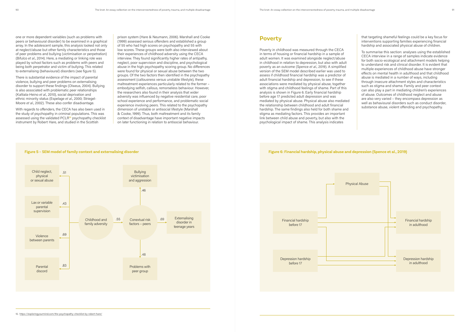one or more dependent variables (such as problems with peers or behavioural disorder) to be examined in a graphical array. In the adolescent sample, this analysis looked not only at neglect/abuse but other family characteristics and those of peer problems and bullying (victimisation or perpetration) (Bifulco *et al*., 2014). Here, a mediating or linking role was played by school factors such as problems with peers and being both perpetrator and victim of bullying. This related to externalising (behavioural) disorders (see figure 5).

There is substantial evidence of the impact of parental violence, bullying and peer problems on externalising disorder to support these findings (Olweus, 2004). Bullying is also associated with problematic peer relationships (Kaltiala-Heino *et al*., 2010), social deprivation and ethnic minority status (Espelage *et al*., 2000; Striegel-Moore *et al*., 2002). These also confer disadvantage.

With regards to offenders, the CECA has also been used in the study of psychopathy in criminal populations. This was assessed using the validated PCLR**10** psychopathy checklist instrument by Robert Hare, and studied in the Scottish

prison system (Hare & Neumann, 2006). Marshall and Cooke (1999) assessed serious offenders and established a group of 55 who had high scores on psychopathy and 55 with low scores. These groups were both also interviewed about their experiences of childhood adversity using the CECA interview. They found significantly higher rates of antipathy, neglect, poor supervision and discipline, and psychological abuse in the high psychopathy scoring group. No differences were found for physical or sexual abuse between the two groups. Of the two factors then identified in the psychopathy assessment (callousness versus unstable lifestyle), these maltreatment experiences particularly related to the former – embodying selfish, callous, remorseless behaviour. However, the researchers also found in their analysis that wider adversity was influenced by negative residential care, poor school experience and performance, and problematic social experience involving peers. This related to the psychopathy dimension of unstable or antisocial lifestyle (Marshall & Cooke, 1999). Thus, both maltreatment and its family context of disadvantage have important negative impacts on later functioning in relation to antisocial behaviour.

## **Poverty**

Poverty in childhood was measured through the CECA in terms of housing or financial hardship in a sample of adult women. It was examined alongside neglect/abuse in childhood in relation to depression, but also with adult poverty as an outcome (Spence *et al*., 2019). A simplified version of the SEM model described earlier was used to assess if childhood financial hardship was a predictor of adult financial hardship and depression, to see if these associations were mediated by physical abuse, together with stigma and childhood feelings of shame. Part of this analysis is shown in Figure 6. Early financial hardship before age 17 predicted adult depression and was mediated by physical abuse. Physical abuse also mediated the relationship between childhood and adult financial hardship. The same findings also held for both shame and stigma as mediating factors. This provides an important link between child abuse and poverty, but also with the psychological impact of shame. This analysis indicates

that targeting shameful feelings could be a key focus for interventions supporting families experiencing financial hardship and associated physical abuse of children.

To summarise this section: analyses using the established CECA interview in a range of samples indicate evidence for both socio-ecological and attachment models helping to understand risk and clinical disorder. It is evident that multiple experiences of childhood abuse have stronger effects on mental health in adulthood and that childhood abuse is mediated in a number of ways, including through insecure attachment styles and characteristics such as stigma and shame. Family and peer context can also play a part in mediating children's experiences of abuse. Outcomes of childhood neglect and abuse are also very varied – they encompass depression as well as behavioural disorders such as conduct disorder, substance abuse, violent offending and psychopathy.



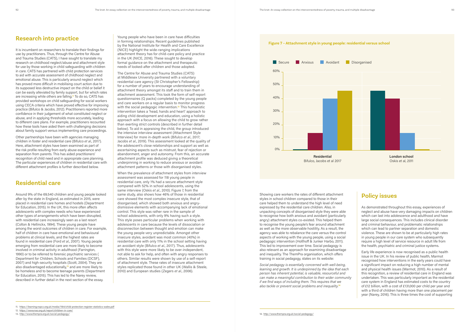## **Research into practice**

It is incumbent on researchers to translate their findings for use by practitioners. Thus, through the Centre for Abuse and Trauma Studies (CATS), I have sought to translate my research on childhood neglect/abuse and attachment style for use by those working in child safeguarding with children in care. CATS has partnered with child protection services to aid with accurate assessment of childhood neglect and emotional abuse. This is particularly around neglect which has proved more difficult in mobilising court action due to its supposed less destructive impact on the child or belief it can be easily alleviated by family support, but for which rates are increasing while others are falling.**11** To do so, CATS has provided workshops on child safeguarding for social workers using CECA criteria which have proved effective for improving practice (Bifulco & Jacobs, 2012). Practitioners reported more confidence in their judgement of what constituted neglect or abuse, and in applying thresholds more accurately, leading to different care plans. For example, practitioners recounted how these tools have aided them with challenging decisions about family support versus implementing care proceedings.

Other partnerships have been with agencies managing children in foster and residential care (Bifulco *et al*., 2017). Here, attachment styles have been examined as part of the risk profile resulting from early abuse experience and separation from parents. This has aided practitioners' recognition of child need and in appropriate care planning. The particular experiences of children in residential care with different attachment profiles is further described below.

## **Residential care**

Around 9% of the 69,540 children and young people looked after by the state in England, as estimated in 2015, were placed in residential care homes and hostels (Department for Education, 2015). In the UK, this more often affects adolescents with complex needs who have experienced other types of arrangements which have been disrupted, with residential care increasingly seen as a last resort (Colton & Hellinckx, 1994). These young people have among the worst outcomes of children in care. For example, half of children in care have emotional and behavioural problems at clinical levels, and the highest rates are found in residential care (Ford *et al*., 2007). Young people emerging from residential care are more likely to become involved in criminal activity in adulthood (Farrington, 1990) or to be referred to forensic psychiatric services ( Department for Children, Schools and Families (DCSF), 2007) and high-security hospitals (Scott, 2004). They are also disadvantaged educationally,**12** and are more likely to be homeless and to become teenage parents (Department for Education, 2015). This has led to the Narey review, described in further detail in the next section of the essay.

Young people who have been in care have difficulties in forming relationships. Recent guidelines published by the National Institute for Health and Care Excellence (NICE) highlight the wide-ranging implications attachment theory has for child-care policy and practice in the UK (NICE, 2016). These sought to develop formal guidance on the attachment and therapeutic needs of looked-after children and those adopted.

The Centre for Abuse and Trauma Studies (CATS) at Middlesex University partnered with a voluntary residential care agency (St Christopher's Fellowship) for a number of years to encourage understanding of attachment theory amongst its staff and to train them in attachment assessment. This took the form of self-report questionnaires (Q packs) completed by the young people and care workers on a regular basis to monitor progress with the social pedagogic intervention.**13** This humanistic intervention takes a 'head, hands and heart' approach to aiding child development and education, using a holistic approach with a focus on allowing the child to grow rather than exerting strict controls (described in further detail below). To aid in appraising the child, the group introduced the intensive interview assessment (Attachment Style Interview) for more in-depth work (Bifulco *et al*., 2017; Jacobs *et al*., 2019). This assessment looked at the quality of the adolescent's close relationships and support as well as ascertaining aspects such as mistrust, fear of rejection or abandonment, anger and autonomy. From this, an accurate attachment profile was deduced giving a theoretical underpinning in working to reduce anxious or avoidant attachment patterns or those with disorganised styles.

When the prevalence of attachment styles from interview assessment was assessed for 118 young people in residential care, only 1% had a secure attachment style compared with 52% in school adolescents, using the same interview (Oskis *et al*., 2010). Figure 7, from the same study, also shows how 46% of those in residential care showed the most complex insecure style, that of disorganised, which showed both anxious and angrydismissive elements with accompanying lack of emotional control. This style was rather rare in the sample of school adolescents, with only 9% having such a style. This style poses particular problems when working with adolescents in care because the levels of dissociation or disconnection between thought and emotion can make the young people very unpredictable. Amongst other insecure styles, avoidant was most common (40%) in residential care with only 11% in the school setting having an avoidant style (Bifulco *et al*., 2017). Thus, adolescents with this style were more likely to be over-independent, not able to ask for help, and often with angry responses to others. Similar results were shown by use of a self-report of attachment style. These rates of insecure attachment styles replicated those found in other UK (Wallis & Steele, 2010) and European studies (Zegers *et al*., 2006).

Showing care workers the rates of different attachment styles in school children compared to those in their care helped them to understand the high level of need expressed by the residential care children. Also, in unpacking concepts of disorganised style they were able to recognise how both anxious and avoidant (particularly angry) attachment styles co-existed. This helped them to recognise the young people's fear around attachment as well as the more observable hostility. As a result, the agency was able to rebalance the care versus the control aspects of working with the young people, using a social pedagogic intervention (Holthoff & Junker Harbo, 2011). This led to improvement over time. Social pedagogy is also relevant as an approach for examining disadvantage and inequality. The ThemPra organisation, which offers training in social pedagogy, states on its website:

*Social pedagogy is essentially concerned with well-being, learning and growth. It is underpinned by the idea that each person has inherent potential, is valuable, resourceful and can make a meaningful contribution to their wider community if we find ways of including them. This requires that we also tackle or prevent social problems and inequality.***<sup>14</sup>**

## **Policy issues**

As demonstrated throughout this essay, experiences of neglect and abuse have very damaging impacts on children which can last into adolescence and adulthood and have large social consequences. This includes clinical disorder and criminal behaviour, and problematic relationships which can lead to partner separation and domestic violence. These are shown to be at particularly high rates in young people in our care system who subsequently require a high level of service resource in adult life from the health, psychiatric and criminal justice systems.

Early life experience is now recognised as a public health issue in the UK. In his review of public health, Marmot recognised how interventions in the early years could have a significant impact on reducing a high number of mental and physical health issues (Marmot, 2010). As a result of this recognition, a review of residential care in England was undertaken. This was particularly important as the residential care system in England has estimated costs to the country of £12 billion, with a cost of £131,000 per child per year and with a third of children having more than one placement per year (Narey, 2016). This is three times the cost of supporting

**Figure 7 – Attachment style in young people: residential versus school**



**Residential** Bifulco, Jacobs et al 2017

**London school** Oskis et al, 2011

12. https://www.nao.org.uk/report/children-in-care/

<sup>11.</sup> https://learning.nspcc.org.uk/media/1184/child-protection-register-statistics-wales.pdf

<sup>13.</sup> http://www.thempra.org.uk/social-pedagogy/ 14. http://www.thempra.org.uk/social-pedagogy/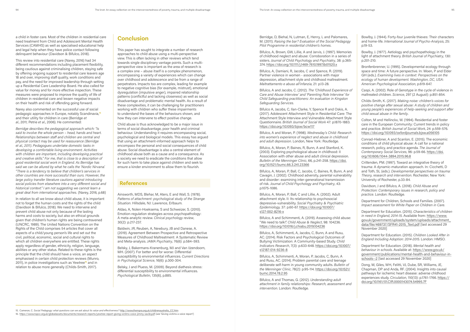a child in foster care. Most of the children in residential care need treatment from Child and Adolescent Mental Health Services (CAMHS) as well as specialised educational help and legal help when they have police contact following delinquent behaviour (Davidson & Bifulco, 2018).

This review into residential care (Narey, 2016) had 34 different recommendations including placement flexibility, being cautious against criminalising children, staying safe by offering ongoing support to residential care leavers age 18 and over, improving staff quality, work conditions and pay, and the need for improved leadership through setting up a Residential Care Leadership Board. He also called for value for money and for more effective inspection. These measures were proposed to improve the quality of life of children in residential care and lessen negative impacts on their health and risk of offending going forward.

Narey also commented on the successful use of social pedagogic approaches in Europe, notably Scandinavia,**<sup>15</sup>** and their utility for children in care (Berridge *et al*., 2011; Petrie *et al*., 2006). He commented:

*Berridge describes the pedagogical approach which: "Is said to involve the whole person – head, hands and heart. Relationships between staff and children are central and physical contact may be used for reassurance (Berridge et al., 2011). Pedagogues undertake domestic tasks in developing a comfortable living environment. Activities with children are important, including developing practical and creative skills." For me, that is close to a description of good residential social work in England. As Berridge has said we can be allured by what he calls the 'Nordic Nirvana'. "There is a tendency to believe that children's services in other countries are more successful than ours. However, the large policy transfer literature cautions against introducing social policies from elsewhere into a very different social and historical context." I am not suggesting we cannot learn a great deal from international approaches.* (Narey, 2016, p.68)

In relation to all we know about child abuse, it is important not to forget the human costs and the rights of the child (Davidson & Bifulco, 2018). We need to intervene and prevent child abuse not only because of the lasting harms and costs to society, but also on ethical grounds given that children's human rights are being contravened (UNCRC, 1989). The United Nations Convention on the Rights of the Child comprises 54 articles that cover all aspects of a child/young person's life and set out the civil, political, economic, social and cultural rights to which all children everywhere are entitled. These rights apply regardless of gender, ethnicity, religion, language, abilities or any other status. Related to these rights is the principle that the child should have a voice, an aspect emphasised in certain child protection reviews (Munro, 2011), in police investigations such as Yewtree**16** and in relation to abuse more generally (Childs-Smith, 2017).

## **Conclusion**

This paper has sought to integrate a number of research approaches to child abuse using a multi-perspective view. This is often lacking in other reviews which tend towards single disciplinary vantage points. Such a multiperspective view is important as the area of research is a complex one – abuse itself is a complex phenomenon, encompassing a variety of experiences which can change over childhood and adolescence and be from a range of perpetrators. Impacts too are complex, leading for example to negative cognitive bias (for example, mistrust), emotional dysregulation (impulsive anger), impaired relationship patterns (conflictful and lacking closeness) as well as social disadvantage and problematic mental health. As a result of these complexities, it can be challenging for practitioners working with children who suffer these impairments to understand the bases of the behaviours shown, and how they can intervene to effect positive change.

Child abuse is thus acknowledged to be a major issue in terms of social disadvantage, poor health and criminal behaviour. Understanding it requires encompassing social, psychological and biological models. This essay has argued that using an attachment-informed approach helps to encompass the personal and social consequences of child abuse. Social disadvantage is also a central element of childhood abuse both as a cause and a consequence. As a society we need to eradicate the conditions that allow for such harm to take place against children and seek to ensure a kinder environment to allow them to flourish.

### **References**

Ainsworth, MDS, Blehar, M, Aters, E and Wall, S. (1978). *Patterns of attachment: psychological study of the Strange Situation*. Hillsdale, NJ: Lawrence, Erlbaum.

Aldao, A, Nolen-Hoeksema, S and Schweizer, S. (2010). Emotion-regulation strategies across psychopathology: A meta-analytic review. *Clinical psychology review*, 30(2): p.217-237.

Baldwin, JR, Reuben, A, Newbury, JB and Danese, A. (2019). Agreement Between Prospective and Retrospective Measures of Childhood Maltreatment: A Systematic Review and Meta-analysis. *JAMA Psychiatry*, 76(6): p.584–593.

Belsky, J, Bakermans-Kranenburg, MJ and Van IJzendoorn, MH. (2007). For better and for worse: Differential susceptibility to environmental influences. *Current Directions in Psychological Science*, 16(6): p.300-304.

Belsky, J and Pluess, M. (2009). Beyond diathesis stress: differential susceptibility to environmental influences. *Psychological Bulletin*, 135(6), p.885.

Berridge, D, Biehal, N, Lutman, E, Henry, L and Palomares, M. (2011). *Raising the bar? Evaluation of the Social Pedagogy Pilot Programme in residential children's homes*.

Bifulco, A, Brown, GW, Lillie, A and Jarvis, J. (1997). Memories of childhood neglect and abuse: Corroboration in a series of sisters. *Journal of Child Psychology and Psychiatry*, 38: p.365- 374. https://doi.org/10.1111/j.1469-7610.1997.tb01520.x

Bifulco, A, Damiani, R, Jacobs, C and Spence, R. (2019). Partner violence in women - associations with major depression, attachment style and childhood maltreatment. *Maltrattamento e abuso all'infanzia*, 21: p.13-28.

Bifulco, A and Jacobs, C. (2012). *The 'Childhood Experience of Care and Abuse Interview' and 'Parenting Role Interview' for Child Safeguarding practitioners: An evaluation in Kingston Safeguarding Services*.

Bifulco A, Jacobs, C, Ilan-Clarke, Y, Spence R and Oskis, A. (2017). Adolescent Attachment Style in Residential Care: The Attachment Style Interview and Vulnerable Attachment Style Questionnaire. *British Journal of Social Work* 47: p.1870-1883. https://doi.org/10.1093/bjsw/bcw117

Bifulco, A and Moran, P. (1998). *Wednesday's Child: Research into women's experience of neglect and abuse in childhood and adult depression*. London, New York: Routledge.

Bifulco, A, Moran, P, Baines, R, Bunn, A and Stanford, K. (2003). Exploring psychological abuse in childhood: II Association with other abuse and adult clinical depression. *Bulletin of the Menninger Clinic*, 66, p.241-258. https://doi. org/10.1521/bumc.66.3.241.23366

Bifulco, A, Moran, P, Ball, C, Jacobs, C, Baines, R, Bunn, A and Cavagin, J. (2002). Childhood adversity, parental vulnerability and disorder: examining inter-generational transmission of risk. *Journal of Child Psychology and Psychiatry*, 43: p.1075-1086.

Bifulco, A, Moran, P, Ball, C and Lillie, A. (2002). Adult attachment style. II: Its relationship to psychosocial depressive-vulnerability. *Social Psychiatry & Psychiatric Epidemiology,* 37: p.60-67. https://doi.org/10.1007/ s127-002-8216-x

Bifulco, A and Schimmenti, A. (2019). Assessing child abuse: "We need to talk!". *Child Abuse & Neglect*, 98: 104236. https://doi.org/10.1016/j.chiabu.2019.104236

Bifulco, A, Schimmenti, A, Jacobs, C, Bunn, A and Rusu, AC. (2014). Risk Factors and Psychological Outcomes of Bullying Victimization: A Community-based Study. *Child Indicators Research*, 7(3): p.633-648. https://doi.org/10.1007/ s12187-014-9236-8

Bifulco, A, Schimmenti, A, Moran, P, Jacobs, C, Bunn, A and Rusu, AC. (2014). Problem parental care and teenage deliberate self-harm in young community adults. *Bulletin of the Menninger Clinic*, 78(2): p.95-114. https://doi.org/10.1521/ bumc.2014.78.2.95

Bifulco, A and Thomas, G. (2012). *Understanding adult attachment in family relationships: Research, assessment and intervention*. London: Routledge.

Bowlby, J. (1944). Forty-four juvenile thieves: Their characters and home-life. *International Journal of Psycho-Analysis*, 25: p.19-53.

Bowlby, J. (1977). Aetiology and psychopathology in the light of attachment theory. *British Journal of Psychiatry*, 130: p.201-210.

Bronfenbrenner, U. (1995). Developmental ecology through space and time: A future perspective. In: Moen, P and Elder GH (eds.). *Examining lives in context: Perspectives on the ecology of human development. Washington, DC, USA: American Psychological Association*, p.619-647.

Caspi, A. (2002). Role of Genotype in the cycle of violence in maltreated children. *Science*, 297 (2 August): p.851-854.

Childs-Smith, K. (2017). *Making noise: children's voices for positive change after sexual abuse: A study of children and young people's experiences of help-seeking and support after child sexual abuse in the family*.

Colton, M and Hellinckx, W. (1994). Residential and foster care in the European Community: Current trends in policy and practice. *British Journal of Social Work*, 24: p.559-576. https://doi.org/10.1093/oxfordjournals.bjsw.a056105

Conrad-Hiebner, A and Scanlon, E. (2015). The economic conditions of child physical abuse: A call for a national research, policy, and practice agenda. *The Journal of Contemporary Social Services*, 96: p.59-66. https://doi. org/10.1606/1044-3894.2015.96.8

Crittenden, PM. (1997). Toward an integrative theory of trauma: A dynamic-maturation approach. In: Cicchetti, D and Toth, SL (eds.). *Developmental perspectives on trauma: Theory, research and intervention*. Rochester, New York: University of Rochester, p.33-84.

Davidson, J and Bifulco, A. (2018). *Child Abuse and Protection: Contemporary issues in research, policy and practice*. London: Routledge.

Department for Children, Schools and Families. (2007). *Impact assessment for White Paper on Children in Care*.

Department for Education. (2015). *Characteristics of children in need in England, 2014-15*. Available from: https://www. gov.uk/government/uploads/system/uploads/attachment\_ data/file/469737/SFR41-2015\_Text.pdf [last accessed 29 November 2020]

Department for Education. (2015). *Children Looked After in England Including Adoption: 2014-2015*. London: HMSO.

Department for Education. (2018). *Mental health and behaviour in schools*. Available at: https://www.gov.uk/ government/publications/mental-health-and-behaviour-inschools--2 [last accessed 29 November 2020]

Dong, M, Giles, WH, Felitti, VJ, Dube, SR, Williams, JE, Chapman, DP and Anda, RF. (2004). Insights into causal pathways for ischemic heart disease: adverse chldhood experiences study. *Circulation*, 110(13): p.1761-1766. https:// doi.org/10.1161/01.CIR.0000143074.54995.7F

16. https://www.nspcc.org.uk/globalassets/documents/research-reports/yewtree-report-giving-victims-voice-jimmy-savile.pdf (see 'Giving victims a voice report')

<sup>15.</sup> Cameron, C. *Social Pedagogy: what questions can we ask about its value and effectiveness?* http://www.thempra.org.uk/childrenaustralia\_CC.htm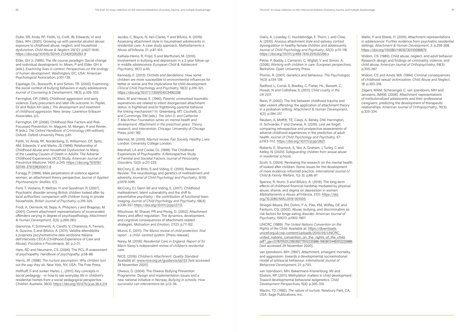Dube, SR, Anda, RF, Felitti, VJ, Croft, JB, Edwards, VJ and Giles, WH. (2001). Growing up with parental alcohol abuse: exposure to childhood abuse, neglect, and household dysfunction. *Child Abuse & Neglect*, 25(12): p.1627-1640. https://doi.org/10.1016/S0145-2134(01)00293-9

Elder, GH Jr. (1995). The life course paradigm: Social change and individual development. In: Moen, P and Elder, GH Jr. (eds.). *Examining lives in context: Perspectives on the ecology of human development*. Washington, DC, USA: American Psychological Association, p.101-139.

Espelage, DL, Bosworth, K and Simon, TR. (2000). Examining the social context of bullying behaviors in early adolescence. *Journal of Counseling & Development*, 78(3): p.326-333.

Farrington, DP. (1990). Childhood aggression and early violence: Early precursers and later-life outcome. In: Pepler, DJ and Rubin KH (eds.). *The development and treatment of childhood aggression*. New Jersey: Lawrence Erlbaum Associates, p.5.

Farrington, DP. (2006). Childhood Risk Factors and Risk-Focussed Prevention. In: Maguire, M, Morgan, R and Reiner, R (eds.). *The Oxford Handbook of Criminology* (4th edition). Oxford: Oxford University Press, p.61.

Felitti, VJ, Anda, RF, Nordenberg, D, Williamson, DF, Spitz, AM, Edwards, V and Marks, JS. (1998). Relationship of Childhood Abuse and Household Dysfunction to Many of the Leading Causes of Death in Adults: The Adverse Childhood Experiences (ACE) Study. *American Journal of Preventive Medicine*, 14(4): p.245. https://doi.org/10.1016/ S0749-3797(98)00017-8

Fonagy, P. (1999). Male perpetrators of violence against women: an attachment theory perspective. *Journal of Applied Psychoanalytic Studies*, 1(1).

Ford, T, Vostanis, P, Meltzer, H and Goodman, R. (2007). Psychiatric disorder among British children looked after by local authorities: comparison with children living in private households. *British Journal of Psychiatry*, p.319-325.

Frodi, A, Dernevik, M, Sepa, A, Philipson, J and Bragesjo, M. (2001). Current attachment representations of incarcerated offenders varying in degree of psychopathology. *Attachment & Human Development*, 3(3): p.269-283.

Gianonne, F, Schimenti, A, Caretti, V, Chiarenza, A, Ferraro, A, Guarino, S and Bifulco, A. (2011). Validita attendibilita e proprieta pscyhometriche dela verdsione Italiana dell'intervista CECA (Childhood Experience of Care and Abuse). *Psiciatria e Psicoterapia*, 30: p.3-21.

Hare, RD and Neumann, CS. (2006). The PCL-R assessment of psychopathy. *Handbook of psychopathy*, p.58-88.

Harris, JR. (1998). *The nurture assumption: Why children turn out the way they do*. New York, NY, USA: The Free Press.

Holthoff, S and Junker Harbo, L. (2011). Key concepts in social pedagogy - or how to see everyday life in children's residential homes from a social pedagogical perspective. *Children Australia*, 36(4). https://doi.org/10.1375/jcas.36.4.214 Jacobs, C, Boyce, N, Ilan-Clarke, Y and Bifulco, A. (2019). Assessing attachment style in traumatised adolescents in residential care: A case study approach. *Maltrattamento e Abuso all'Infanzia*, 21: p.87-103.

Kaltiala-Heino, R, Fröjd, S and Marttunen, M. (2010). Involvement in bullying and depression in a 2-year follow-up in middle adolescence. *European Child & Adolescent Psychiatry*, 19(1): p.45.

Kennedy, E. (2013). Orchids and dandelions: How some children are more susceptible to environmental influences for better or worse and the implications for child development. *Clinical Child Psychology and Psychiatry*, 18(3): p.319-321. https://doi.org/10.1177/1359104513490338

Main, M and Hesse, E. (1990). Parents' unresolved traumatic experiences are related to infant disorganized attachment status: Is frightened and/or frightening parental behavior the linking mechanism? In: Greenberg, MT, Cicchetti, D and Cummings, EM (eds.). *The John D. and Catherine T. MacArthur Foundation series on mental health and development. Attachment in the preschool years: Theory, research, and intervention*. Chicago: University of Chicago Press, p.161-182.

Marmot, M. (2010). *Marmot review, Fair Society, Healthy Lives*. London: University College London.

Marshall, LA and Cooke, DJ. (1999). The Childhood Experiences of Psychopaths: A Retrospective Study of Familial and Societal Factors. *Journal of Personality Disorders*, 13(3): p.211-225.

McCrory, E, de Brito, S and Viding, E. (2010). Research Review: The neurobiology and genetics of maltreatment and adversity. *Journal of Child Psychology and Psychiatry*, 5(10): p.1079-1095.

McCrory, EJ, Gerin MI and Viding, E. (2017). Childhood maltreatment, latent vulnerability and the shift to preventative psychiatry - the contribution of functional brain imaging. *Journal of Child Psychology and Psychiatry*, 58(4): p.338-357. https://doi.org/10.1111/jcpp.12713

Mikulincer, M, Shaver, PR and Pereg, D. (2003). Attachment theory and affect regulation: The dynamics, development, and cognitive consequences of attachment-related strategies. *Motivation and Emotion*, 27(2): p.77-102.

Munro, E. (2011). *The Munro review of child protection: final report - a child- centred system*. [Press release].

Narey, M. (2016). *Residential Care in England. Report of Sir Marin Narey's independent review of children's residential care*.

NICE. (2016). *Children's Attachment: Quality Standard*. Available at: www.nice.org.uk/guidance/qs133 [last accessed 29 November 2020].

Olweus, D. (2004). The Olweus Bullying Prevention Programme: Design and implementation issues and a new national initiative in Norway. *Bullying in schools: How successful can interventions be*, p.13-36.

Oskis, A, Loveday, C, Hucklebridge, F, Thorn, L and Clow, A. (2010). Anxious attachment style and salivary cortisol dysregulation in healthy female children and adolescents. *Journal of Child Psychology and Psychiatry*, 52(2): p.111-118. https://doi.org/10.1111/j.1469-7610.2010.02296.x

Petrie, P, Boddy, J, Cameron, C, Wigfall, V and Simon, A. (2006). *Working with children in care: European perspectives*. Berkshire: Open University Press.

Plomin, R. (2001). Genetics and behaviour. *The Psychologist*, 14(3): p.134-139.

Radford, L, Corral, S, Bradley, C, Fisher, HL, Bassett, C, Howat, N and Collishaw, S. (2011). *Child cruelty in the UK 2011*.

Renn, P. (2002). The link between childhood trauma and later violent offending: the application of attachment theory in a probation setting. *Attachment & Human Development*, 4(3): p.294-317.

Reuben, A, Moffitt, TE, Caspi, A, Belsky, DW, Harrington, H, Schroeder, F and Danese, A. (2016). Lest we forget: comparing retrospective and prospective assessments of adverse childhood experiences in the prediction of adult health. *Journal of Child Psychology and Psychiatry*, 57: p.1103-1112. https://doi.org/10.1111/jcpp.12621

Roberts, E, Sharrock, S, Yeo, A, Graham, J, Turley, C and Kelley, N. (2020). *Safeguarding children from sexual abuse in residential schools*.

Scott, S. (2004). Reviewing the research on the mental health of looked after children: Some issues for the development of more evidence-informed practice. *International Journal of Child & Family Welfare*, 7(2-3): p.86-97.

Spence, R, Nunn, S and Bifulco, A. (2019). The long-term effects of childhood financial hardship mediated by physical abuse, shame, and stigma on depression in women. *Maltrattamento e Abuso all'Infanzia*, 21(1). https://doi. org/10.3280/MAL2019-001005

Striegel-Moore, RH, Dohm, F-A, Pike, KM, Wilfley, DE and Fairburn, CG. (2002). Abuse, bullying, and discrimination as risk factors for binge eating disorder. *American Journal of Psychiatry*, 159(11): p.1902-1907.

UNCRC. (1989). *The United Nations Convention on the Rights of the Child*. Available at: https://downloads. unicef.org.uk/wp-content/uploads/2010/05/UNCRC\_ united\_nations\_convention\_on\_the\_rights\_of\_the\_child. pdf?\_ga=2.178701031.218039277.1512225886-1683872448.1512225886 [last accessed 29 November 2020].

van Ijzendoorn, MH. (1997). Attachment, emergent mortality, and aggression: towards a developmental socioemotional model of antisocial behaviour. *International Journal of Behavioral Development*, 21: p.703.

van IJzendoorn, MH, Bakermans‐Kranenburg, MJ and Ebstein, RP. (2011). Methylation matters in child development: Toward developmental behavioral epigenetics. *Child Development Perspectives*, 5(4): p.305-310.

Wachs, TD. (1992). *The nature of nurture.* Newbury Park, CA, USA: Sage Publications, Inc.

Wallis, P and Steele, H. (2010). Attachment representations in adolescence: Further evidence from psychiatric residential settings. *Attachment & Human Development*, 3: p.259-268. https://doi.org/10.1080/14616730110096870

Widom, CS. (1989). Child abuse, neglect, and adult behavior: Research design and findings on criminality, violence, and child abuse. *American Journal of Orthopsychiatry*, 59(3): p.355-367.

Widom, CS and Ames, MA. (1994). Criminal consequences of childhood sexual victimization. *Child Abuse and Neglect*, 18: p.303-318.

Zegers, MAM, Scheuengel, C, van Ijzendoorn, MH and Janssens, JMAM. (2006). Attachment representations of institutionalized adolescents and their professional caregivers: predicting the development of therapeutic relationships. *American Journal of Orthopsychiatry*, 76(3): p.325-334.